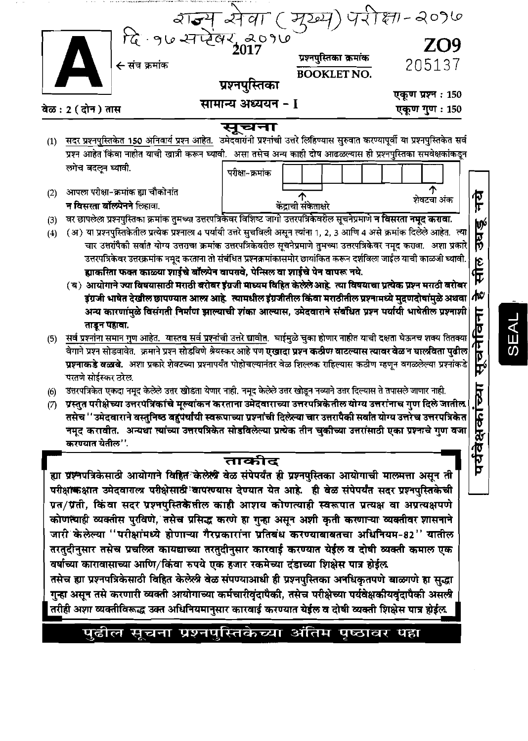

## पुढील सूचना प्रश्नपुस्तिकेच्या अंतिम पृष्ठावर पहा

SEAL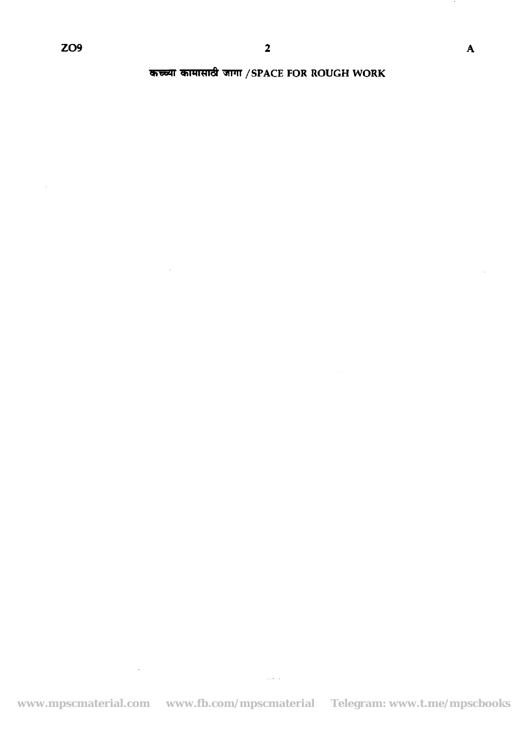$\mathcal{L}_{\mathbf{z}}$ 

<sup>M</sup>& TFll **/SPACE FOR ROUGH WORK** 

 $\sim 10^{-11}$ 

 $\sim 10^{-11}$ 

**www.mpscmaterial.com www.fb.com/mpscmaterial Telegram: www.t.me/mpscbooks**

 $\langle \varphi, \varphi \rangle$   $\langle \varphi \rangle$ 

 $\overline{\mathbf{A}}$ 

 $\hat{\mathcal{A}}$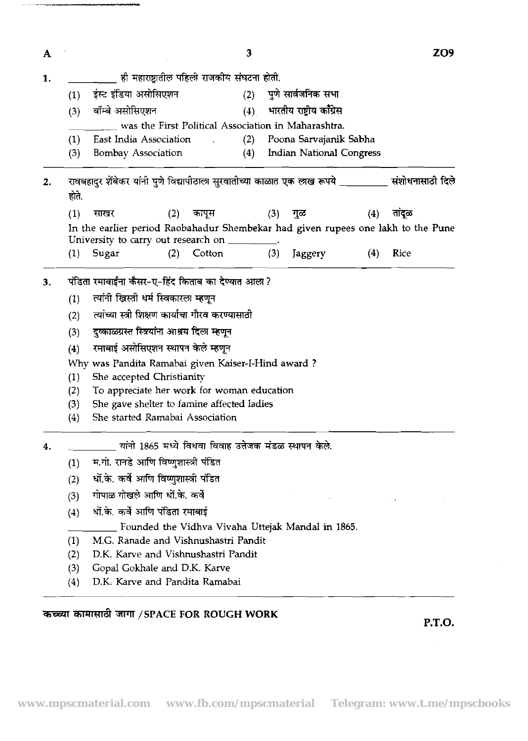| A  |       | 3                                                                                | <b>ZO9</b>       |  |  |  |  |  |  |  |  |
|----|-------|----------------------------------------------------------------------------------|------------------|--|--|--|--|--|--|--|--|
| 1. |       | ही महाराष्ट्रातील पहिली राजकीय संघटना होती.                                      |                  |  |  |  |  |  |  |  |  |
|    | (1)   | पुणे सार्वजनिक सभा<br>ईस्ट इंडिया असोसिएशन<br>(2)                                |                  |  |  |  |  |  |  |  |  |
|    |       | भारतीय राष्ट्रीय काँग्रेस<br>बॉम्बे असोसिएशन<br>(4)<br>(3)                       |                  |  |  |  |  |  |  |  |  |
|    |       |                                                                                  |                  |  |  |  |  |  |  |  |  |
|    | (1)   | East India Association<br>Poona Sarvajanik Sabha<br>(2)                          |                  |  |  |  |  |  |  |  |  |
|    | (3)   | (4)<br><b>Indian National Congress</b><br>Bombay Association                     |                  |  |  |  |  |  |  |  |  |
| 2. | होते. | रावबहादुर शेंबेकर यांनी पुणे विद्यापीठाला सुरवातीच्या काळात एक लाख रूपये __      | संशोधनासाठी दिले |  |  |  |  |  |  |  |  |
|    | (1)   | (3)<br>(4)<br>साखर<br>(2)<br>कापूस<br>गुळ                                        | तांदूळ           |  |  |  |  |  |  |  |  |
|    |       | In the earlier period Raobahadur Shembekar had given rupees one lakh to the Pune |                  |  |  |  |  |  |  |  |  |
|    |       | University to carry out research on                                              |                  |  |  |  |  |  |  |  |  |
|    | (1)   | Cotton<br>(3)<br>Sugar<br>(2)<br>Jaggery<br>(4)                                  | Rice             |  |  |  |  |  |  |  |  |
| 3. |       | पंडिता रमाबाईंना कैंसर-ए-हिंद किताब का देण्यात आला ?                             |                  |  |  |  |  |  |  |  |  |
|    |       | त्यांनी ख्रिस्ती धर्म स्विकारला म्हणून<br>(1)                                    |                  |  |  |  |  |  |  |  |  |
|    |       | त्यांच्या स्त्री शिक्षण कार्याचा गौरव करण्यासाठी<br>(2)                          |                  |  |  |  |  |  |  |  |  |
|    | (3)   | दुष्काळग्रस्त स्त्रियांना आश्रय दिला म्हणून                                      |                  |  |  |  |  |  |  |  |  |
|    | (4)   | रमाबाई असोसिएशन स्थापन केले म्हणून                                               |                  |  |  |  |  |  |  |  |  |
|    |       | Why was Pandita Ramabai given Kaiser-I-Hind award?                               |                  |  |  |  |  |  |  |  |  |
|    | (1)   |                                                                                  |                  |  |  |  |  |  |  |  |  |
|    | (2)   | She accepted Christianity<br>To appreciate her work for woman education          |                  |  |  |  |  |  |  |  |  |
|    | (3)   | She gave shelter to famine affected ladies                                       |                  |  |  |  |  |  |  |  |  |
|    | (4)   | She started Ramabai Association                                                  |                  |  |  |  |  |  |  |  |  |
| 4. |       | यांनी 1865 मध्ये विधवा विवाह उत्तेजक मंडळ स्थापन केले.                           |                  |  |  |  |  |  |  |  |  |
|    | (1)   | म.गो. रानडे आणि विष्णुशास्त्री पंडित                                             |                  |  |  |  |  |  |  |  |  |
|    | (2)   | धों.के. कर्वे आणि विष्णुशास्त्री पंडित                                           |                  |  |  |  |  |  |  |  |  |
|    | (3)   | गोपाळ गोखले आणि धों.के. कर्वे                                                    | $\omega = 1$     |  |  |  |  |  |  |  |  |
|    | (4)   | धों.के. कर्वे आणि पंडिता रमाबाई                                                  |                  |  |  |  |  |  |  |  |  |
|    |       | Founded the Vidhva Vivaha Uttejak Mandal in 1865.                                |                  |  |  |  |  |  |  |  |  |
|    | (1)   | M.G. Ranade and Vishnushastri Pandit                                             |                  |  |  |  |  |  |  |  |  |
|    | (2)   | D.K. Karve and Vishnushastri Pandit                                              |                  |  |  |  |  |  |  |  |  |
|    | (3)   | Gopal Gokhale and D.K. Karve                                                     |                  |  |  |  |  |  |  |  |  |
|    | (4)   | D.K. Karve and Pandita Ramabai                                                   |                  |  |  |  |  |  |  |  |  |

# कच्च्या कामासाठी जागा /SPACE FOR ROUGH WORK

 $\ldots$  ,  $\ldots$  constraints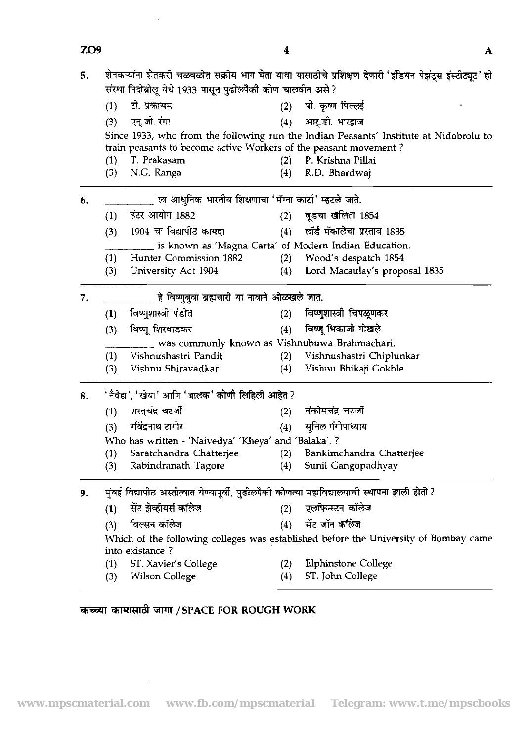| ZO <sub>9</sub> |     |                                                                                               | 4   | A                                                                                                        |
|-----------------|-----|-----------------------------------------------------------------------------------------------|-----|----------------------------------------------------------------------------------------------------------|
| 5.              |     | संस्था निदोब्रोलू येथे 1933 पासून पुढीलपैकी कोण चालवीत असे ?                                  |     | शेतकऱ्यांना शेतकरी चळवळीत सक्रीय भाग घेता यावा यासाठीचे प्रशिक्षण देणारी 'इंडियन पेझंट्स इंस्टीट्यूट' ही |
|                 | (1) | टो. प्रकासम                                                                                   | (2) | पी. कृष्ण पिल्लई                                                                                         |
|                 | (3) | एन्.जी. रंगा                                                                                  | (4) | आर्.डी. भारद्वाज                                                                                         |
|                 |     |                                                                                               |     | Since 1933, who from the following run the Indian Peasants' Institute at Nidobrolu to                    |
|                 |     | train peasants to become active Workers of the peasant movement?                              |     |                                                                                                          |
|                 | (1) | T. Prakasam                                                                                   | (2) | P. Krishna Pillai                                                                                        |
|                 | (3) | N.G. Ranga                                                                                    | (4) | R.D. Bhardwaj                                                                                            |
| 6.              |     | ला आधुनिक भारतीय शिक्षणाचा 'मॅग्ना कार्टा' म्हटले जाते.                                       |     |                                                                                                          |
|                 | (1) | हंटर आयोग 1882                                                                                | (2) | वूडचा खलिता 1854                                                                                         |
|                 | (3) | 1904 चा विद्यापीठ कायदा                                                                       | (4) | लॉर्ड मॅकालेचा प्रस्ताव 1835                                                                             |
|                 |     |                                                                                               |     | is known as 'Magna Carta' of Modern Indian Education.                                                    |
|                 | (1) | Hunter Commission 1882                                                                        | (2) | Wood's despatch 1854                                                                                     |
|                 | (3) | University Act 1904                                                                           | (4) | Lord Macaulay's proposal 1835                                                                            |
| 7.              |     | हे विष्णुबुवा ब्रह्मचारी या नावाने ओळखले जात.                                                 |     |                                                                                                          |
|                 | (1) | विष्णुशास्त्री पंडीत                                                                          | (2) | विष्णुशास्त्री चिपळूणकर                                                                                  |
|                 | (3) | विष्णू शिरवाडकर                                                                               | (4) | विष्णू भिकाजी गोखले                                                                                      |
|                 |     | was commonly known as Vishnubuwa Brahmachari.                                                 |     |                                                                                                          |
|                 | (1) | Vishnushastri Pandit                                                                          | (2) | Vishnushastri Chiplunkar                                                                                 |
|                 | (3) | Vishnu Shiravadkar                                                                            | (4) | Vishnu Bhikaji Gokhle                                                                                    |
| 8.              |     | 'नैवेद्य', 'खेया' आणि 'बालक' कोणी लिहिली आहेत ?                                               |     |                                                                                                          |
|                 | (1) | शरत्चंद्र चटर्जी                                                                              | (2) | बंकीमचंद्र चटर्जी                                                                                        |
|                 | (3) | रविंद्रनाथ टागोर                                                                              | (4) | सुनिल गंगोपाध्याय                                                                                        |
|                 |     | Who has written - 'Naivedya' 'Kheya' and 'Balaka'. ?                                          |     |                                                                                                          |
|                 | (1) | Saratchandra Chatterjee                                                                       | (2) | Bankimchandra Chatterjee                                                                                 |
|                 | (3) | Rabindranath Tagore                                                                           | (4) | Sunil Gangopadhyay                                                                                       |
| 9.              |     | मुंबई विद्यापीठ अस्तीत्वात येण्यापूर्वी, पुढीलपैकी कोणत्या महाविद्यालयाची स्थापना झाली होती ? |     |                                                                                                          |
|                 | (1) | सेंट झेव्हीयर्स कॉलेज                                                                         | (2) | एलफिन्स्टन कॉलेज                                                                                         |
|                 | (3) | विल्सन कॉलेज                                                                                  | (4) | सेंट जॉन कॉलेज                                                                                           |
|                 |     | into existance?                                                                               |     | Which of the following colleges was established before the University of Bombay came                     |
|                 | (1) | ST. Xavier's College                                                                          | (2) | <b>Elphinstone College</b>                                                                               |
|                 | (3) | <b>Wilson College</b>                                                                         | (4) | ST. John College                                                                                         |

# $\overline{x}$   $\overline{x}$   $\overline{x}$   $\overline{x}$   $\overline{x}$   $\overline{x}$   $\overline{x}$   $\overline{x}$   $\overline{x}$   $\overline{x}$   $\overline{x}$   $\overline{x}$   $\overline{x}$   $\overline{x}$   $\overline{x}$   $\overline{x}$   $\overline{x}$   $\overline{x}$   $\overline{x}$   $\overline{x}$   $\overline{x}$   $\overline{x}$   $\overline{x}$   $\overline{x}$   $\overline{x}$   $\overline{x}$   $\overline{x}$   $\over$

 $\label{eq:2} \frac{1}{2} \int_{\mathbb{R}^3} \frac{1}{\sqrt{2}} \, \frac{1}{\sqrt{2}} \, \frac{1}{\sqrt{2}} \, \frac{1}{\sqrt{2}} \, \frac{1}{\sqrt{2}} \, \frac{1}{\sqrt{2}} \, \frac{1}{\sqrt{2}} \, \frac{1}{\sqrt{2}} \, \frac{1}{\sqrt{2}} \, \frac{1}{\sqrt{2}} \, \frac{1}{\sqrt{2}} \, \frac{1}{\sqrt{2}} \, \frac{1}{\sqrt{2}} \, \frac{1}{\sqrt{2}} \, \frac{1}{\sqrt{2}} \, \frac{1}{\sqrt{2}} \, \frac$ 

 $\sim 10^7$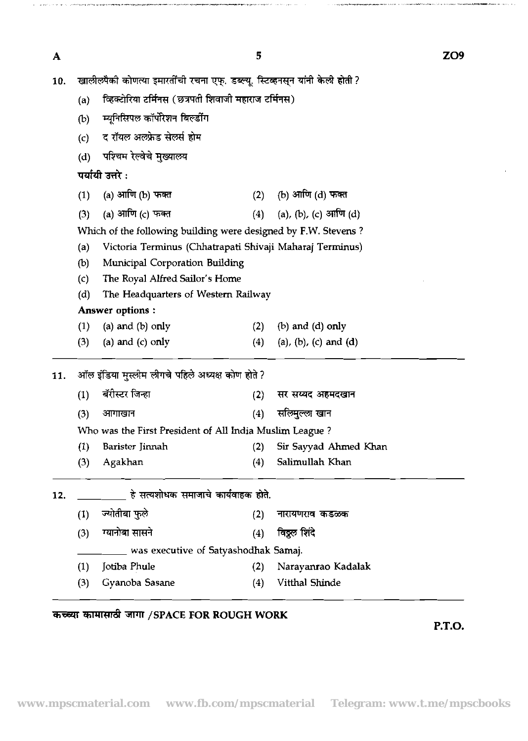$\overline{\mathbf{A}}$ 

 $\label{eq:3} \mathcal{L}_{\mathcal{M}}(\mathcal{H}_{\mathcal{M}}) = \mathcal{L}_{\mathcal{M}}(\mathcal{H}_{\mathcal{M}}) = \mathcal{L}_{\mathcal{M}}(\mathcal{H}_{\mathcal{M}}) = \mathcal{L}_{\mathcal{M}}(\mathcal{H}_{\mathcal{M}}) = \mathcal{L}_{\mathcal{M}}(\mathcal{H}_{\mathcal{M}}) = \mathcal{L}_{\mathcal{M}}(\mathcal{H}_{\mathcal{M}}) = \mathcal{L}_{\mathcal{M}}(\mathcal{H}_{\mathcal{M}}) = \mathcal{L}_{\mathcal{M}}(\mathcal{H}_{\mathcal{M}})$ 

.<br>ساخ ۱۰ تاریخ ۱۰ تا ۱۳۰۰ - ۱۳۰۰ میلاد به مواجه است است است است است است.

| 10. | खालीलपैकी कोणत्या इमारतींची रचना एफ्. डब्ल्यू. स्टिव्हनस्न यांनी केली होती ? |                                                                |     |                                 |  |  |  |  |  |  |  |  |
|-----|------------------------------------------------------------------------------|----------------------------------------------------------------|-----|---------------------------------|--|--|--|--|--|--|--|--|
|     | (a)                                                                          | व्हिक्टोरिया टर्मिनस (छत्रपती शिवाजी महाराज टर्मिनस)           |     |                                 |  |  |  |  |  |  |  |  |
|     | (b)                                                                          | म्यूनिसिपल कॉर्पोरेशन बिल्डींग                                 |     |                                 |  |  |  |  |  |  |  |  |
|     | (c)                                                                          | द रॉयल अलफ्रेड सेलर्स होम                                      |     |                                 |  |  |  |  |  |  |  |  |
|     | पश्चिम रेल्वेचे मुख्यालय<br>(d)                                              |                                                                |     |                                 |  |  |  |  |  |  |  |  |
|     | पर्यायी उत्तरे :                                                             |                                                                |     |                                 |  |  |  |  |  |  |  |  |
|     | (1)                                                                          | (a) आणि (b) फक्त                                               |     | (2) (b) आणि (d) फक्त            |  |  |  |  |  |  |  |  |
|     | (3)                                                                          | (a) आणि (c) फक्त                                               |     | (4) (a), (b), (c) आणि (d)       |  |  |  |  |  |  |  |  |
|     |                                                                              | Which of the following building were designed by F.W. Stevens? |     |                                 |  |  |  |  |  |  |  |  |
|     | (a)                                                                          | Victoria Terminus (Chhatrapati Shivaji Maharaj Terminus)       |     |                                 |  |  |  |  |  |  |  |  |
|     | (b)                                                                          | Municipal Corporation Building                                 |     |                                 |  |  |  |  |  |  |  |  |
|     | $\mathcal{L}(\mathcal{C})$                                                   | The Royal Alfred Sailor's Home                                 |     |                                 |  |  |  |  |  |  |  |  |
|     | (d)<br>The Headquarters of Western Railway                                   |                                                                |     |                                 |  |  |  |  |  |  |  |  |
|     | <b>Answer options:</b>                                                       |                                                                |     |                                 |  |  |  |  |  |  |  |  |
|     | (1)                                                                          | (a) and $(b)$ only                                             | (2) | $(b)$ and $(d)$ only            |  |  |  |  |  |  |  |  |
|     | (3)                                                                          | (a) and $(c)$ only                                             | (4) | $(a)$ , $(b)$ , $(c)$ and $(d)$ |  |  |  |  |  |  |  |  |
| 11. | ऑल इंडिया मुस्लीम लीगचे पहिले अध्यक्ष कोण होते ?                             |                                                                |     |                                 |  |  |  |  |  |  |  |  |
|     | (1)                                                                          | बॅरीस्टर जिन्हा                                                | (2) | सर सय्यद अहमदखान                |  |  |  |  |  |  |  |  |
|     | (3)                                                                          | आगाखान                                                         | (4) | सलिमुल्ला खान                   |  |  |  |  |  |  |  |  |
|     |                                                                              | Who was the First President of All India Muslim League?        |     |                                 |  |  |  |  |  |  |  |  |
|     | (1)                                                                          | Barister Jinnah                                                | (2) | Sir Sayyad Ahmed Khan           |  |  |  |  |  |  |  |  |
|     | (3)                                                                          | Agakhan                                                        | (4) | Salimullah Khan                 |  |  |  |  |  |  |  |  |
| 12. |                                                                              | हे सत्यशोधक समाजाचे कार्यवाहक होते.                            |     |                                 |  |  |  |  |  |  |  |  |
|     | (1)                                                                          | ज्योतीबा फुले                                                  | (2) | नारायणराव कडळक                  |  |  |  |  |  |  |  |  |
|     | (3)                                                                          | ग्यानोबा सासने                                                 | (4) | विठ्ठल शिंदे                    |  |  |  |  |  |  |  |  |
|     |                                                                              | was executive of Satyashodhak Samaj.                           |     |                                 |  |  |  |  |  |  |  |  |
|     | (1)                                                                          | Jotiba Phule                                                   | (2) | Narayanrao Kadalak              |  |  |  |  |  |  |  |  |
|     | (3)                                                                          | Gyanoba Sasane                                                 | (4) | Vitthal Shinde                  |  |  |  |  |  |  |  |  |

## 3EE4T **d /SPACE FOR ROUGH WORK**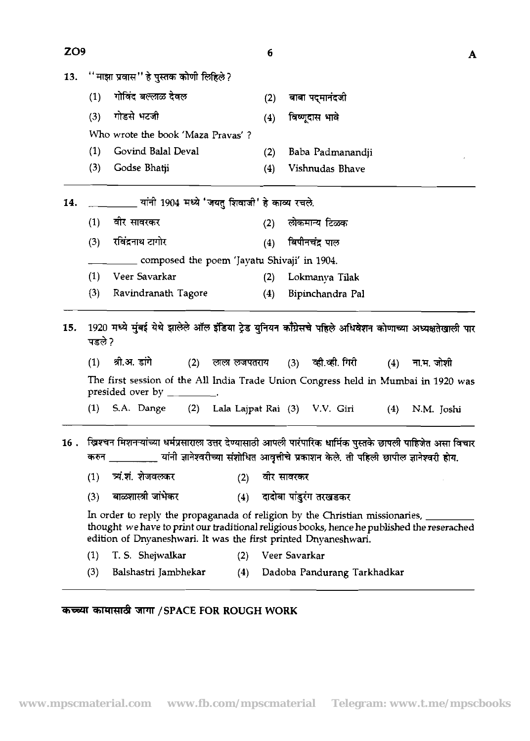| ZO <sub>9</sub> |               |                                                                                                                                                                                                                                                     |                                             |             | 6   |               |                                                                                       |     |            | A |
|-----------------|---------------|-----------------------------------------------------------------------------------------------------------------------------------------------------------------------------------------------------------------------------------------------------|---------------------------------------------|-------------|-----|---------------|---------------------------------------------------------------------------------------|-----|------------|---|
| 13.             |               | ''माझा प्रवास'' हे पुस्तक कोणी लिहिले?                                                                                                                                                                                                              |                                             |             |     |               |                                                                                       |     |            |   |
|                 | (1)           | गोविंद बल्लाळ देवल                                                                                                                                                                                                                                  |                                             |             | (2) |               | बाबा पदमानंदजी                                                                        |     |            |   |
|                 | (3)           | गोडसे भटजी                                                                                                                                                                                                                                          |                                             |             | (4) |               | विष्णूदास भावे                                                                        |     |            |   |
|                 |               | Who wrote the book 'Maza Prayas'?                                                                                                                                                                                                                   |                                             |             |     |               |                                                                                       |     |            |   |
|                 | (1)           | Govind Balal Deval                                                                                                                                                                                                                                  |                                             |             | (2) |               | Baba Padmanandji                                                                      |     |            |   |
|                 | (3)           | Godse Bhatji                                                                                                                                                                                                                                        |                                             |             | (4) |               | Vishnudas Bhave                                                                       |     |            |   |
| 14.             |               | यांनी 1904 मध्ये 'जयतु शिवाजी' हे काव्य रचले.                                                                                                                                                                                                       |                                             |             |     |               |                                                                                       |     |            |   |
|                 | (1)           | वीर सावरकर                                                                                                                                                                                                                                          |                                             |             | (2) |               | लोकमान्य टिळक                                                                         |     |            |   |
|                 | (3)           | रविंद्रनाथ टागोर                                                                                                                                                                                                                                    |                                             |             | (4) |               | बिपीनचंद्र पाल                                                                        |     |            |   |
|                 |               |                                                                                                                                                                                                                                                     | composed the poem 'Jayatu Shivaji' in 1904. |             |     |               |                                                                                       |     |            |   |
|                 | (1)           | Veer Savarkar                                                                                                                                                                                                                                       |                                             |             | (2) |               | Lokmanya Tilak                                                                        |     |            |   |
|                 | (3)           | Ravindranath Tagore                                                                                                                                                                                                                                 |                                             |             | (4) |               | Bipinchandra Pal                                                                      |     |            |   |
| 15.             | पडले ?<br>(1) | 1920 मध्ये मुंबई येथे झालेले ऑल इंडिया ट्रेड युनियन काँग्रेसचे पहिले अधिवेशन कोणाच्या अध्यक्षतेखाली पार<br>श्री.अ. डांगे                                                                                                                            | (2)                                         | लाल लजपतराय |     | (3)           | व्ही.व्ही. गिरी                                                                       | (4) | ना.म. जोशी |   |
|                 |               | The first session of the All India Trade Union Congress held in Mumbai in 1920 was<br>presided over by                                                                                                                                              |                                             |             |     |               |                                                                                       |     |            |   |
|                 | (1)           | S.A. Dange                                                                                                                                                                                                                                          | (2)                                         |             |     |               | Lala Lajpat Rai (3) V.V. Giri                                                         | (4) | N.M. Joshi |   |
| 16.             | करुन          | खिश्चन मिशनऱ्यांच्या धर्मप्रसाराला उत्तर देण्यासाठी आपली पारंपारिक धार्मिक पुस्तके छापली पाहिजेत असा विचार                                                                                                                                          |                                             |             |     |               | यांनी ज्ञानेश्वरीच्या संशोधित आवृत्तीचे प्रकाशन केले. ती पहिली छापील ज्ञानेश्वरी होय. |     |            |   |
|                 | (1)           | च्यं.शं. शेजवलकर                                                                                                                                                                                                                                    |                                             | (2)         |     | वीर सावरकर    |                                                                                       |     |            |   |
|                 | (3)           | बाळशास्त्री जांभेकर                                                                                                                                                                                                                                 |                                             |             |     |               | (4) दादोबा पांडुरंग तरखडकर                                                            |     |            |   |
|                 |               | In order to reply the propaganada of religion by the Christian missionaries, ____<br>thought we have to print our traditional religious books, hence he published the reserached<br>edition of Dnyaneshwari. It was the first printed Dnyaneshwari. |                                             |             |     |               |                                                                                       |     |            |   |
|                 | (1)           | T. S. Shejwalkar                                                                                                                                                                                                                                    |                                             |             |     |               |                                                                                       |     |            |   |
|                 |               |                                                                                                                                                                                                                                                     |                                             | (2)         |     | Veer Savarkar |                                                                                       |     |            |   |

# **कच्च्या कामासाठी जागा / SPACE FOR ROUGH WORK**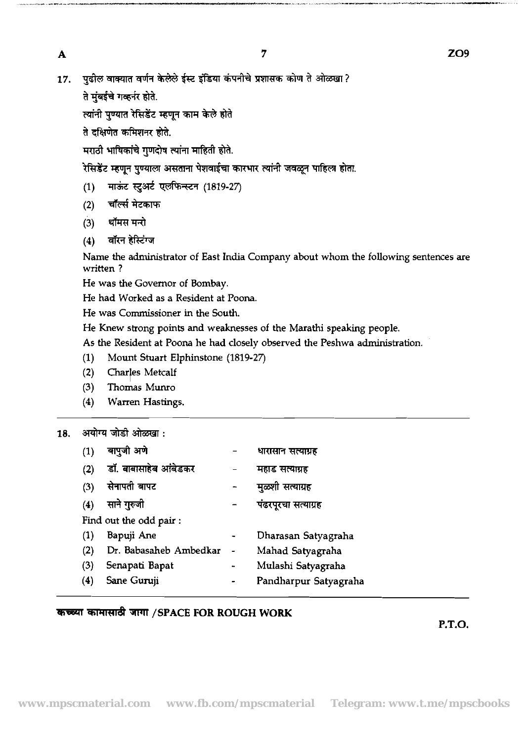$\mathbf{A}$ 

पढ़ील वाक्यात वर्णन केलेले ईस्ट इंडिया कंपनीचे प्रशासक कोण ते ओळखा ? 17.

ते मंबईचे गव्हर्नर होते.

त्यांनी पण्यात रेसिडेंट म्हणून काम केले होते

ते दक्षिणेत कमिशनर होते.

मराठी भाषिकांचे गणदोष त्यांना माहिती होते.

रेसिडेंट म्हणून पुण्याला असताना पेशवाईचा कारभार त्यांनी जवळून पाहिला होता.

- माऊंट स्टुअर्ट एलफिन्स्टन (1819-27)  $(1)$
- चॉर्ल्स मेटकाफ  $(2)$
- (3) थॉमस मन्ते
- $(4)$  वॉरन हेस्टिंग्ज

Name the administrator of East India Company about whom the following sentences are written ?

He was the Governor of Bombay.

He had Worked as a Resident at Poona.

He was Commissioner in the South.

He Knew strong points and weaknesses of the Marathi speaking people.

As the Resident at Poona he had closely observed the Peshwa administration.

- (1) Mount Stuart Elphinstone **(1819-27)**
- (2) Char/es Metcalf
- **(3)** Thomas Munro
- **(4)** Warren Hastings.

### **18.**

| अयोग्य जोडी ओळखा : |                        |  |                       |  |  |  |  |  |
|--------------------|------------------------|--|-----------------------|--|--|--|--|--|
| (1)                | बापुजी अणे             |  | धारासान सत्याग्रह     |  |  |  |  |  |
| (2)                | डॉ. बाबासाहेब आंबेडकर  |  | महाड सत्याग्रह        |  |  |  |  |  |
| (3)                | सेनापती बापट           |  | मुळशी सत्याग्रह       |  |  |  |  |  |
| (4)                | साने गुरुजी            |  | पंढरपूरचा सत्याग्रह   |  |  |  |  |  |
|                    | Find out the odd pair: |  |                       |  |  |  |  |  |
| (1)                | Bapuji Ane             |  | Dharasan Satyagraha   |  |  |  |  |  |
| (2)                | Dr. Babasaheb Ambedkar |  | Mahad Satyagraha      |  |  |  |  |  |
| (3)                | Senapati Bapat         |  | Mulashi Satyagraha    |  |  |  |  |  |
| (4)                | Sane Guruji            |  | Pandharpur Satyagraha |  |  |  |  |  |

### *च*िच्च्या कामासाठी जागा /SPACE FOR ROUGH WORK

**P.T.O.** 

-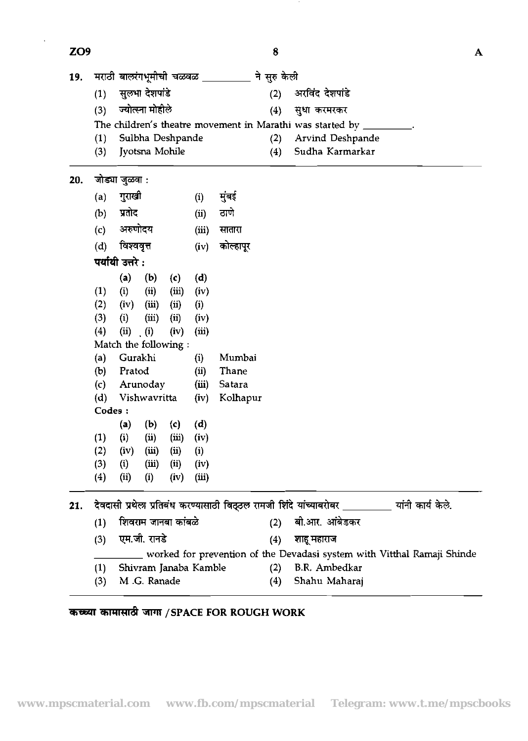| ZO <sub>9</sub> |            |                  |                                |       |               |                    | 8   |                                                                                                                          |  | A |
|-----------------|------------|------------------|--------------------------------|-------|---------------|--------------------|-----|--------------------------------------------------------------------------------------------------------------------------|--|---|
| 19.             |            |                  | मराठी बालरंगभूमीची चळवळ $\,\_$ |       |               | ने सुरु केली       |     |                                                                                                                          |  |   |
|                 | (1)        |                  | सुलभा देशपांडे                 |       |               |                    | (2) | अरविंद देशपांडे                                                                                                          |  |   |
|                 | (3)        |                  | ज्योत्स्ना मोहीले              |       |               |                    | (4) | सुधा करमरकर                                                                                                              |  |   |
|                 |            |                  |                                |       |               |                    |     | The children's theatre movement in Marathi was started by                                                                |  |   |
|                 | (1)        |                  | Sulbha Deshpande               |       |               |                    | (2) | Arvind Deshpande                                                                                                         |  |   |
|                 | (3)        |                  | Jyotsna Mohile                 |       |               |                    | (4) | Sudha Karmarkar                                                                                                          |  |   |
| 20.             |            | जोड्या जुळवा :   |                                |       |               |                    |     |                                                                                                                          |  |   |
|                 | (a)        | गुराखी           |                                |       | (i)           | मुंबई              |     |                                                                                                                          |  |   |
|                 | (b)        | प्रतोट           |                                |       | (ii)          | ठाणे               |     |                                                                                                                          |  |   |
|                 | (c)        | अरुणोदय          |                                |       | (iii)         | सातारा             |     |                                                                                                                          |  |   |
|                 | (d)        | विश्ववृत्त       |                                |       | (iv)          | कोल्हापूर          |     |                                                                                                                          |  |   |
|                 |            | पर्यायी उत्तरे : |                                |       |               |                    |     |                                                                                                                          |  |   |
|                 |            | (a)              | (b)                            | (c)   | (d)           |                    |     |                                                                                                                          |  |   |
|                 | (1)        | (i)              | (i)                            | (iii) | (iv)          |                    |     |                                                                                                                          |  |   |
|                 | (2)        | (iv)             | (iii)                          | (ii)  | (i)           |                    |     |                                                                                                                          |  |   |
|                 | (3)        | (i)              | (iii)                          | (ii)  | (iv)          |                    |     |                                                                                                                          |  |   |
|                 | (4)        | (ii)             | (i)                            | (iv)  | (iii)         |                    |     |                                                                                                                          |  |   |
|                 |            |                  | Match the following :          |       |               |                    |     |                                                                                                                          |  |   |
|                 | (a)        | Gurakhi          |                                |       | (i)           | Mumbai             |     |                                                                                                                          |  |   |
|                 | (b)        | Pratod           |                                |       | (ii)          | Thane              |     |                                                                                                                          |  |   |
|                 | (c)<br>(d) |                  | Arunoday<br>Vishwavritta       |       | (iii)<br>(iv) | Satara<br>Kolhapur |     |                                                                                                                          |  |   |
|                 | Codes:     |                  |                                |       |               |                    |     |                                                                                                                          |  |   |
|                 |            | (a)              | (b)                            | (c)   | (d)           |                    |     |                                                                                                                          |  |   |
|                 | (1)        | (i)              | (ii)                           | (iii) | (iv)          |                    |     |                                                                                                                          |  |   |
|                 | (2)        | (iv)             | (iii)                          | (ii)  | (i)           |                    |     |                                                                                                                          |  |   |
|                 | (3)        | (i)              | (iii)                          | (ii)  | (iv)          |                    |     |                                                                                                                          |  |   |
|                 | (4)        | (ii)             | (i)                            | (iv)  | (iii)         |                    |     |                                                                                                                          |  |   |
|                 |            |                  |                                |       |               |                    |     |                                                                                                                          |  |   |
|                 |            |                  | शिवराम जानबा कांबळे            |       |               |                    |     | 21. देवदासी प्रथेला प्रतिबंध करण्यासाठी विठ्ठल रामजी शिंदे यांच्याबरोबर ________ यांनी कार्य केले.<br>(2) बी.आर. आंबेडकर |  |   |
|                 | (1)        |                  |                                |       |               |                    |     |                                                                                                                          |  |   |
|                 | (3)        |                  | एम.जी. रानडे                   |       |               |                    | (4) | शाहू महाराज                                                                                                              |  |   |

\_ worked for prevention of the Devadasi system with Vitthal Ramaji Shinde (1) Shivram Janaba Kamble (2) B.R. Ambedkar

(3) M .G. Ranade (4) Shahu Maharaj

## कच्च्या कामासाठी जागा / SPACE FOR ROUGH WORK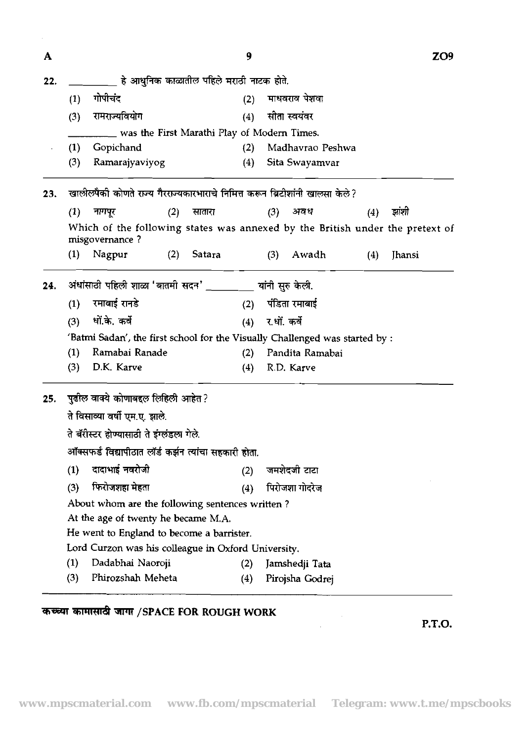| A   |                                                                                                 | 9      |                  |     | ZO9    |
|-----|-------------------------------------------------------------------------------------------------|--------|------------------|-----|--------|
| 22. | हे आधुनिक काळातील पहिले मराठी नाटक होते.                                                        |        |                  |     |        |
|     | गोपीचंद<br>(1)                                                                                  | (2)    | माधवराव पेशवा    |     |        |
|     | रामराज्यवियोग<br>(3)                                                                            | (4)    | सीता स्वयंवर     |     |        |
|     | was the First Marathi Play of Modern Times.                                                     |        |                  |     |        |
|     | (1)<br>Gopichand                                                                                | (2)    | Madhavrao Peshwa |     |        |
|     | (3)<br>Ramarajyaviyog                                                                           | (4)    | Sita Swayamvar   |     |        |
| 23. | खालीलपैकी कोणते राज्य गैरराज्यकारभाराचे निमित्त करून ब्रिटीशांनी खालसा केले?                    |        |                  |     |        |
|     | नागपूर<br>(1)<br>(2)                                                                            | सातारा | (3)<br>अवध       | (4) | झांशी  |
|     | Which of the following states was annexed by the British under the pretext of<br>misgovernance? |        |                  |     |        |
|     | (1)<br>Nagpur<br>(2)                                                                            | Satara | (3)<br>Awadh     | (4) | Jhansi |
| 24. | अंधांसाठी पहिली शाळा 'बातमी सदन' _                                                              |        | यांनी सुरु केली. |     |        |
|     | रमाबाई रानडे<br>(1)                                                                             | (2)    | पंडिता रमाबाई    |     |        |
|     | धों.के. कर्वे<br>(3)                                                                            | (4)    | र.धों. कर्वे     |     |        |
|     | 'Batmi Sadan', the first school for the Visually Challenged was started by :                    |        |                  |     |        |
|     | (1)<br>Ramabai Ranade                                                                           | (2)    | Pandita Ramabai  |     |        |
|     | D.K. Karve<br>(3)                                                                               | (4)    | R.D. Karve       |     |        |
| 25. | पुढील वाक्ये कोणाबद्दल लिहिली आहेत ?                                                            |        |                  |     |        |
|     | ते विसाव्या वर्षी एम.ए. झाले.                                                                   |        |                  |     |        |
|     | ते बॅरीस्टर होण्यासाठी ते इंग्लंडला गेले.                                                       |        |                  |     |        |
|     | ऑक्सफर्ड विद्यापीठात लॉर्ड कर्झन त्यांचा सहकारी होता.                                           |        |                  |     |        |
|     | दादाभाई नवरोजी<br>(1)                                                                           | (2)    | जमशेदजी टाटा     |     |        |
|     | फिरोजशहा मेहता<br>(3)                                                                           | (4)    | पिरोजशा गोदरेज   |     |        |
|     | About whom are the following sentences written?                                                 |        |                  |     |        |
|     | At the age of twenty he became M.A.                                                             |        |                  |     |        |
|     | He went to England to become a barrister.                                                       |        |                  |     |        |
|     | Lord Curzon was his colleague in Oxford University.                                             |        |                  |     |        |
|     | (1)<br>Dadabhai Naoroji                                                                         | (2)    | Jamshedji Tata   |     |        |
|     | Phirozshah Meheta<br>(3)                                                                        | (4)    | Pirojsha Godrej  |     |        |

# M **/SPACE FOR ROUGH WORK**

**P.T.O.** 

 $\label{eq:2} \frac{1}{2} \sum_{i=1}^n \frac{1}{2} \sum_{j=1}^n \frac{1}{2} \sum_{j=1}^n \frac{1}{2} \sum_{j=1}^n \frac{1}{2} \sum_{j=1}^n \frac{1}{2} \sum_{j=1}^n \frac{1}{2} \sum_{j=1}^n \frac{1}{2} \sum_{j=1}^n \frac{1}{2} \sum_{j=1}^n \frac{1}{2} \sum_{j=1}^n \frac{1}{2} \sum_{j=1}^n \frac{1}{2} \sum_{j=1}^n \frac{1}{2} \sum_{j=1}^n \frac{1}{$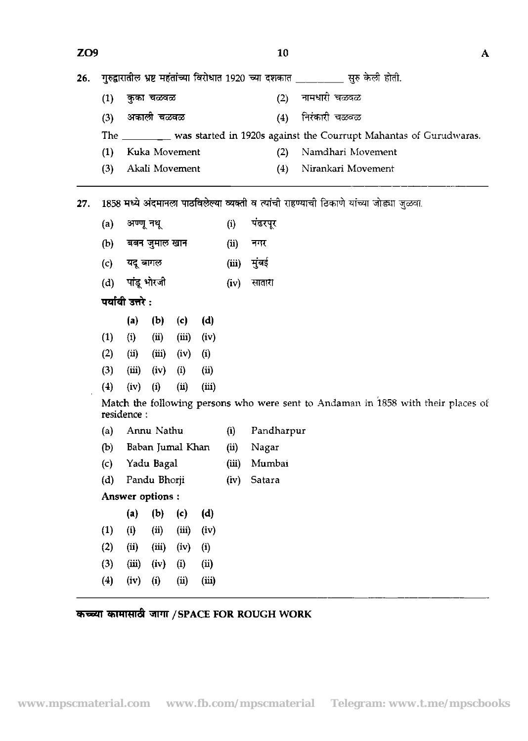| ZO <sub>9</sub> |                  |            |                  |       |       |       |            | 10  | A                                                                                        |  |  |
|-----------------|------------------|------------|------------------|-------|-------|-------|------------|-----|------------------------------------------------------------------------------------------|--|--|
| 26.             |                  |            |                  |       |       |       |            |     | गुरुद्वारातील भ्रष्ट महंतांच्या विरोधात 1920 च्या दशकात __________ सुरु केली होती.       |  |  |
|                 | (1)              |            | कुका चळवळ        |       |       |       |            | (2) | नामधारी चळवळ                                                                             |  |  |
|                 | (3)              |            | अकाली चळवळ       |       |       |       |            | (4) | निरंकारी चळवळ                                                                            |  |  |
|                 | The              |            |                  |       |       |       |            |     | was started in 1920s against the Courrupt Mahantas of Gurudwaras.                        |  |  |
|                 | (1)              |            | Kuka Movement    |       |       |       |            | (2) | Namdhari Movement                                                                        |  |  |
|                 | (3)              |            | Akali Movement   |       |       |       |            | (4) | Nirankari Movement                                                                       |  |  |
| 27.             |                  |            |                  |       |       |       |            |     | 1858 मध्ये अंदमानला पाठविलेल्या व्यक्ती व त्यांची राहण्याची ठिकाणे यांच्या जोड्या जुळवा. |  |  |
|                 | (a)              | अण्णू नथू  |                  |       |       | (i)   | पंढरपूर    |     |                                                                                          |  |  |
|                 | (b)              |            | बबन जुमाल खान    |       |       | (ii)  | नगर        |     |                                                                                          |  |  |
|                 | (c)              | यदू बागल   |                  |       |       | (iii) | मुंबई      |     |                                                                                          |  |  |
|                 | (d)              |            | पांडू भोरजी      |       |       | (iv)  | सातारा     |     |                                                                                          |  |  |
|                 | पर्यायी उत्तरे : |            |                  |       |       |       |            |     |                                                                                          |  |  |
|                 |                  | (a)        | (b)              | (c)   | (d)   |       |            |     |                                                                                          |  |  |
|                 | (1)              | (i)        | (ii)             | (iii) | (iv)  |       |            |     |                                                                                          |  |  |
|                 | (2)              | (ii)       | (iii)            | (iv)  | (i)   |       |            |     |                                                                                          |  |  |
|                 | (3)              | (iii)      | (iv)             | (i)   | (ii)  |       |            |     |                                                                                          |  |  |
|                 | (4)              | (iv)       | (i)              | (ii)  | (iii) |       |            |     |                                                                                          |  |  |
|                 |                  | residence: |                  |       |       |       |            |     | Match the following persons who were sent to Andaman in 1858 with their places of        |  |  |
|                 | (a)              |            | Annu Nathu       |       |       | (i)   | Pandharpur |     |                                                                                          |  |  |
|                 | (b)              |            | Baban Jumal Khan |       |       | (ii)  | Nagar      |     |                                                                                          |  |  |
|                 | (c)              |            | Yadu Bagal       |       |       | (iii) | Mumbai     |     |                                                                                          |  |  |
|                 | (d)              |            | Pandu Bhorji     |       |       | (iv)  | Satara     |     |                                                                                          |  |  |
|                 |                  |            | Answer options:  |       |       |       |            |     |                                                                                          |  |  |
|                 |                  | (a)        | (b)              | (c)   | (d)   |       |            |     |                                                                                          |  |  |
|                 | (1)              | (i)        | (ii)             | (iii) | (iv)  |       |            |     |                                                                                          |  |  |
|                 | (2)              | (ii)       | (iii)            | (iv)  | (i)   |       |            |     |                                                                                          |  |  |
|                 | (3)              | (iii)      | (iv)             | (i)   | (ii)  |       |            |     |                                                                                          |  |  |
|                 | (4)              | (iv)       | (i)              | (ii)  | (iii) |       |            |     |                                                                                          |  |  |

# *कच्च्या कामासाठी जागा / SPACE FOR ROUGH WORK*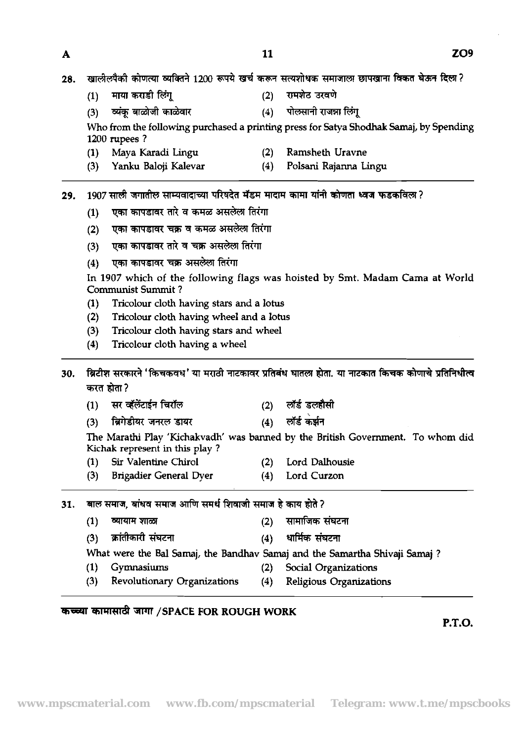- $(2)$ रामशेट उरवणे माया कराडी लिंगू  $(1)$
- $(4)$ व्यंक बाळोजी काळेवार  $(3)$

Who from the following purchased a printing press for Satya Shodhak Samaj, by Spending **1200** rupees ?

पोलसानी राजन्ना लिंग

- **(1)** Maya Karadi Lingu **(2)** Ramsheth Uravne
- **(3)** Yanku Baloji Kalevar **(4)** Polsani Rajanna Lingu

#### 1907 साली जगातील साम्यवादाच्या परिषदेत मॅडम मादाम कामा यांनी कोणता ध्वज फडकविला ? 29.

- एका कापडावर तारे व कमळ असलेला तिरंगा  $(1)$
- (2) एका कापडावर चक्र व कमळ असलेला तिरंगा
- (3) एका कापडावर तारे व चक्र असलेला तिरंगा
- (4) एका कापडावर चक्र असलेला तिरंगा

In **1907** which of the following flags was hoisted by Smt. Madam Cama at World Communist Summit ?

- **(1)** Tricolour cloth having stars and a lotus
- **(2)** Tricolour cloth having wheel and a lotus
- **(3)** Tricolour cloth having stars and wheel
- **(4)** Tricolour cloth having a wheel

ब्रिटीश सरकारने 'किचकवध' या मराठी नाटकावर प्रतिबंध घातला होता. या नाटकात किचक कोणाचे प्रतिनिधीत्व 30. करत होता?

- सर व्हॅलेंटाईन चिरॉल  $(2)$  लॉर्ड डलहौसी  $(1)$
- $(4)$  लॉर्ड कर्झन ब्रिगेडीयर जनरल डायर  $(3)$

The Marathi Play 'Kichakvadh' was banned by the British Government. To whom did Kichak represent in this play ?

- **(1)** Sir Valentine Chirol **(2)** Lord Dalhousie
- **(3)** Brigadier General Dyer **(4)** Lord Curzon
- 31.
	- (1) व्यायाम शाळा (2) सामाजिक संघटना
		-

**(3) rn Fhml (4)** \* **Fhml**  What were the **Bal** Samaj, the Bandhav Samaj and the Sarnartha Shivaji Samaj ?

- **(1)** Gymnasiums **(2)** Social Organizations
	-
- **(3)** Revolutionary Organizations **(4)** Religious Organizations

## **/SPACE FOR ROUGH WORK**

**P.T.O.** 

A

- 
- 
- 
-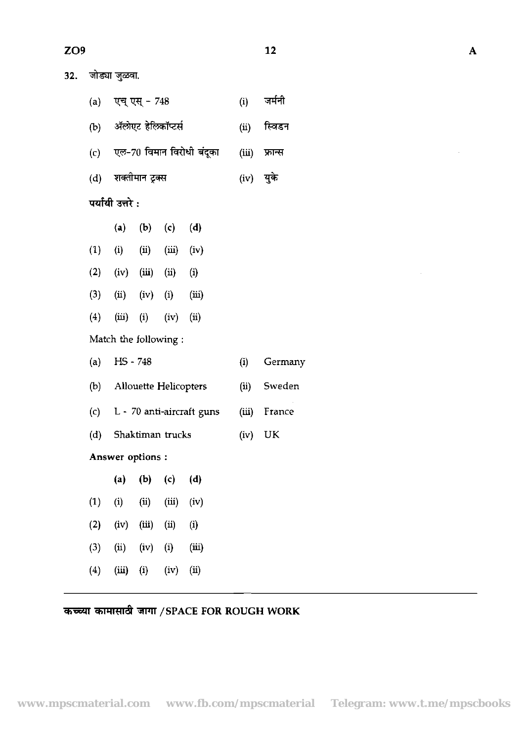| × |
|---|

 $\mathcal{L}_{\mathcal{A}}$ 

| 32. |     | जोड्या जुळवा.    |                                    |       |                               |           |                 |
|-----|-----|------------------|------------------------------------|-------|-------------------------------|-----------|-----------------|
|     |     |                  | (a) एच् एस् - 748                  |       |                               | (i)       | जर्मनी          |
|     |     |                  | (b) ॲलोएट हेल्कॉप्टर्स             |       |                               | (ii)      | स्विडन          |
|     |     |                  |                                    |       | (c) एल-70 विमान विरोधी बंदूका |           | $(iii)$ फ्रान्स |
|     |     |                  | (d) शक्तीमान ट्रक्स                |       |                               | (iv) युके |                 |
|     |     | पर्यायी उत्तरे : |                                    |       |                               |           |                 |
|     |     | (a)              | $(b)$ (c)                          |       | (d)                           |           |                 |
|     |     |                  | $(1)$ $(ii)$ $(ii)$ $(iii)$ $(iv)$ |       |                               |           |                 |
|     |     |                  | (2) (iv) (iii) (ii) (i)            |       |                               |           |                 |
|     | (3) |                  | $(ii)$ $(iv)$ $(i)$ $(iii)$        |       |                               |           |                 |
|     | (4) |                  | $(iii)$ $(i)$                      | (iv)  | (ii)                          |           |                 |
|     |     |                  | Match the following:               |       |                               |           |                 |
|     | (a) | HS - 748         |                                    |       |                               | (i)       | Germany         |
|     |     |                  | (b) Allouette Helicopters          |       |                               | (ii)      | Sweden          |
|     |     |                  |                                    |       | (c) L - 70 anti-aircraft guns |           | (iii) France    |
|     | (d) |                  | Shaktiman trucks                   |       |                               | (iv)      | UK              |
|     |     |                  | Answer options:                    |       |                               |           |                 |
|     |     | (a)              | (b)                                | (c)   | (d)                           |           |                 |
|     | (1) | (i)              | (ii)                               | (iii) | (iv)                          |           |                 |
|     | (2) | (iv)             | (iii)                              | (ii)  | $\left( i\right)$             |           |                 |
|     | (3) | (ii)             | (iv)                               | (i)   | (iii)                         |           |                 |
|     | (4) | (iii)            | (i)                                | (iv)  | (ii)                          |           |                 |

# कच्च्या कामासाठी जागा /SPACE FOR ROUGH WORK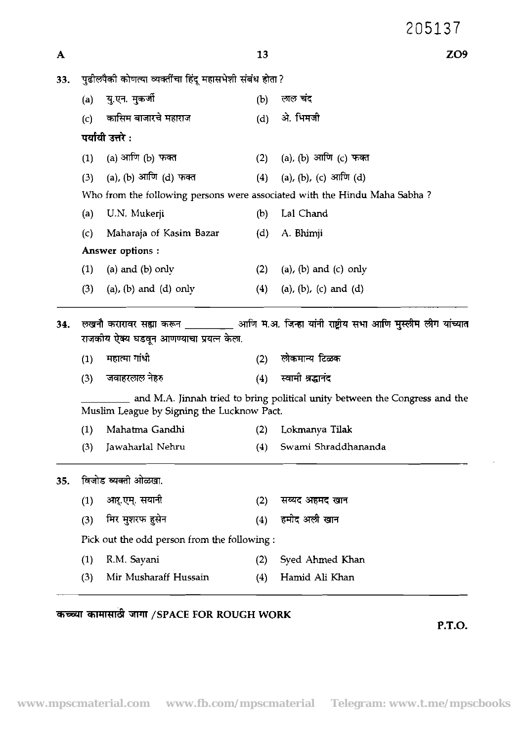|     |     |                                                          | 13  | ZO <sub>9</sub>                                                                                 |
|-----|-----|----------------------------------------------------------|-----|-------------------------------------------------------------------------------------------------|
| 33. |     | पुढीलपैकी कोणत्या व्यक्तींचा हिंदू महासभेशी संबंध होता ? |     |                                                                                                 |
|     | (a) | य एन. मुकर्जी                                            | (b) | लाल चंद                                                                                         |
|     | (c) | कासिम बाजारचे महाराज                                     | (d) | ओ. भिमजी                                                                                        |
|     |     | पर्यायी उत्तरे :                                         |     |                                                                                                 |
|     | (1) | (a) आणि (b) फक्त                                         |     | (2) (a), (b) आणि (c) फक्त                                                                       |
|     | (3) | (a), (b) आणि (d) फक्त                                    |     | (4) (a), (b), (c) आणि (d)                                                                       |
|     |     |                                                          |     | Who from the following persons were associated with the Hindu Maha Sabha?                       |
|     | (a) | U.N. Mukerji                                             | (b) | Lal Chand                                                                                       |
|     | (c) | Maharaja of Kasim Bazar                                  | (d) | A. Bhimji                                                                                       |
|     |     | Answer options:                                          |     |                                                                                                 |
|     | (1) | (a) and (b) only                                         | (2) | (a), (b) and (c) only                                                                           |
|     | (3) | (a), (b) and (d) only                                    | (4) | (a), (b), (c) and (d)                                                                           |
|     |     |                                                          |     |                                                                                                 |
| 34. |     | राजकोय ऐक्य घडवून आणण्याचा प्रयत्न केला.                 |     | लखनौ करारावर सह्या करून __________ आणि म.अ. जिन्हा यांनी राष्ट्रीय सभा आणि मुस्लीम लीग यांच्यात |
|     | (1) | महात्मा गांधी                                            | (2) | लोकमान्य टिळक                                                                                   |
|     | (3) | जवाहरलाल नेहरु                                           | (4) | स्वामी श्रद्धानंद                                                                               |
|     |     | Muslim League by Signing the Lucknow Pact.               |     | and M.A. Jinnah tried to bring political unity between the Congress and the                     |
|     | (1) | Mahatma Gandhi                                           | (2) | Lokmanya Tilak                                                                                  |
|     | (3) | Jawaharlal Nehru                                         | (4) | Swami Shraddhananda                                                                             |
| 35. |     | विजोड व्यक्ती ओळखा.                                      |     |                                                                                                 |
|     | (1) | आर्.एम्. सयानी                                           | (2) | सय्यद अहमद खान                                                                                  |
|     | (3) | मिर मुशरफ हुसेन                                          | (4) | हमीद अली खान                                                                                    |
|     |     | Pick out the odd person from the following :             |     |                                                                                                 |
|     | (1) | R.M. Sayani                                              | (2) | Syed Ahmed Khan                                                                                 |

# $\overline{\text{R}}$   $\overline{\text{R}}$   $\overline{\text{R}}$   $\overline{\text{R}}$   $\overline{\text{R}}$   $\overline{\text{R}}$   $\overline{\text{R}}$   $\overline{\text{R}}$   $\overline{\text{R}}$   $\overline{\text{R}}$   $\overline{\text{R}}$   $\overline{\text{R}}$   $\overline{\text{R}}$   $\overline{\text{R}}$   $\overline{\text{R}}$   $\overline{\text{R}}$   $\overline{\text{R}}$   $\overline{\text{R}}$   $\overline{\text{R}}$   $\overline{\text{R}}$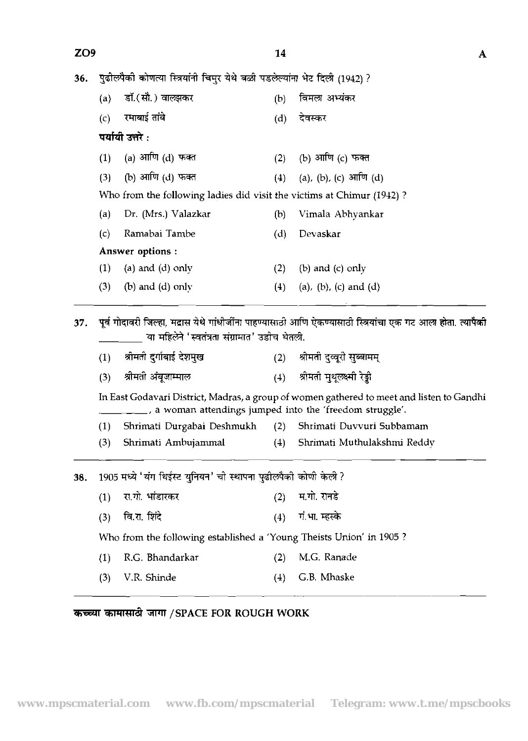| ZO <sub>9</sub> |                 |                                                                            | 14  | A                                                                                                            |  |  |  |  |  |  |
|-----------------|-----------------|----------------------------------------------------------------------------|-----|--------------------------------------------------------------------------------------------------------------|--|--|--|--|--|--|
| 36.             |                 | पुढीलपैकी कोणत्या स्त्रियांनी चिमुर येथे बळी पडलेल्यांना भेट दिली (1942) ? |     |                                                                                                              |  |  |  |  |  |  |
|                 | (a)             | डॉ.(सौ.) वालझकर                                                            | (b) | विमला अभ्यंकर                                                                                                |  |  |  |  |  |  |
|                 | (c)             | रमाबाई तांबे                                                               | (d) | देवस्कर                                                                                                      |  |  |  |  |  |  |
|                 |                 | पर्यायी उत्तरे :                                                           |     |                                                                                                              |  |  |  |  |  |  |
|                 | (1)             | (a) आणि (d) फक्त                                                           | (2) | (b) आणि (c) फक्त                                                                                             |  |  |  |  |  |  |
|                 | (3)             | (b) आणि (d) फक्त                                                           | (4) | (a), (b), (c) आणि (d)                                                                                        |  |  |  |  |  |  |
|                 |                 | Who from the following ladies did visit the victims at Chimur (1942)?      |     |                                                                                                              |  |  |  |  |  |  |
|                 | (a)             | Dr. (Mrs.) Valazkar                                                        | (b) | Vimala Abhyankar                                                                                             |  |  |  |  |  |  |
|                 | (c)             | Ramabai Tambe                                                              | (d) | Devaskar                                                                                                     |  |  |  |  |  |  |
|                 | Answer options: |                                                                            |     |                                                                                                              |  |  |  |  |  |  |
|                 | (1)             | (a) and $(d)$ only                                                         | (2) | (b) and $(c)$ only                                                                                           |  |  |  |  |  |  |
|                 | (3)             | $(b)$ and $(d)$ only                                                       | (4) | (a), (b), (c) and (d)                                                                                        |  |  |  |  |  |  |
| 37.             |                 | या महिलेने 'स्वतंत्रता संग्रामात' उडीच घेतली.                              |     | पूर्व गोदावरी जिल्हा, मद्रास येथे गांधीजींना पाहण्यासाठी आणि ऐकण्यासाठी स्त्रियांचा एक गट आला होता. त्यापैको |  |  |  |  |  |  |
|                 | (1)             | श्रोमती दर्गाबाई देशमुख                                                    |     | (2) श्रीमती दुव्वरी सुब्बामम्                                                                                |  |  |  |  |  |  |
|                 | (3)             | श्रीमती अंबूजाम्माल                                                        |     | (4) श्रीमती मुथूलक्ष्मी रेड्डी                                                                               |  |  |  |  |  |  |
|                 |                 | a woman attendings jumped into the 'freedom struggle'.                     |     | In East Godavari District, Madras, a group of women gathered to meet and listen to Gandhi                    |  |  |  |  |  |  |
|                 | (1)             | Shrimati Durgabai Deshmukh                                                 | (2) | Shrimati Duvvuri Subbamam                                                                                    |  |  |  |  |  |  |
|                 | (3)             | Shrimati Ambujammal                                                        | (4) | Shrimati Muthulakshmi Reddy                                                                                  |  |  |  |  |  |  |
| 38.             |                 | 1905 मध्ये 'यंग थिईस्ट युनियन' ची स्थापना पुढीलपैकी कोणी केली ?            |     |                                                                                                              |  |  |  |  |  |  |
|                 | (1)             | रा.गो. भांडारकर                                                            | (2) | म.गो. रानडे                                                                                                  |  |  |  |  |  |  |
|                 | (3)             | वि.रा. शिंदे                                                               |     | $(4)$ गं. भा. म्हस्के                                                                                        |  |  |  |  |  |  |
|                 |                 | Who from the following established a 'Young Theists Union' in 1905?        |     |                                                                                                              |  |  |  |  |  |  |
|                 | (1)             | R.G. Bhandarkar                                                            | (2) | M.G. Ranade                                                                                                  |  |  |  |  |  |  |
|                 | (3)             | V.R. Shinde                                                                | (4) | G.B. Mhaske                                                                                                  |  |  |  |  |  |  |
|                 |                 |                                                                            |     |                                                                                                              |  |  |  |  |  |  |

*कच्च्या कामासाठी जागा / SPACE FOR ROUGH WORK*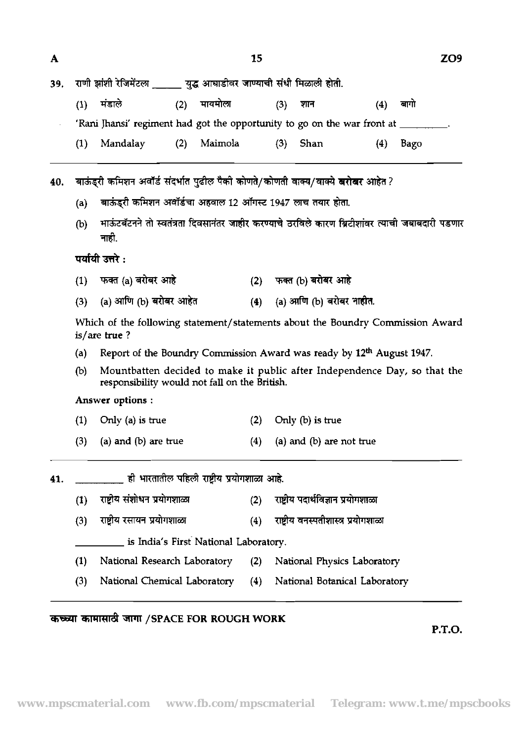| A   |                                                                                                |                                                                                                                            |                                       | 15                      |     |                                     |     |      | ZO9 |  |  |  |  |
|-----|------------------------------------------------------------------------------------------------|----------------------------------------------------------------------------------------------------------------------------|---------------------------------------|-------------------------|-----|-------------------------------------|-----|------|-----|--|--|--|--|
| 39. |                                                                                                | राणी झांशी रेजिमेंटल _____ युद्ध आघाडीवर जाण्याची संधी मिळाली होती.                                                        |                                       |                         |     |                                     |     |      |     |  |  |  |  |
|     | (1)                                                                                            | मंडाले                                                                                                                     | मायमोला<br>(2)                        |                         | (3) | शान                                 | (4) | बागो |     |  |  |  |  |
|     |                                                                                                | 'Rani Jhansi' regiment had got the opportunity to go on the war front at _____                                             |                                       |                         |     |                                     |     |      |     |  |  |  |  |
|     | (1)                                                                                            | Mandalay                                                                                                                   | Maimola<br>(2)                        |                         | (3) | Shan                                | (4) | Bago |     |  |  |  |  |
| 40. |                                                                                                | बाऊंड्री कमिशन अवॉर्ड संदर्भात पुढील पैकी कोणते/कोणती वाक्य/वाक्ये <b>बरोबर</b> आहेत ?                                     |                                       |                         |     |                                     |     |      |     |  |  |  |  |
|     | (a)                                                                                            | बाऊंड्री कमिशन अवॉर्डचा अहवाल 12 ऑगस्ट 1947 लाच तयार होता.                                                                 |                                       |                         |     |                                     |     |      |     |  |  |  |  |
|     | (b)                                                                                            | माऊंटबॅटनने तो स्वतंत्रता दिवसानंतर जाहीर करण्याचे ठरविले कारण ब्रिटीशांवर त्याची जबाबदारी पडणार<br>नाही.                  |                                       |                         |     |                                     |     |      |     |  |  |  |  |
|     |                                                                                                | पर्यायी उत्तरे :                                                                                                           |                                       |                         |     |                                     |     |      |     |  |  |  |  |
|     | (1)                                                                                            | फक्त (a) बरोबर आहे                                                                                                         |                                       |                         |     | (2) फक्त (b) बरोबर आहे              |     |      |     |  |  |  |  |
|     | (a) आणि (b) बरोबर आहेत<br>(3)                                                                  |                                                                                                                            |                                       |                         |     | (a) आणि (b) बरोबर नाहीत.            |     |      |     |  |  |  |  |
|     | Which of the following statement/statements about the Boundry Commission Award<br>is/are true? |                                                                                                                            |                                       |                         |     |                                     |     |      |     |  |  |  |  |
|     | (a)                                                                                            | Report of the Boundry Commission Award was ready by 12 <sup>th</sup> August 1947.                                          |                                       |                         |     |                                     |     |      |     |  |  |  |  |
|     | (b)                                                                                            | Mountbatten decided to make it public after Independence Day, so that the<br>responsibility would not fall on the British. |                                       |                         |     |                                     |     |      |     |  |  |  |  |
|     |                                                                                                | Answer options:                                                                                                            |                                       |                         |     |                                     |     |      |     |  |  |  |  |
|     | (1)                                                                                            | Only (a) is true                                                                                                           |                                       | Only (b) is true<br>(2) |     |                                     |     |      |     |  |  |  |  |
|     | (3)                                                                                            | (a) and (b) are true                                                                                                       |                                       | (4)                     |     | (a) and (b) are not true            |     |      |     |  |  |  |  |
| 41. |                                                                                                | ही भारतातील पहिली राष्ट्रीय प्रयोगशाळा आहे.                                                                                |                                       |                         |     |                                     |     |      |     |  |  |  |  |
|     | (1)                                                                                            | राष्ट्रीय संशोधन प्रयोगशाळा                                                                                                |                                       | (2)                     |     | राष्ट्रीय पदार्थविज्ञान प्रयोगशाळा  |     |      |     |  |  |  |  |
|     | (3)                                                                                            | राष्ट्रीय रसायन प्रयोगशाळा                                                                                                 |                                       |                         |     | राष्ट्रीय वनस्पतीशास्त्र प्रयोगशाळा |     |      |     |  |  |  |  |
|     |                                                                                                |                                                                                                                            | is India's First National Laboratory. |                         |     |                                     |     |      |     |  |  |  |  |
|     | (1)                                                                                            | National Research Laboratory                                                                                               |                                       | (2)                     |     | National Physics Laboratory         |     |      |     |  |  |  |  |
|     | (3)                                                                                            | National Chemical Laboratory                                                                                               |                                       | (4)                     |     | National Botanical Laboratory       |     |      |     |  |  |  |  |

# कच्च्या कामासाठी जागा /SPACE FOR ROUGH WORK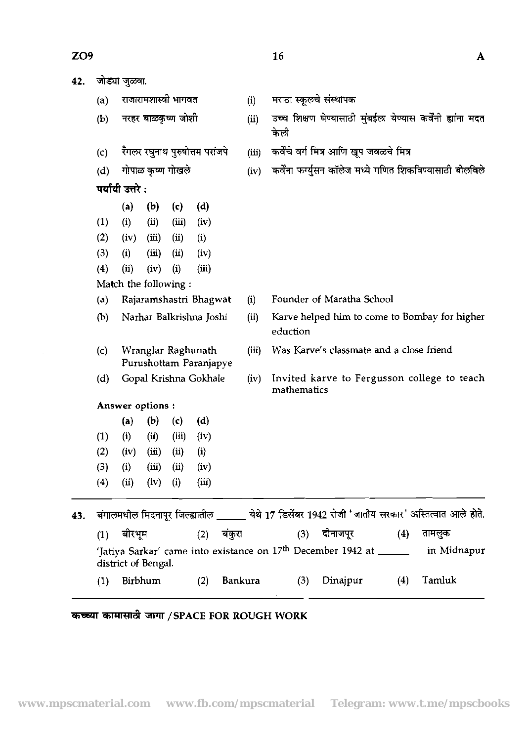| 42. |                   | जोड्या जुळवा.       |                        |                       |                                              |         |          |                                                                                                   |     |        |
|-----|-------------------|---------------------|------------------------|-----------------------|----------------------------------------------|---------|----------|---------------------------------------------------------------------------------------------------|-----|--------|
|     | $\left( a\right)$ |                     |                        | राजारामशास्त्री भागवत |                                              | (i)     |          | मराठा स्कूलचे संस्थापक                                                                            |     |        |
|     | (b)               |                     |                        | नरहर बाळकृष्ण जोशी    |                                              | (ii)    | केली     | उच्च शिक्षण घेण्यासाठी मुंबईला येण्यास कर्वेंनी ह्यांना मदत                                       |     |        |
|     | (c)               |                     |                        |                       | रॅंगलर रघुनाथ पुरुषोत्तम परांजपे             | (iii)   |          | कर्वेंचे वर्ग मित्र आणि खूप जवळचे मित्र                                                           |     |        |
|     | (d)               |                     |                        | गोपाळ कृष्ण गोखले     |                                              | (iv)    |          | कर्वेना फर्ग्युसन कॉलेज मध्ये गणित शिकविण्यासाठी बोलविले                                          |     |        |
|     |                   | पर्यायी उत्तरे:     |                        |                       |                                              |         |          |                                                                                                   |     |        |
|     |                   | (a)                 | (b)                    | (c)                   | (d)                                          |         |          |                                                                                                   |     |        |
|     | (1)               | (i)                 | (ii)                   | (iii)                 | (iv)                                         |         |          |                                                                                                   |     |        |
|     | (2)               | (iv)                | (iii)                  | (ii)                  | (i)                                          |         |          |                                                                                                   |     |        |
|     | (3)               | (i)                 | (iii)                  | (ii)                  | (iv)                                         |         |          |                                                                                                   |     |        |
|     | $\left(4\right)$  | (ii)                | (iv)                   | (i)                   | (iii)                                        |         |          |                                                                                                   |     |        |
|     |                   |                     |                        | Match the following:  |                                              |         |          |                                                                                                   |     |        |
|     | (a)               |                     |                        |                       | Rajaramshastri Bhagwat                       | (i)     |          | Founder of Maratha School                                                                         |     |        |
|     | (b)               |                     |                        |                       | Narhar Balkrishna Joshi                      | (ii)    | eduction | Karve helped him to come to Bombay for higher                                                     |     |        |
|     | (c)               |                     |                        |                       | Wranglar Raghunath<br>Purushottam Paranjapye | (iii)   |          | Was Karve's classmate and a close friend                                                          |     |        |
|     | (d)               |                     |                        |                       | Gopal Krishna Gokhale                        | (iv)    |          | Invited karve to Fergusson college to teach<br>mathematics                                        |     |        |
|     |                   | Answer options :    |                        |                       |                                              |         |          |                                                                                                   |     |        |
|     |                   | (a)                 | (b)                    | (c)                   | (d)                                          |         |          |                                                                                                   |     |        |
|     | (1)               | (i)                 | (ii)                   | (iii)                 | (iv)                                         |         |          |                                                                                                   |     |        |
|     |                   |                     |                        |                       |                                              |         |          |                                                                                                   |     |        |
|     |                   |                     |                        |                       |                                              |         |          |                                                                                                   |     |        |
|     |                   |                     |                        |                       |                                              |         |          |                                                                                                   |     |        |
|     | (2)<br>(3)<br>(4) | (iv)<br>(i)<br>(ii) | (iii)<br>(iii)<br>(iv) | (ii)<br>(ii)<br>(i)   | (i)<br>(iv)<br>(iii)                         |         |          |                                                                                                   |     |        |
| 43. |                   |                     |                        |                       |                                              |         |          | बंगालमधील मिदनापूर जिल्ह्यातील _____ येथे 17 डिसेंबर 1942 रोजी 'जातीय सरकार' अस्तित्वात आले होते. |     |        |
|     |                   | (1) बीरभूम          |                        |                       | (2) बंकुरा                                   |         |          | (3) दीनाजपूर                                                                                      | (4) | तामलुक |
|     |                   | district of Bengal. |                        |                       |                                              |         |          | 'Jatiya Sarkar' came into existance on 17 <sup>th</sup> December 1942 at _______ in Midnapur      |     |        |
|     | (1)               |                     | Birbhum                |                       | (2)                                          | Bankura |          | Dinajpur<br>(3)                                                                                   | (4) | Tamluk |

 $\overline{\mathbf{A}}$ 

# & **<sup>W</sup>/SPACE FOR ROUGH WORK**

 $\mathcal{A}$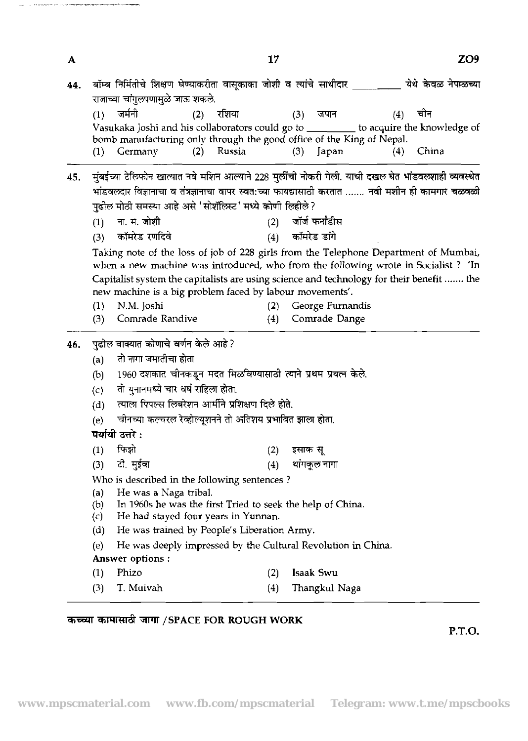| (1) | जर्मनी                                                                | (2) रशिया    | (3) | जपान                | $(4)$ चीन                                                                               |
|-----|-----------------------------------------------------------------------|--------------|-----|---------------------|-----------------------------------------------------------------------------------------|
|     |                                                                       |              |     |                     | Vasukaka Joshi and his collaborators could go to __________ to acquire the knowledge of |
|     | bomb manufacturing only through the good office of the King of Nepal. |              |     |                     |                                                                                         |
|     | $(1)$ Germany                                                         | $(2)$ Russia |     | $(3)$ $\alpha$ apan | - China<br>(4)                                                                          |

- $45.$  पंबईच्या टेलिफोन खात्यात नवे मशिन आल्याने 228 मुर्लीची नोकरी गेली. याची दखल घेत भांडवलशाही व्यवस्थेत मुंबइच्या टाल्फान खात्पात नव माशन आल्पान 228 मुलाचा नाकरा गला. याचा दखल बत माडवर<br>भांडवलदार विज्ञानाचा व तंत्रज्ञानाचा वापर स्वत:च्या फायद्यासाठी करतात ....... नवी मशीन ही क<br>पुढोल मोठी समस्या आहे असे 'सोशॅलिस्ट' मध्ये कोणी पढ़ील मोठी समस्या आहे असे 'सोशॅलिस्ट' मध्ये कोणी लिहीले?
	- (1) ना. म. जोशी **7. हे बार हो को बार हो है। अब**र्ज कर्मांडीस
	-

Taking note of the loss of job of 228 girls from the Telephone Department of Mumbai, when a new machine was introduced, who from the following wrote in Socialist ? 'In Capitalist system the capitalists are using science and technology for their benefit ....... the new machine is a big problem faced by labour movements'.

- (1) N.M. Joshi (2) George Furnandis
- (3) Comrade Randive (4) Comrade Dange (a) \*ire\*

## 46. पुढील वाक्यात कोणाचे वर्णन केले आहे ?

- 
- (a) तो नागा जमातीचा होता<br>(b) 1960 दशकात चीनकडून मदत मिळविण्यासाठी त्याने प्रथम प्रयत्न केले.
- (c) तो यनानमध्ये चार वर्ष राहिला होता.
- (d) त्याला पिपल्स लिबरेशन आर्मीने प्रशिक्षण दिले होते.
- (e) चीनच्या कल्चरल रेव्होल्युशनने तो अतिशय प्रभावित झाला होता.

पर्यायी उत्तरे :

- $(1)$ फिओ  $(2)$ इसाक सू
- टो. मईवा थांगकुल नागा  $(4)$  $(3)$

Who is described in the following sentences ?

- (a) He was a Naga tribal.<br>(b) In 1960s he was the fil
- (b) In 1960s he was the first Tried to seek the help of **China.**
- He had stayed four years in Yunnan.
- (d) He was trained by PeopIe's Liberation Army.
- (e) He was deeply impressed by the Cultural Revolution in China. Answer options :
- (1) Phizo (2) Isaak Swu
- *(3)* T. Muivah (4) Thangkul Naga

## कच्च्या कामासाठी जागा / SPACE FOR ROUGH WORK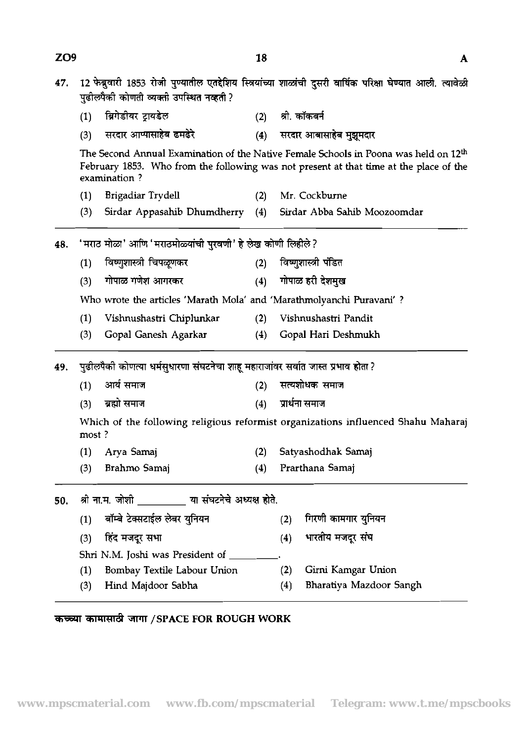| 47. | 12 फेब्रुवारी 1853 रोजी पुण्यातील एतद्देशिय स्त्रियांच्या शाळांची दुसरी वार्षिक परिक्षा घेण्यात आली. त्यावेळी<br>पुढीलपैकी कोणती व्यक्ती उपस्थित नव्हती ? |                                                                       |     |                      |                                                                                                                                                                                            |  |  |  |  |  |  |  |
|-----|-----------------------------------------------------------------------------------------------------------------------------------------------------------|-----------------------------------------------------------------------|-----|----------------------|--------------------------------------------------------------------------------------------------------------------------------------------------------------------------------------------|--|--|--|--|--|--|--|
|     | (1)                                                                                                                                                       | ब्रिगेडीयर टायडेल                                                     |     | (2) श्री. कॉकबर्न    |                                                                                                                                                                                            |  |  |  |  |  |  |  |
|     | (3)                                                                                                                                                       | सरदार आप्पासाहेब ढमढेरे                                               | (4) |                      | सरदार आबासाहेब मुझुमदार                                                                                                                                                                    |  |  |  |  |  |  |  |
|     |                                                                                                                                                           | examination?                                                          |     |                      | The Second Annual Examination of the Native Female Schools in Poona was held on 12 <sup>th</sup><br>February 1853. Who from the following was not present at that time at the place of the |  |  |  |  |  |  |  |
|     | (1)                                                                                                                                                       | Brigadiar Trydell                                                     |     |                      | (2) Mr. Cockburne                                                                                                                                                                          |  |  |  |  |  |  |  |
|     | (3)                                                                                                                                                       | Sirdar Appasahib Dhumdherry                                           | (4) |                      | Sirdar Abba Sahib Moozoomdar                                                                                                                                                               |  |  |  |  |  |  |  |
| 48. |                                                                                                                                                           | 'मराठ मोळा' आणि 'मराठमोळ्यांची पुरवणी' हे लेख कोणी लिहीले ?           |     |                      |                                                                                                                                                                                            |  |  |  |  |  |  |  |
|     | (1)                                                                                                                                                       | विष्णुशास्त्री चिपळूणकर                                               | (2) | विष्णुशास्त्री पंडित |                                                                                                                                                                                            |  |  |  |  |  |  |  |
|     | (3)                                                                                                                                                       | गोपाळ गणेश आगरकर                                                      |     |                      | (4) गोपाळ हरी देशमुख                                                                                                                                                                       |  |  |  |  |  |  |  |
|     |                                                                                                                                                           | Who wrote the articles 'Marath Mola' and 'Marathmolyanchi Puravani' ? |     |                      |                                                                                                                                                                                            |  |  |  |  |  |  |  |
|     | (1)                                                                                                                                                       | Vishnushastri Chiplunkar                                              | (2) |                      | Vishnushastri Pandit                                                                                                                                                                       |  |  |  |  |  |  |  |
|     | (3)                                                                                                                                                       | Gopal Ganesh Agarkar                                                  | (4) |                      | Gopal Hari Deshmukh                                                                                                                                                                        |  |  |  |  |  |  |  |
| 49. | पुढीलपैकी कोणत्या धर्मसुधारणा संघटनेचा शाहू महाराजांवर सर्वात जास्त प्रभाव होता ?                                                                         |                                                                       |     |                      |                                                                                                                                                                                            |  |  |  |  |  |  |  |
|     | (1)                                                                                                                                                       | आर्य समाज                                                             | (2) | सत्यशोधक समाज        |                                                                                                                                                                                            |  |  |  |  |  |  |  |
|     | (3)                                                                                                                                                       | ब्रह्मो समाज                                                          | (4) | प्रार्थना समाज       |                                                                                                                                                                                            |  |  |  |  |  |  |  |
|     | Which of the following religious reformist organizations influenced Shahu Maharaj<br>most?                                                                |                                                                       |     |                      |                                                                                                                                                                                            |  |  |  |  |  |  |  |
|     | (1)                                                                                                                                                       | Arya Samaj                                                            | (2) |                      | Satyashodhak Samaj                                                                                                                                                                         |  |  |  |  |  |  |  |
|     | (3)                                                                                                                                                       | Brahmo Samaj                                                          | (4) |                      | Prarthana Samaj                                                                                                                                                                            |  |  |  |  |  |  |  |
| 50. |                                                                                                                                                           | श्री ना.म. जोशी _________ या संघटनेचे अध्यक्ष होते.                   |     |                      |                                                                                                                                                                                            |  |  |  |  |  |  |  |
|     | (1)                                                                                                                                                       | बॉम्बे टेक्सटाईल लेबर युनियन                                          |     | (2)                  | गिरणी कामगार युनियन                                                                                                                                                                        |  |  |  |  |  |  |  |
|     | (3)                                                                                                                                                       | हिंद मजदूर सभा                                                        |     | (4)                  | भारतीय मजदूर संघ                                                                                                                                                                           |  |  |  |  |  |  |  |
|     | Shri N.M. Joshi was President of                                                                                                                          |                                                                       |     |                      |                                                                                                                                                                                            |  |  |  |  |  |  |  |
|     |                                                                                                                                                           |                                                                       |     |                      |                                                                                                                                                                                            |  |  |  |  |  |  |  |
|     | (1)                                                                                                                                                       | Bombay Textile Labour Union                                           |     | (2)                  | Girni Kamgar Union                                                                                                                                                                         |  |  |  |  |  |  |  |

 $\mathbf{A}$ 

# *कच्च्या कामासाठी जागा / SPACE FOR ROUGH WORK*

 $ZO9$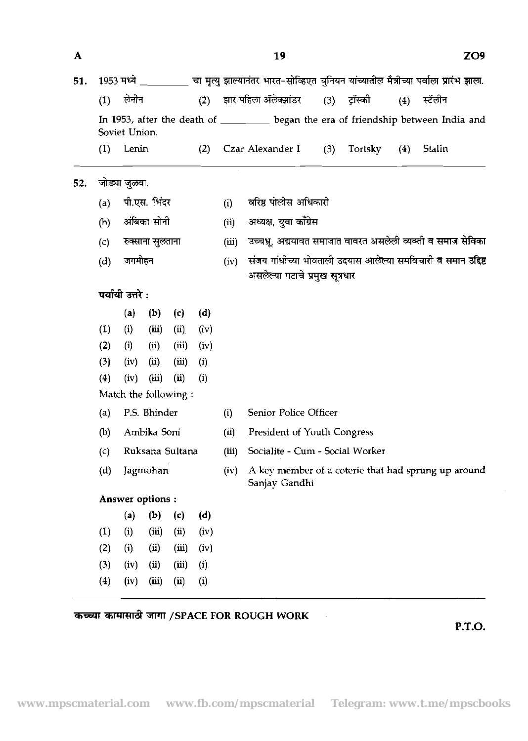**www.mpscmaterial.com www.fb.com/mpscmaterial Telegram: www.t.me/mpscbooks**

 $(1)$ लेनोन  $(2)$ झार पहिला ॲलेक्झांडर  $(3)$ टॉस्को स्टॅलोन  $(4)$ In 1953, after the death of **began** the era of friendship between India and Soviet Union. (1) Lenin (2) Czar Alexander I (3) Tortsky (4) Stalin **52. जोड्या जुळवा.** (a) पी.एस. भिंदर<br>(b) अंबिका सोनी<br>(c) रुक्साना सुलताना<br>(d) जगमोहन (a) पी.एस. भिंदर (i) वरिष्ठ पोलीस अधिकारी<br>(ii) अध्यक्ष, युवा काँग्रेस (b) अंबिका सोनी (iii) उच्चभ्र, अद्ययावत समाजात वावरत असलेली व्यक्ती व समाज सेविका (c) रुक्साना सुलताना<br>(d) जगमोहन (iv) संजय गांधीच्या भोवताली उदयास आलेल्या समविचारी व समान उद्दिष्ट (d) जगमोहन<br>**पर्यायी उत्तरे :**<br>(a) (b) (c) असलेल्या गटाचे प्रमुख सूत्रधार (a) (b) (c) (d) (1) (i) (iii) (ii) (iv) (2) (i) (ii) (iii) (iv)  $(3)$   $(iv)$   $(ii)$   $(iii)$   $(i)$  $(4)$   $(iv)$   $(iii)$   $(ii)$   $(i)$ Match the following : (i) Senior Police Officer (a) P.S. Bhinder @) Ambika Soni (ii) President of Youth Congress (iii) Socialite - Cum - Social Worker (c) Ruksana Sultana (d) Jagmohan (iv) A key member of a coterie that had sprung up around Sanjay Gandhi Answer options : (a) (b) (c) (d) (1) (i) (iii) (ii) (iv) (2) (i) (ii) (iii) (iv)

?5EZtT d 3TT /SPACE FOR ROUGH WORK

 $\mathbf{A}$ 

51. 1953 मध्ये \_\_\_\_\_\_\_\_\_ चा मृत्यु झाल्यानंतर भारत-सोव्हिएत युनियन यांच्यातील मैत्रीच्या पर्वाला प्रारंभ झाला.

19

 $(3)$   $(iv)$   $(ii)$   $(iii)$   $(i)$ (4) (iv) (iii) (ii) (i)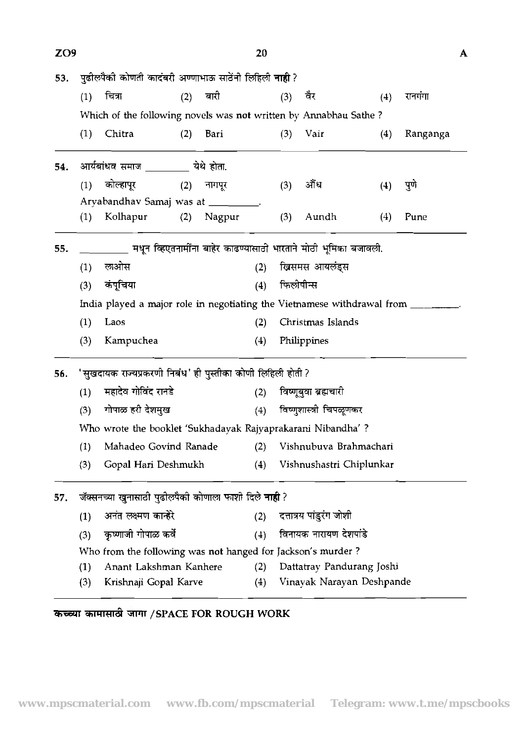| ZO <sub>9</sub> |                                                             |                                                                                    |     |              | 20  |                        |                           |     |          | $\mathbf{A}$ |  |
|-----------------|-------------------------------------------------------------|------------------------------------------------------------------------------------|-----|--------------|-----|------------------------|---------------------------|-----|----------|--------------|--|
| 53.             |                                                             | पुढीलपैकी कोणती कादंबरी अण्णाभाऊ साठेंनी लिहिली <b>नाही</b> ?                      |     |              |     |                        |                           |     |          |              |  |
|                 | (1)                                                         | चित्रा                                                                             | (2) | बारी         |     | (3)                    | वेर                       | (4) | रानगंगा  |              |  |
|                 |                                                             | Which of the following novels was not written by Annabhau Sathe?                   |     |              |     |                        |                           |     |          |              |  |
|                 | (1)                                                         | Chitra                                                                             | (2) | Bari         |     | (3)                    | Vair                      | (4) | Ranganga |              |  |
| 54.             |                                                             | आर्यबांधव समाज _________ येथे होता.                                                |     |              |     |                        |                           |     |          |              |  |
|                 | (1)                                                         | कोल्हापूर                                                                          |     | $(2)$ नागपूर |     | (3)                    | ॵऀध                       | (4) | पुणे     |              |  |
|                 |                                                             | Aryabandhav Samaj was at ________.                                                 |     |              |     |                        |                           |     |          |              |  |
|                 | (1)                                                         | Kolhapur                                                                           | (2) | Nagpur       |     | (3)                    | Aundh                     | (4) | Pune     |              |  |
| 55.             |                                                             | _________ मधून व्हिएतनामींना बाहेर काढण्यासाठी भारताने मोठी भूमिका बजावली.         |     |              |     |                        |                           |     |          |              |  |
|                 | (1)                                                         | लओस                                                                                |     |              | (2) |                        | ख्रिसमस आयलंड्स           |     |          |              |  |
|                 | (3)                                                         | कंपूचिया                                                                           |     |              | (4) | फिलीपीन्स              |                           |     |          |              |  |
|                 |                                                             | India played a major role in negotiating the Vietnamese withdrawal from _________. |     |              |     |                        |                           |     |          |              |  |
|                 | (1)                                                         | Laos                                                                               |     |              | (2) |                        | Christmas Islands         |     |          |              |  |
|                 | (3)                                                         | Kampuchea                                                                          |     |              | (4) |                        | Philippines               |     |          |              |  |
| 56.             | 'सुखदायक राज्यप्रकरणी निबंध' ही पुस्तीका कोणी लिहिली होती ? |                                                                                    |     |              |     |                        |                           |     |          |              |  |
|                 | (1)                                                         | महादेव गोविंद रानडे                                                                |     |              | (2) |                        | विष्णूबुवा ब्रह्मचारी     |     |          |              |  |
|                 | (3)                                                         | गोपाळ हरी देशमुख                                                                   |     |              | (4) |                        | विष्णुशास्त्री चिपळूणकर   |     |          |              |  |
|                 |                                                             | Who wrote the booklet 'Sukhadayak Rajyaprakarani Nibandha' ?                       |     |              |     |                        |                           |     |          |              |  |
|                 | (1)                                                         | Mahadeo Govind Ranade                                                              |     |              | (2) | Vishnubuva Brahmachari |                           |     |          |              |  |
|                 | (3)                                                         | Gopal Hari Deshmukh                                                                |     |              | (4) |                        | Vishnushastri Chiplunkar  |     |          |              |  |
| 57.             |                                                             | जॅक्सनच्या खुनासाठी पुढीलपैकी कोणाला फाशी दिले <b>नाही</b> ?                       |     |              |     |                        |                           |     |          |              |  |
|                 | (1)                                                         | अनंत लक्ष्मण कान्हेरे                                                              |     |              | (2) |                        | दत्तात्रय पांडुरंग जोशी   |     |          |              |  |
|                 | (3)                                                         | कृष्णाजी गोपाळ कर्वे                                                               |     |              | (4) |                        | विनायक नारायण देशपांडे    |     |          |              |  |
|                 |                                                             | Who from the following was not hanged for Jackson's murder?                        |     |              |     |                        |                           |     |          |              |  |
|                 | (1)                                                         | Anant Lakshman Kanhere                                                             |     |              | (2) |                        | Dattatray Pandurang Joshi |     |          |              |  |
|                 | (3)                                                         | Krishnaji Gopal Karve                                                              |     |              | (4) |                        | Vinayak Narayan Deshpande |     |          |              |  |
|                 |                                                             |                                                                                    |     |              |     |                        |                           |     |          |              |  |

# & 3lW **/SPACE FOR ROUGH WORK**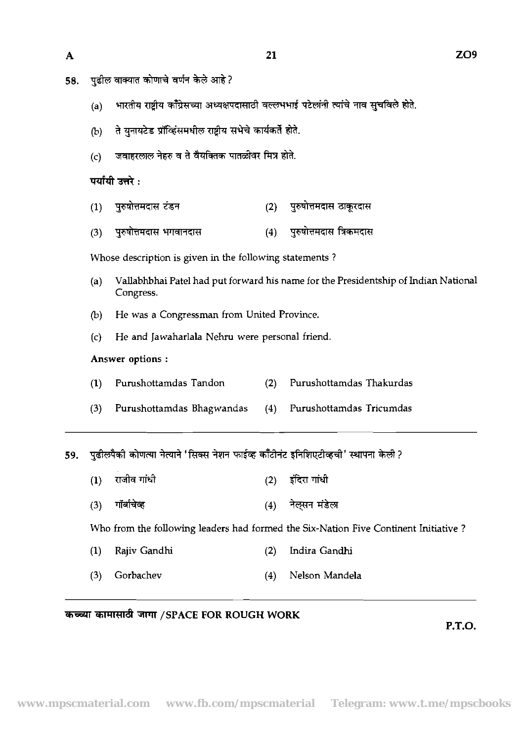- पुढील वाक्यात कोणाचे वर्णन केले आहे? 58.
	- (a) भारतीय राष्ट्रीय काँँग्रेसच्या अध्यक्षपदासाठी वल्लभभाई पटेलांनी त्यांचे नाव सुचविले होते.

- (b) ते युनायटेड प्रॉव्हिंसमधील राष्ट्रीय सभेचे कार्यकर्ते होते.
- $(c)$  जवाहरलाल नेहरु व ते वैयक्तिक पातळीवर मित्र होते.

#### पर्यायी उत्तरे :

- पुरुषोत्तमदास टंडन पुरुषोत्तमदास ठाकूरदास  $(1)$  $(2)$
- पुरुषोत्तमदास त्रिकमदास  $(4)$  $(3)$ पुरुषोत्तमदास भगवानदास

Whose description is given in the following statements ?

- (a) Vallabhbhai Pate1 had put forward his name for the Presidentship of Indian National Congress.
- (b) He was a Congressman from United Province.
- (c) He and Jawaharlala Nehru were personal friend.

#### Answer options :

- (I) Pumshottamdas Tandon **(2)** Purushottamdas Thakurdas
- (3) Purushottamdas Bhagwandas (4) Purushottamdas Tricumdas

(3) \* (4) \* \* 59.

- 
- 

Who from the following leaders had formed the Six-Nation Five Continent Initiative ?

- (1) Rajiv Gandhi (2) Indira Gandhi
- (3) Gorbachev (4) Nelson Mandela

#### *कच्च्या का*मासाठी जागा /SPACE FOR ROUGH WORK

**P.T.O.** 

 $\mathbf{A}$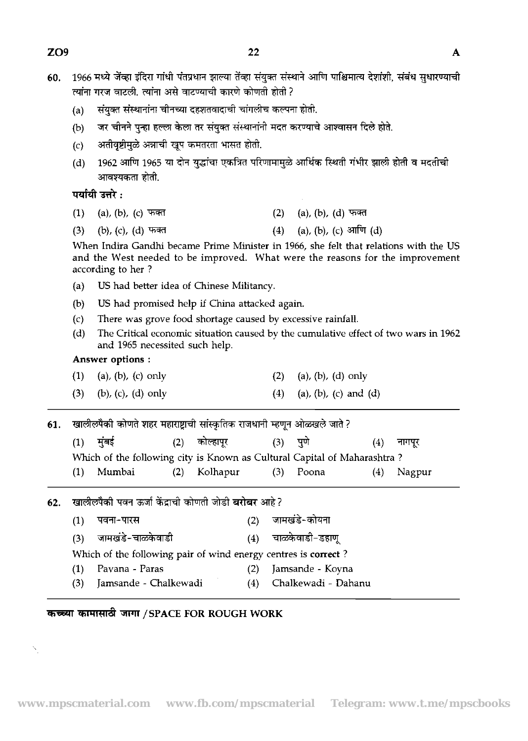| 60. |                                                                                                                                                                                             | 1966 मध्ये जेंव्हा इंदिरा गांधी पंतप्रधान झाल्या तेंव्हा संयुक्त संस्थाने आणि पाश्चिमात्य देशांशी, संबंध सुधारण्याची  |                                             |           |     |                                   |                       |     |        |  |  |  |  |
|-----|---------------------------------------------------------------------------------------------------------------------------------------------------------------------------------------------|-----------------------------------------------------------------------------------------------------------------------|---------------------------------------------|-----------|-----|-----------------------------------|-----------------------|-----|--------|--|--|--|--|
|     |                                                                                                                                                                                             | त्यांना गरज वाटली. त्यांना असे वाटण्याची कारणे कोणती होती ?                                                           |                                             |           |     |                                   |                       |     |        |  |  |  |  |
|     | (a)                                                                                                                                                                                         | संयुक्त संस्थानांना चीनच्या दहशतवादाची चांगलीच कल्पना होती.                                                           |                                             |           |     |                                   |                       |     |        |  |  |  |  |
|     | (b)                                                                                                                                                                                         | जर चीनने पुन्हा हल्ला केला तर संयुक्त संस्थानांनी मदत करण्याचे आश्वासन दिले होते.                                     |                                             |           |     |                                   |                       |     |        |  |  |  |  |
|     | (c)                                                                                                                                                                                         |                                                                                                                       | अतीवृष्टीमुळे अन्नाची खूप कमतरता भासत होती. |           |     |                                   |                       |     |        |  |  |  |  |
|     | (d)                                                                                                                                                                                         | 1962 आणि 1965 या दोन युद्धांचा एकत्रित परिणामामुळे आर्थिक स्थिती गंभीर झाली होती व मदतीची<br>आवश्यकता होती.           |                                             |           |     |                                   |                       |     |        |  |  |  |  |
|     |                                                                                                                                                                                             | पर्यायी उत्तरे :                                                                                                      |                                             |           |     |                                   |                       |     |        |  |  |  |  |
|     | (1)                                                                                                                                                                                         | (a), (b), (c) फक्त                                                                                                    |                                             |           |     | $(2)$ (a), (b), (d) फक्त          |                       |     |        |  |  |  |  |
|     | (3)                                                                                                                                                                                         | (4) (a), (b), (c) आणि (d)<br>(b), (c), (d) फक्त                                                                       |                                             |           |     |                                   |                       |     |        |  |  |  |  |
|     | When Indira Gandhi became Prime Minister in 1966, she felt that relations with the US<br>and the West needed to be improved. What were the reasons for the improvement<br>according to her? |                                                                                                                       |                                             |           |     |                                   |                       |     |        |  |  |  |  |
|     | (a)                                                                                                                                                                                         | US had better idea of Chinese Militancy.                                                                              |                                             |           |     |                                   |                       |     |        |  |  |  |  |
|     | (b)                                                                                                                                                                                         | US had promised help if China attacked again.                                                                         |                                             |           |     |                                   |                       |     |        |  |  |  |  |
|     | (c)                                                                                                                                                                                         | There was grove food shortage caused by excessive rainfall.                                                           |                                             |           |     |                                   |                       |     |        |  |  |  |  |
|     | (d)                                                                                                                                                                                         | The Critical economic situation caused by the cumulative effect of two wars in 1962<br>and 1965 necessited such help. |                                             |           |     |                                   |                       |     |        |  |  |  |  |
|     | Answer options:                                                                                                                                                                             |                                                                                                                       |                                             |           |     |                                   |                       |     |        |  |  |  |  |
|     | (1)                                                                                                                                                                                         | (a), (b), (c) only                                                                                                    |                                             |           |     | $(a)$ , $(b)$ , $(d)$ only<br>(2) |                       |     |        |  |  |  |  |
|     | (3)                                                                                                                                                                                         | $(b)$ , $(c)$ , $(d)$ only                                                                                            |                                             |           |     | (4)                               | (a), (b), (c) and (d) |     |        |  |  |  |  |
| 61. | खालीलपैकी कोणते शहर महाराष्ट्राची सांस्कृतिक राजधानी म्हणून ओळखले जाते ?                                                                                                                    |                                                                                                                       |                                             |           |     |                                   |                       |     |        |  |  |  |  |
|     |                                                                                                                                                                                             | $(1)$ मुंबई                                                                                                           | (2)                                         | कोल्हापूर |     |                                   | (3) पुणे              | (4) | नागपूर |  |  |  |  |
|     |                                                                                                                                                                                             | Which of the following city is Known as Cultural Capital of Maharashtra?                                              |                                             |           |     |                                   |                       |     |        |  |  |  |  |
|     | (1)                                                                                                                                                                                         | Mumbai                                                                                                                | (2)                                         | Kolhapur  |     | (3)                               | Poona                 | (4) | Nagpur |  |  |  |  |
| 62. |                                                                                                                                                                                             | खालीलपैकी पवन ऊर्जा केंद्राची कोणती जोडी <b>बरोबर</b> आहे?                                                            |                                             |           |     |                                   |                       |     |        |  |  |  |  |
|     | (1)                                                                                                                                                                                         | पवना-पारस                                                                                                             |                                             |           | (2) |                                   | जामखंडे-कोयना         |     |        |  |  |  |  |
|     | (3)                                                                                                                                                                                         | जामखंडे-चाळकेवाडी                                                                                                     |                                             |           | (4) |                                   | चाळकेवाडी-डहाणू       |     |        |  |  |  |  |
|     |                                                                                                                                                                                             | Which of the following pair of wind energy centres is correct?                                                        |                                             |           |     |                                   |                       |     |        |  |  |  |  |
|     | (1)                                                                                                                                                                                         | Pavana - Paras                                                                                                        |                                             |           |     | Jamsande - Koyna                  |                       |     |        |  |  |  |  |
|     | (3)                                                                                                                                                                                         | Jamsande - Chalkewadi                                                                                                 |                                             |           | (4) |                                   | Chalkewadi - Dahanu   |     |        |  |  |  |  |

# कच्च्या कामासाठी जागा /SPACE FOR ROUGH WORK

 $\bar{\mathbf{N}}_j$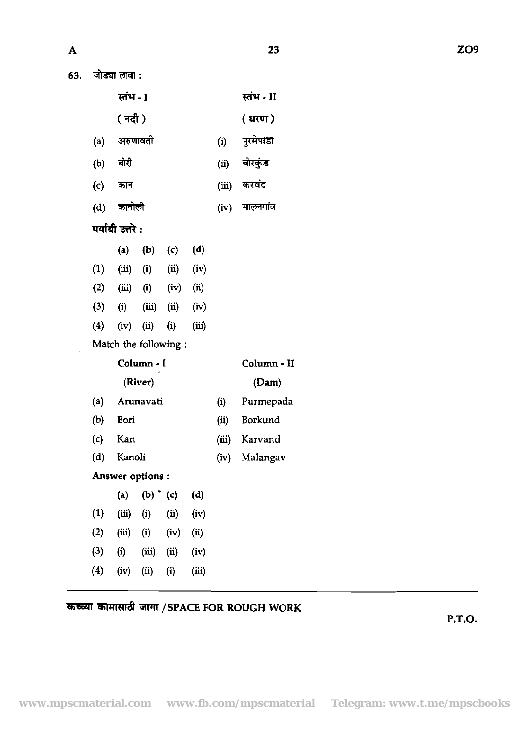63. जोड्या लावा :

| स्तंभ - I |     | स्तंभ - II |
|-----------|-----|------------|
| ( नदी )   |     | (u, v)     |
| अरुणावती  | (i) | पुरमेपाडा  |

23

- <sub>(a) अरुआवता</sub> (i) <sub>नुस्म गडा</sub><br>(b) बोरी (ii) बोरकुंड
- (4 =m (i) **m**   $(d)$  कानोली  $(iv)$  मालनगांव
- **पर्यायी उत्तरे:**

|     | (a)      | (b)      | $\mathsf{(c)}$ | (d)   |
|-----|----------|----------|----------------|-------|
| (1) | (iii)    | $\bf(i)$ | (ii)           | (iv)  |
| (2) | (iii)    | $\bf(i)$ | (iv)           | (ii)  |
| (3) | $\bf(i)$ | (iii)    | $\rm(ii)$      | (iv)  |
| (4) | (iv)     | (ii)     | $\bf(i)$       | (iii) |

Match the following :

|     | Column - I | Column - II |               |  |  |  |
|-----|------------|-------------|---------------|--|--|--|
|     | (River)    |             | (Dam)         |  |  |  |
| (a) | Arunavati  | (i)         | Purmepada     |  |  |  |
| (b) | Bori       | (ii)        | Borkund       |  |  |  |
| (c) | Kan        | (iii)       | Karvand       |  |  |  |
| (d) | Kanoli     |             | (iv) Malangav |  |  |  |

Answer options :

| $\bf(a)$          | (b)      | $\mathbf{(c)}$ | (d)   |
|-------------------|----------|----------------|-------|
| (iii)             | $\bf(i)$ | (i)            | (iv)  |
| (iii)             | $\bf(i)$ | (iv)           | (i)   |
| $\left( i\right)$ | (iii)    | (ii)           | (iv)  |
| (iv)              | (i)      | $\bf(i)$       | (iii) |
|                   |          |                |       |

## *कच्च्या कामासाठी जागा /SPACE FOR ROUGH WORK*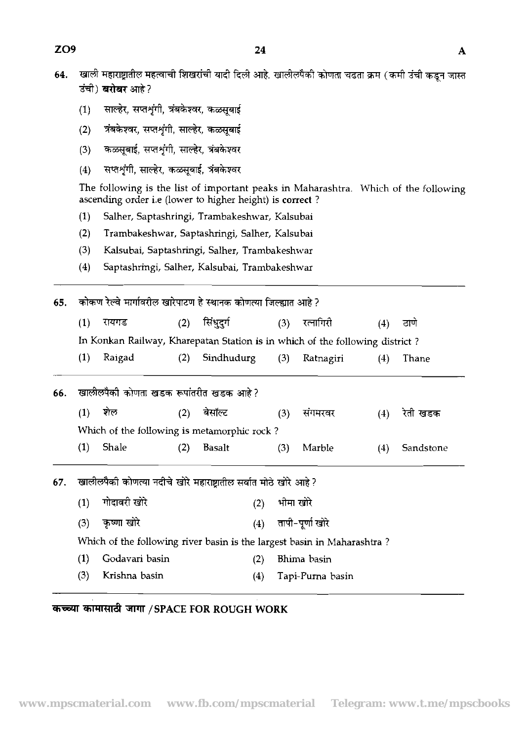- खाली महाराष्ट्रातील महत्वाची शिखरांची यादी दिली आहे. खालीलपैकी कोणता चढता क्रम (कमी उंची कडून जास्त 64. उंची) **बरोबर** आहे?
	- $(1)$ साल्हेर, सप्तशृंगी, त्रंबकेश्वर, कळसूबाई
	- त्रंबकेश्वर, सप्तशृंगी, साल्हेर, कळसूबाई  $(2)$
	- कळसूबाई, सप्तशृंगी, साल्हेर, त्रंबकेश्वर  $(3)$
	- सप्तशृंगी, साल्हेर, कळसूबाई, त्रंबकेश्वर  $(4)$

The following is the list of important peaks in Maharashtra. Which of the following ascending order i.e (lower to higher height) is **correct** ?

- **(1)** Salher, Saptashring, Trambakeshwar, Kalsubai
- **(2)** Trambakeshwar, Saptashringi, Salher, Kalsubai
- **(3)** Kalsubai, Saptashringi, Salher, Trambakeshwar
- (4) Saptashrmgi, Salher, Kalsubai, Trambakeshwar

**65.** कोकण रेल्वे मार्गावरील खारेपाटण हे स्थानक कोणत्या जिल्ह्यात आहे ?

| (3) | Kalsubai, Saptashringi, Salher, Trambakeshwar                                |     |          |     |           |     |      |  |
|-----|------------------------------------------------------------------------------|-----|----------|-----|-----------|-----|------|--|
| (4) | Saptashringi, Salher, Kalsubai, Trambakeshwar                                |     |          |     |           |     |      |  |
|     | कोकण रेल्वे मार्गावरील खारेपाटण हे स्थानक कोणत्या जिल्ह्यात आहे ?            |     |          |     |           |     |      |  |
|     | रायगड                                                                        | (2) | सिंधदर्ग | (3) | रत्नागिरी | (4) | ठाणे |  |
|     | In Konkan Railway, Kharepatan Station is in which of the following district? |     |          |     |           |     |      |  |

|  | (1) Raigad |  | (2) Sindhudurg (3) Ratnagiri |  |  |  | $(4)$ Thane |
|--|------------|--|------------------------------|--|--|--|-------------|
|--|------------|--|------------------------------|--|--|--|-------------|

|    | .         |                                        |     | $\left( 2 \right)$ $\left( 2 \right)$       |     | $\cup$ $\cup$ $\cup$ $\cup$ $\cup$ $\cup$ $\cup$                             |                   | ויוט ו <del>י</del> ו |
|----|-----------|----------------------------------------|-----|---------------------------------------------|-----|------------------------------------------------------------------------------|-------------------|-----------------------|
|    |           |                                        |     |                                             |     | In Konkan Railway, Kharepatan Station is in which of the following district? |                   |                       |
|    | (1)       | Raigad                                 | (2) | Sindhudurg                                  | (3) | Ratnagiri                                                                    | (4)               | Thane                 |
| 6. |           | खालीलपैकी कोणता खडक रूपांतरीत खडक आहे? |     |                                             |     |                                                                              |                   |                       |
|    | $\bf(1)$  | সাল                                    |     | बेसॉल्ट                                     | (3) | सगमरवर                                                                       | $\left( 4\right)$ | रेती खडक              |
|    |           |                                        |     | Which of the following is metamorphic rock? |     |                                                                              |                   |                       |
|    | $\bf (1)$ | Shale                                  | [2] | <b>Basalt</b>                               | (3) | Marble                                                                       | [4]               | Sandstone             |

67. खालीलपैको कोणत्या नदीचे खोरे महाराष्ट्रातील सर्वात मोठे खोरे आहे ?

| (1) गोदावरी खोरे  | (2) भीमा खोरे          |
|-------------------|------------------------|
| $(3)$ कृष्णा खोरे | $(4)$ तापी-पूर्णा खोरे |

Which of the following river basin is the largest basin in Maharashtra?

- **(1)** Godavari basin **(2)** Bhirna basin
- **(3)** Krishna basin **(4)** Tapi-Purna basin

**W4R&** jrmr **/SPACE FOR ROUGH WORK** 

-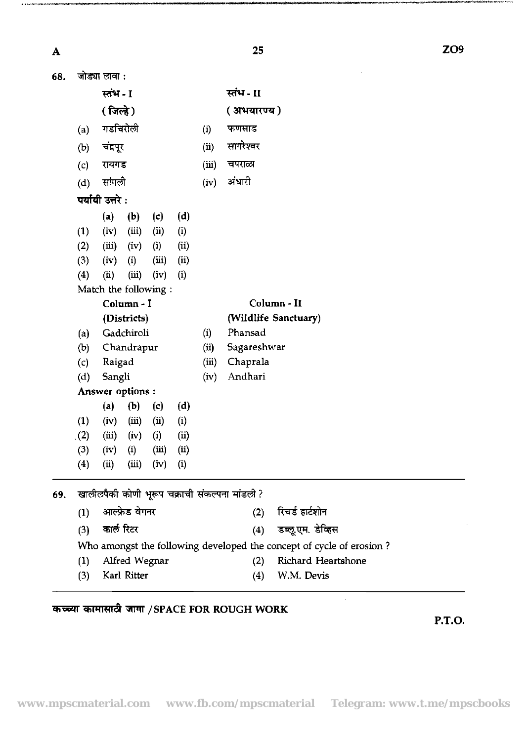$\boldsymbol{\mathsf{A}}$ 

 $\ddotsc$ 

|                   |                                                             | 25                                                                                             | ZO <sub>9</sub> |
|-------------------|-------------------------------------------------------------|------------------------------------------------------------------------------------------------|-----------------|
| 68. जोड्या लावा : |                                                             |                                                                                                |                 |
|                   | स्तंभ - I                                                   | स्तंभ - II                                                                                     |                 |
|                   | ( जिल्हे )                                                  | (अभयारण्य)                                                                                     |                 |
| (a)               | गडचिरोली                                                    | (i) फणसाड                                                                                      |                 |
|                   |                                                             | (ii) सागरेश्वर                                                                                 |                 |
| (b) चंद्रपूर      |                                                             |                                                                                                |                 |
| (c)               | रायगड                                                       | (iii) चपराळा                                                                                   |                 |
| (d)               | सांगली                                                      | (iv) अंधारी                                                                                    |                 |
|                   | पर्यायी उत्तरे :                                            |                                                                                                |                 |
|                   | (a) (b) (c) (d)                                             |                                                                                                |                 |
| (1)               | $(iii)$ $(ii)$ $(i)$<br>(iv)                                |                                                                                                |                 |
| (2)<br>(3)        | $(iii)$ $(iv)$ $(i)$ $(ii)$<br>$(iii)$ $(ii)$<br>$(iv)$ (i) |                                                                                                |                 |
| $(4)$ (ii)        | $(iii)$ $(iv)$ $(i)$                                        |                                                                                                |                 |
|                   | Match the following :                                       |                                                                                                |                 |
|                   | Column - I                                                  | Column - II                                                                                    |                 |
|                   | (Districts)                                                 | (Wildlife Sanctuary)                                                                           |                 |
| (a)               | Gadchiroli                                                  | (i) Phansad                                                                                    |                 |
| (b)               | Chandrapur                                                  | (ii) Sagareshwar                                                                               |                 |
| (c)               | Raigad<br>(d) Sangli                                        | (iii) Chaprala<br>(iv) Andhari                                                                 |                 |
|                   | Answer options :                                            |                                                                                                |                 |
|                   | (a) (b) (c) (d)                                             |                                                                                                |                 |
|                   | (1) (iv) (iii) (ii) (i)                                     |                                                                                                |                 |
|                   | (2) (iii) (iv) (i) (ii)                                     |                                                                                                |                 |
|                   | (3) $(iv)$ (i) $(iii)$ (ii)                                 |                                                                                                |                 |
|                   | (4) (ii) (iii) (iv) (i)                                     |                                                                                                |                 |
|                   | 69.   खालीलपैकी कोणी भूरूप चक्राची संकल्पना मांडली ?        |                                                                                                |                 |
|                   | (1) आल्फ्रेड वेगनर                                          | (2)    रिचर्ड हार्टशोन                                                                         |                 |
|                   |                                                             |                                                                                                |                 |
|                   | (3) कार्ल रिटर                                              | (4) डब्लू.एम. डेव्हिस                                                                          |                 |
|                   | (1) Alfred Wegnar                                           | Who amongst the following developed the concept of cycle of erosion?<br>(2) Richard Heartshone |                 |
|                   | (3) Karl Ritter                                             | $(4)$ W.M. Devis                                                                               |                 |
|                   |                                                             |                                                                                                |                 |
|                   |                                                             |                                                                                                |                 |

# *कच्च्या कामासाठी जागा / SPACE FOR ROUGH WORK*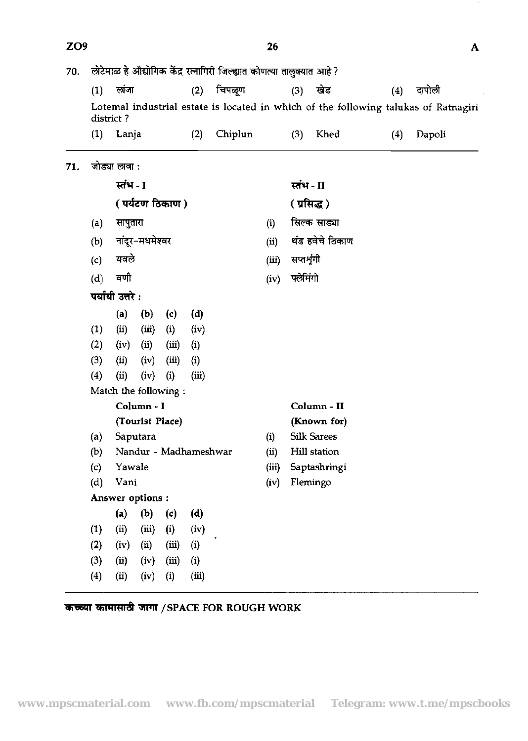J.

| ZO <sub>9</sub>               |                   |                                 |                                                                                                      |                                                                                    |                                                                       |                       |                                    |      |                                                                                                                                                                                                                                                                   | A                                                                                   |  |  |
|-------------------------------|-------------------|---------------------------------|------------------------------------------------------------------------------------------------------|------------------------------------------------------------------------------------|-----------------------------------------------------------------------|-----------------------|------------------------------------|------|-------------------------------------------------------------------------------------------------------------------------------------------------------------------------------------------------------------------------------------------------------------------|-------------------------------------------------------------------------------------|--|--|
|                               |                   |                                 |                                                                                                      |                                                                                    |                                                                       |                       |                                    |      |                                                                                                                                                                                                                                                                   |                                                                                     |  |  |
| चिपळूण<br>लांजा<br>(2)<br>(1) |                   |                                 |                                                                                                      |                                                                                    |                                                                       |                       | (3)                                | खेड  | (4)                                                                                                                                                                                                                                                               | दापोली                                                                              |  |  |
|                               |                   |                                 |                                                                                                      |                                                                                    |                                                                       |                       |                                    |      |                                                                                                                                                                                                                                                                   |                                                                                     |  |  |
| (1)                           |                   |                                 |                                                                                                      | (2)                                                                                | Chiplun                                                               |                       | (3)                                | Khed | (4)                                                                                                                                                                                                                                                               | Dapoli                                                                              |  |  |
|                               |                   |                                 |                                                                                                      |                                                                                    |                                                                       |                       |                                    |      |                                                                                                                                                                                                                                                                   |                                                                                     |  |  |
|                               |                   |                                 |                                                                                                      |                                                                                    |                                                                       |                       |                                    |      |                                                                                                                                                                                                                                                                   |                                                                                     |  |  |
|                               |                   |                                 |                                                                                                      |                                                                                    |                                                                       |                       |                                    |      |                                                                                                                                                                                                                                                                   |                                                                                     |  |  |
| सापुतारा<br>(a)               |                   |                                 |                                                                                                      |                                                                                    |                                                                       |                       |                                    |      |                                                                                                                                                                                                                                                                   |                                                                                     |  |  |
|                               |                   |                                 |                                                                                                      |                                                                                    |                                                                       |                       |                                    |      |                                                                                                                                                                                                                                                                   |                                                                                     |  |  |
|                               |                   |                                 |                                                                                                      |                                                                                    |                                                                       |                       |                                    |      |                                                                                                                                                                                                                                                                   |                                                                                     |  |  |
|                               | वणी               |                                 |                                                                                                      |                                                                                    |                                                                       |                       |                                    |      |                                                                                                                                                                                                                                                                   |                                                                                     |  |  |
|                               |                   |                                 |                                                                                                      |                                                                                    |                                                                       |                       |                                    |      |                                                                                                                                                                                                                                                                   |                                                                                     |  |  |
|                               |                   |                                 |                                                                                                      |                                                                                    |                                                                       |                       |                                    |      |                                                                                                                                                                                                                                                                   |                                                                                     |  |  |
| (1)                           |                   | (iii)                           |                                                                                                      |                                                                                    |                                                                       |                       |                                    |      |                                                                                                                                                                                                                                                                   |                                                                                     |  |  |
| (2)                           | (iv)              | (ii)                            | (iii)                                                                                                |                                                                                    |                                                                       |                       |                                    |      |                                                                                                                                                                                                                                                                   |                                                                                     |  |  |
| (3)                           | (ii)              | (iv)                            | (iii)                                                                                                |                                                                                    |                                                                       |                       |                                    |      |                                                                                                                                                                                                                                                                   |                                                                                     |  |  |
| (4)                           | (i)               | (iv)                            | (i)                                                                                                  | (iii)                                                                              |                                                                       |                       |                                    |      |                                                                                                                                                                                                                                                                   |                                                                                     |  |  |
|                               |                   |                                 |                                                                                                      |                                                                                    |                                                                       |                       |                                    |      |                                                                                                                                                                                                                                                                   |                                                                                     |  |  |
|                               |                   |                                 |                                                                                                      |                                                                                    |                                                                       |                       |                                    |      |                                                                                                                                                                                                                                                                   |                                                                                     |  |  |
|                               |                   |                                 |                                                                                                      |                                                                                    |                                                                       |                       |                                    |      |                                                                                                                                                                                                                                                                   |                                                                                     |  |  |
|                               |                   |                                 |                                                                                                      |                                                                                    |                                                                       | (i)                   |                                    |      |                                                                                                                                                                                                                                                                   |                                                                                     |  |  |
| (b)                           |                   |                                 |                                                                                                      |                                                                                    |                                                                       | (ii)                  |                                    |      |                                                                                                                                                                                                                                                                   |                                                                                     |  |  |
| (c)                           |                   |                                 |                                                                                                      |                                                                                    |                                                                       | (iii)                 |                                    |      |                                                                                                                                                                                                                                                                   |                                                                                     |  |  |
| (d)                           |                   |                                 |                                                                                                      |                                                                                    |                                                                       | (iv)                  |                                    |      |                                                                                                                                                                                                                                                                   |                                                                                     |  |  |
|                               |                   |                                 |                                                                                                      |                                                                                    |                                                                       |                       |                                    |      |                                                                                                                                                                                                                                                                   |                                                                                     |  |  |
|                               | (a)               | (b)                             | (c)                                                                                                  | (d)                                                                                |                                                                       |                       |                                    |      |                                                                                                                                                                                                                                                                   |                                                                                     |  |  |
| (1)                           | (ii)              | (iii)                           | (i)                                                                                                  | (iv)                                                                               |                                                                       |                       |                                    |      |                                                                                                                                                                                                                                                                   |                                                                                     |  |  |
| (2)                           | (iv)              | (ii)                            | (iii)                                                                                                | (i)                                                                                |                                                                       |                       |                                    |      |                                                                                                                                                                                                                                                                   |                                                                                     |  |  |
| (3)                           | (i)               | (iv)                            | (iii)                                                                                                | (i)                                                                                |                                                                       |                       |                                    |      |                                                                                                                                                                                                                                                                   |                                                                                     |  |  |
| (4)                           | (i)               | (iv)                            | (i)                                                                                                  | (iii)                                                                              |                                                                       |                       |                                    |      |                                                                                                                                                                                                                                                                   |                                                                                     |  |  |
|                               | (b)<br>(c)<br>(d) | district?<br>(a)<br>(ii)<br>(a) | Lanja<br>जोड्या लावा :<br>स्तंभ - I<br>यवले<br>पर्यायी उत्तरे :<br>(b)<br>Saputara<br>Yawale<br>Vani | नांदूर-मधमेश्वर<br>(c)<br>(i)<br>Column - I<br>(Tourist Place)<br>Answer options : | ( पर्यटण ठिकाण )<br>(d)<br>(iv)<br>(i)<br>(i)<br>Match the following: | Nandur - Madhameshwar | 26<br>(i)<br>(ii)<br>(iii)<br>(iv) |      | लोटेमाळ हे औद्योगिक केंद्र रत्नागिरी जिल्ह्यात कोणत्या तालुक्यात आहे ?<br>स्तंभ - II<br>( प्रसिद्ध )<br>सिल्क साड्या<br>थंड हवेचे ठिकाण<br>सप्तशृंगी<br>फ्लेमिंगो<br>Column - II<br>(Known for)<br><b>Silk Sarees</b><br>Hill station<br>Saptashringi<br>Flemingo | Lotemal industrial estate is located in which of the following talukas of Ratnagiri |  |  |

# *कच्च्या कामासाठी जागा / SPACE FOR ROUGH WORK*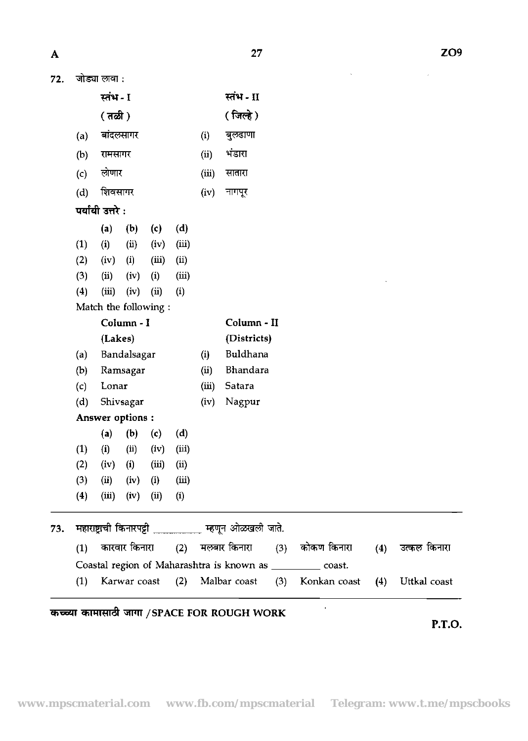| 72. | जाड्या लावा : |  |
|-----|---------------|--|
|     |               |  |

| A   |                                                          |                                 |              |                             |                       |        | 27                   |     |                                                               |     | ZO <sub>9</sub> |
|-----|----------------------------------------------------------|---------------------------------|--------------|-----------------------------|-----------------------|--------|----------------------|-----|---------------------------------------------------------------|-----|-----------------|
| 72. |                                                          | जोड्या लावा :                   |              |                             |                       |        |                      |     |                                                               |     |                 |
|     |                                                          | स्तंभ - I                       |              |                             |                       |        | स्तंभ - II           |     |                                                               |     |                 |
|     |                                                          | $( \overline{a} \overline{a} )$ |              |                             |                       |        | ( जिल्हे )           |     |                                                               |     |                 |
|     | (a)                                                      |                                 | बांदलसागर    |                             |                       | (i)    | बुलढाणा              |     |                                                               |     |                 |
|     | रामसागर<br>(b)                                           |                                 |              |                             | (ii)                  | भंडारा |                      |     |                                                               |     |                 |
|     | (c)                                                      | लोणार                           |              |                             |                       | (iii)  | सातारा               |     |                                                               |     |                 |
|     | शिवसागर<br>(d)                                           |                                 |              | (iv)                        | नागपूर                |        |                      |     |                                                               |     |                 |
|     | पर्यायी उत्तरे :                                         |                                 |              |                             |                       |        |                      |     |                                                               |     |                 |
|     |                                                          | (a)                             | (b)          | (c)                         | (d)                   |        |                      |     |                                                               |     |                 |
|     | (1)                                                      | (i)                             | (ii)         | (iv)                        | (iii)                 |        |                      |     |                                                               |     |                 |
|     | (2)                                                      | (iv)                            | (i)          | (iii)                       | (ii)                  |        |                      |     |                                                               |     |                 |
|     | (3)                                                      | (ii)                            | (iv)         | (i)                         | (iii)                 |        |                      |     |                                                               |     |                 |
|     | (4)                                                      | (iii)                           | (iv)         | (ii)                        | (i)                   |        |                      |     |                                                               |     |                 |
|     |                                                          | Match the following:            |              |                             |                       |        |                      |     |                                                               |     |                 |
|     |                                                          |                                 | Column - I   |                             |                       |        | Column - II          |     |                                                               |     |                 |
|     | (Lakes)                                                  |                                 |              |                             |                       |        | (Districts)          |     |                                                               |     |                 |
|     | Bandalsagar<br>(a)                                       |                                 |              |                             |                       | (i)    | Buldhana             |     |                                                               |     |                 |
|     | (b)                                                      |                                 | Ramsagar     |                             | (ii)<br>(iii)<br>(iv) |        | Bhandara             |     |                                                               |     |                 |
|     | (c)                                                      | Lonar                           |              |                             |                       |        | Satara               |     |                                                               |     |                 |
|     | (d)                                                      |                                 | Shivsagar    |                             |                       | Nagpur |                      |     |                                                               |     |                 |
|     |                                                          | Answer options:                 |              |                             |                       |        |                      |     |                                                               |     |                 |
|     |                                                          | (a)                             | (b)          | $\left( \mathbf{c} \right)$ | (d)                   |        |                      |     |                                                               |     |                 |
|     | (1)                                                      | (i)                             | (i)          | (iv)                        | (iii)                 |        |                      |     |                                                               |     |                 |
|     | (2)                                                      | (iv)                            | (i)          | (iii)                       | (ii)                  |        |                      |     |                                                               |     |                 |
|     | (3)                                                      | (ii)                            | (iv)         | (i)                         | (iii)                 |        |                      |     |                                                               |     |                 |
|     | (4)                                                      | (iii)                           | (iv)         | (ii)                        | (i)                   |        |                      |     |                                                               |     |                 |
| 73. | महाराष्ट्राची किनारपट्टी ____________ म्हणून ओळखली जाते. |                                 |              |                             |                       |        |                      |     |                                                               |     |                 |
|     | कारवार किनारा<br>(1)                                     |                                 |              |                             |                       |        | (2) मलबार किनारा (3) |     | कोकण किनारा                                                   | (4) | उत्कल किनारा    |
|     |                                                          |                                 |              |                             |                       |        |                      |     | Coastal region of Maharashtra is known as ____________ coast. |     |                 |
|     | (1)                                                      |                                 | Karwar coast |                             | (2)                   |        | Malbar coast         | (3) | Konkan coast                                                  | (4) | Uttkal coast    |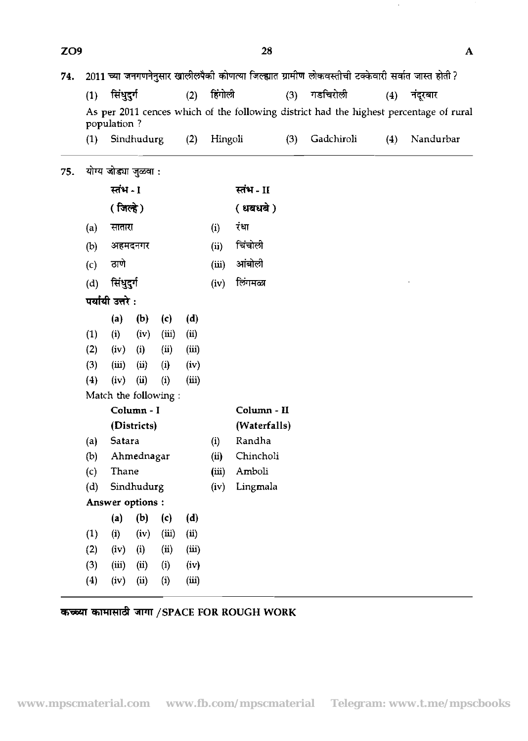|     | (1)                               | सिंधुदुर्ग                          |             |                           | (2)   | हिंगोली     |              | (3) | गडचिरोली   | (4) | नंदूरबार                                                                               |
|-----|-----------------------------------|-------------------------------------|-------------|---------------------------|-------|-------------|--------------|-----|------------|-----|----------------------------------------------------------------------------------------|
|     |                                   |                                     |             |                           |       |             |              |     |            |     | As per 2011 cences which of the following district had the highest percentage of rural |
|     |                                   | population ?                        |             |                           |       |             |              |     |            |     |                                                                                        |
|     | (1)                               |                                     | Sindhudurg  |                           | (2)   | Hingoli     |              | (3) | Gadchiroli | (4) | Nandurbar                                                                              |
| 75. | योग्य जोड्या जुळवा :<br>स्तंभ - 1 |                                     |             |                           |       |             |              |     |            |     |                                                                                        |
|     |                                   |                                     |             |                           |       | स्तंभ - II  |              |     |            |     |                                                                                        |
|     |                                   | $( \n\mathbf{m} \cdot \mathbf{m} )$ |             |                           |       |             | ( धबधबे)     |     |            |     |                                                                                        |
|     | (a)                               | सातारा                              |             |                           |       | (i)         | रंधा         |     |            |     |                                                                                        |
|     | (b)                               |                                     | अहमदनगर     |                           |       | (ii)        | चिंचोली      |     |            |     |                                                                                        |
|     | (c)                               | ठाणे                                |             |                           |       | (iii)       | आंबोली       |     |            |     |                                                                                        |
|     | (d)                               | सिंधुदुर्ग                          |             |                           |       | (iv)        | िंगमळा       |     |            |     |                                                                                        |
|     |                                   | पर्यायी उत्तरे:                     |             |                           |       |             |              |     |            |     |                                                                                        |
|     |                                   | (a)                                 | (b)         | (c)                       | (d)   |             |              |     |            |     |                                                                                        |
|     | (1)                               | (i)                                 | (iv)        | (iii)                     | (i)   |             |              |     |            |     |                                                                                        |
|     | (2)                               | (iv)                                | (i)         | $\left(\mathbf{u}\right)$ | (iii) |             |              |     |            |     |                                                                                        |
|     | (3)                               | (iii)                               | (ii)        | (i)                       | (iv)  |             |              |     |            |     |                                                                                        |
|     | (4)                               | (iv)                                | (ii)        | (i)                       | (iii) |             |              |     |            |     |                                                                                        |
|     |                                   | Match the following:                |             |                           |       |             |              |     |            |     |                                                                                        |
|     |                                   | Column - I                          |             |                           |       | Column - II |              |     |            |     |                                                                                        |
|     |                                   |                                     | (Districts) |                           |       |             | (Waterfalls) |     |            |     |                                                                                        |
|     | (a)                               | Satara                              |             |                           |       | (i)         | Randha       |     |            |     |                                                                                        |
|     | (b)                               |                                     | Ahmednagar  |                           |       | (ii)        | Chincholi    |     |            |     |                                                                                        |
|     | (c)                               | Thane                               |             |                           |       | (iii)       | Amboli       |     |            |     |                                                                                        |
|     | (d)                               |                                     | Sindhudurg  |                           |       | (iv)        | Lingmala     |     |            |     |                                                                                        |
|     |                                   | Answer options :                    |             |                           |       |             |              |     |            |     |                                                                                        |
|     |                                   | (a)                                 | (b)         | (c)                       | (d)   |             |              |     |            |     |                                                                                        |
|     | (1)                               | (i)                                 | (iv)        | (iii)                     | (i)   |             |              |     |            |     |                                                                                        |
|     | (2)                               | (iv)                                | (i)         | (ii)                      | (iii) |             |              |     |            |     |                                                                                        |
|     | (3)                               | (iii)                               | (ii)        | (i)                       | (iv)  |             |              |     |            |     |                                                                                        |
|     | (4)                               | (iv)                                | (ii)        | (i)                       | (iii) |             |              |     |            |     |                                                                                        |

 $\hat{\boldsymbol{\beta}}$ 

 $\overline{\mathbf{A}}$ 

# **कच्च्या कामासाठी जागा /SPACE FOR ROUGH WORK**

ZO<sub>9</sub>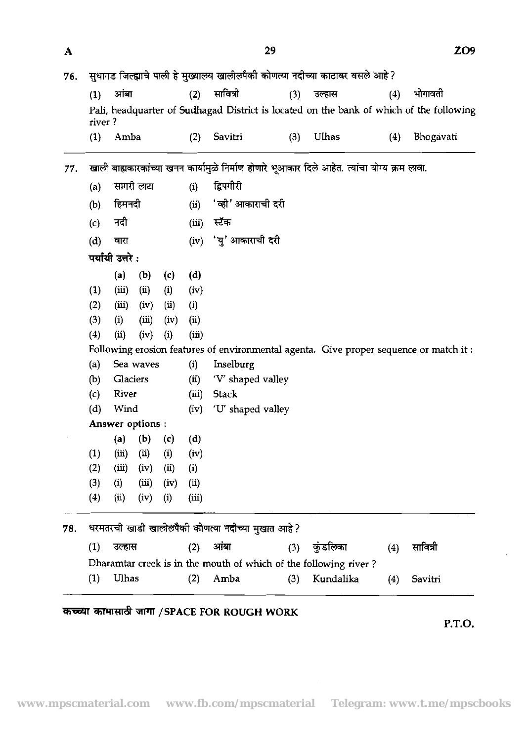|     |                                                                                               |                  |                     |                   |                | 29                                                                             |     |          |     | ZO <sub>9</sub>                                                                         |  |  |  |
|-----|-----------------------------------------------------------------------------------------------|------------------|---------------------|-------------------|----------------|--------------------------------------------------------------------------------|-----|----------|-----|-----------------------------------------------------------------------------------------|--|--|--|
| 76. |                                                                                               |                  |                     |                   |                | सुधागड जिल्ह्याचे पाली हे मुख्यालय खालीलपैकी कोणत्या नदीच्या काठावर वसले आहे ? |     |          |     |                                                                                         |  |  |  |
|     | (1)                                                                                           | आंबा             |                     |                   | (2)            | सावित्री                                                                       | (3) | उल्हास   | (4) | भोगावती                                                                                 |  |  |  |
|     | river?                                                                                        |                  |                     |                   |                |                                                                                |     |          |     | Pali, headquarter of Sudhagad District is located on the bank of which of the following |  |  |  |
|     | (1)                                                                                           | Amba             |                     |                   | (2)            | Savitri                                                                        | (3) | Ulhas    | (4) | Bhogavati                                                                               |  |  |  |
| 77. | खाली बाह्यकारकांच्या खनन कार्यामुळे निर्माण होणारे भूआकार दिले आहेत. त्यांचा योग्य क्रम लावा. |                  |                     |                   |                |                                                                                |     |          |     |                                                                                         |  |  |  |
|     | (a)                                                                                           |                  | सागरी लाटा          |                   | (i)            | द्विपगीरी                                                                      |     |          |     |                                                                                         |  |  |  |
|     | (b)                                                                                           | हिमनदी           |                     |                   | (ii)           | 'व्ही' आकाराची दरी                                                             |     |          |     |                                                                                         |  |  |  |
|     | (c)                                                                                           | नदी              |                     |                   | (iii)          | स्टॅंक                                                                         |     |          |     |                                                                                         |  |  |  |
|     | (d)                                                                                           | वारा             |                     |                   | (iv)           | 'यु' आकाराची दरी                                                               |     |          |     |                                                                                         |  |  |  |
|     |                                                                                               | पर्यायी उत्तरे : |                     |                   |                |                                                                                |     |          |     |                                                                                         |  |  |  |
|     |                                                                                               | (a)              | (b)                 | (c)               | (d)            |                                                                                |     |          |     |                                                                                         |  |  |  |
|     | (1)                                                                                           | (iii)            | (i)                 | (i)               | (iv)           |                                                                                |     |          |     |                                                                                         |  |  |  |
|     | (2)                                                                                           | (iii)            | (iv)                | $\overline{u}$    | (i)            |                                                                                |     |          |     |                                                                                         |  |  |  |
|     | (3)                                                                                           | (i)              | (iii)               | (iv)              | $\overline{u}$ |                                                                                |     |          |     |                                                                                         |  |  |  |
|     | (4)                                                                                           | (i)              | (iv)                | (i)               | (iii)          |                                                                                |     |          |     |                                                                                         |  |  |  |
|     |                                                                                               |                  |                     |                   |                |                                                                                |     |          |     | Following erosion features of environmental agenta. Give proper sequence or match it:   |  |  |  |
|     | (a)                                                                                           |                  | Sea waves           |                   | (i)            | Inselburg                                                                      |     |          |     |                                                                                         |  |  |  |
|     | (b)                                                                                           | Glaciers         |                     |                   | (i)            | 'V' shaped valley                                                              |     |          |     |                                                                                         |  |  |  |
|     | (c)                                                                                           | River            |                     |                   | (iii)          | <b>Stack</b>                                                                   |     |          |     |                                                                                         |  |  |  |
|     | (d)                                                                                           | Wind             |                     |                   | (iv)           | 'U' shaped valley                                                              |     |          |     |                                                                                         |  |  |  |
|     |                                                                                               |                  |                     |                   |                |                                                                                |     |          |     |                                                                                         |  |  |  |
|     |                                                                                               |                  | Answer options:     |                   |                |                                                                                |     |          |     |                                                                                         |  |  |  |
|     |                                                                                               | (a)              | (b)                 | $\left( c\right)$ | (d)            |                                                                                |     |          |     |                                                                                         |  |  |  |
|     | (1)                                                                                           | (iii)            | $\left( ii \right)$ | (i)               | (iv)           |                                                                                |     |          |     |                                                                                         |  |  |  |
|     | (2)                                                                                           | (iii)            | (iv)                | (ii)              | (i)            |                                                                                |     |          |     |                                                                                         |  |  |  |
|     | (3)<br>(4)                                                                                    | (i)<br>(i)       | (iii)<br>(iv)       | (iv)<br>(i)       | (i)<br>(iii)   |                                                                                |     |          |     |                                                                                         |  |  |  |
|     |                                                                                               |                  |                     |                   |                |                                                                                |     |          |     |                                                                                         |  |  |  |
| 78. | (1)                                                                                           | उल्हास           |                     |                   |                | धरमतरची खाडी खालीलपैकी कोणत्या नदीच्या मुखात आहे?<br>आंबा                      |     | कुंडलिका |     | सावित्री                                                                                |  |  |  |
|     |                                                                                               |                  |                     |                   | (2)            | Dharamtar creek is in the mouth of which of the following river?               | (3) |          | (4) |                                                                                         |  |  |  |

# **W4'Rd /SPACE FOR ROUGH WORK**

 $\mathbf{A}$ 

P.T.O.

 $\sim 10^{11}$  km  $^{-1}$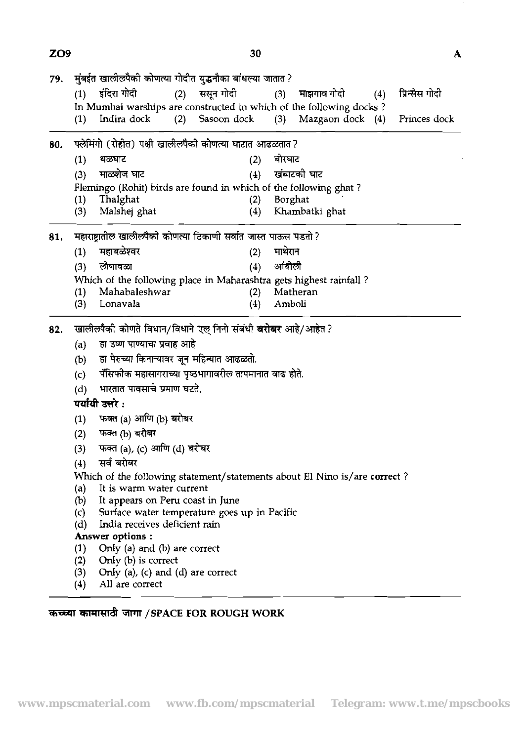| 79. |                                                               | मुंबईत खालीलपैकी कोणत्या गोदीत युद्धनौका बांधल्या जातात ?                 |     |             |                   |         |                  |     |                |  |  |  |
|-----|---------------------------------------------------------------|---------------------------------------------------------------------------|-----|-------------|-------------------|---------|------------------|-----|----------------|--|--|--|
|     | (1)                                                           | इंदिरा गोदी                                                               | (2) | ससून गोदी   |                   | (3)     | माझगाव गोदी      | (4) | प्रिन्सेस गोदी |  |  |  |
|     |                                                               | In Mumbai warships are constructed in which of the following docks?       |     |             |                   |         |                  |     |                |  |  |  |
|     | (1)                                                           | Indira dock                                                               | (2) | Sasoon dock |                   | (3)     | Mazgaon dock (4) |     | Princes dock   |  |  |  |
| 80. |                                                               | फ्लेमिंगो (रोहीत) पक्षी खालीलपैकी कोणत्या घाटात आढळतात?                   |     |             |                   |         |                  |     |                |  |  |  |
|     | (1)                                                           | थळघाट                                                                     |     |             | (2)               | बोरवाट  |                  |     |                |  |  |  |
|     | (3)                                                           | माळशेज घाट                                                                |     |             | (4)               |         | खंबाटको घाट      |     |                |  |  |  |
|     |                                                               | Flemingo (Rohit) birds are found in which of the following ghat?          |     |             |                   |         |                  |     |                |  |  |  |
|     | (1)                                                           | Thalghat                                                                  |     |             | (2)               |         | Borghat          |     |                |  |  |  |
|     | (3)                                                           | Malshej ghat                                                              |     |             | (4)               |         | Khambatki ghat   |     |                |  |  |  |
| 81. |                                                               | महाराष्ट्रातील खालीलपैकी कोणत्या ठिकाणी सर्वात जास्त पाऊस पडतो ?          |     |             |                   |         |                  |     |                |  |  |  |
|     | (1)                                                           | महाबळेश्वर                                                                |     |             | (2)               | माथेरान |                  |     |                |  |  |  |
|     | (3)                                                           | लोणावळा                                                                   |     |             | (4)               | आंबोली  |                  |     |                |  |  |  |
|     |                                                               | Which of the following place in Maharashtra gets highest rainfall?        |     |             |                   |         |                  |     |                |  |  |  |
|     | (1)                                                           | Mahabaleshwar                                                             |     |             | (2)               |         | Matheran         |     |                |  |  |  |
|     | (3)                                                           | Lonavala                                                                  |     |             | $\left( 4\right)$ | Amboli  |                  |     |                |  |  |  |
| 82. | खालीलपैकी कोणते विधान/विधाने एल् निनो संबंधी बरोबर आहे/आहेत ? |                                                                           |     |             |                   |         |                  |     |                |  |  |  |
|     | (a)                                                           | हा उष्ण पाण्याचा प्रवाह आहे                                               |     |             |                   |         |                  |     |                |  |  |  |
|     | (b)                                                           | हा पेरुच्या किनाऱ्यावर जून महिन्यात आढळतो.                                |     |             |                   |         |                  |     |                |  |  |  |
|     | (c)                                                           | पॅंसिफीक महासागराच्या पृष्ठभागावरील तापमानात वाढ होते.                    |     |             |                   |         |                  |     |                |  |  |  |
|     | (d)                                                           | भारतात पावसाचे प्रमाण घटते.                                               |     |             |                   |         |                  |     |                |  |  |  |
|     |                                                               | पर्यायी उत्तरे :                                                          |     |             |                   |         |                  |     |                |  |  |  |
|     |                                                               | फक्त (a) आणि (b) बरोबर                                                    |     |             |                   |         |                  |     |                |  |  |  |
|     | (1)                                                           |                                                                           |     |             |                   |         |                  |     |                |  |  |  |
|     | (2)                                                           | फक्त (b) बरोबर                                                            |     |             |                   |         |                  |     |                |  |  |  |
|     | (3)                                                           | फक्त (a), (c) आणि (d) बरोबर                                               |     |             |                   |         |                  |     |                |  |  |  |
|     | (4)                                                           | सर्व बरोबर                                                                |     |             |                   |         |                  |     |                |  |  |  |
|     |                                                               | Which of the following statement/statements about EI Nino is/are correct? |     |             |                   |         |                  |     |                |  |  |  |
|     | (a)<br>(b)                                                    | It is warm water current<br>It appears on Peru coast in June              |     |             |                   |         |                  |     |                |  |  |  |
|     | (c)                                                           | Surface water temperature goes up in Pacific                              |     |             |                   |         |                  |     |                |  |  |  |
|     | (d)                                                           | India receives deficient rain                                             |     |             |                   |         |                  |     |                |  |  |  |
|     |                                                               | Answer options:                                                           |     |             |                   |         |                  |     |                |  |  |  |
|     | (1)                                                           | Only (a) and (b) are correct                                              |     |             |                   |         |                  |     |                |  |  |  |
|     | (2)                                                           | Only (b) is correct                                                       |     |             |                   |         |                  |     |                |  |  |  |
|     | (3)                                                           | Only (a), (c) and (d) are correct                                         |     |             |                   |         |                  |     |                |  |  |  |
|     | (4)                                                           | All are correct                                                           |     |             |                   |         |                  |     |                |  |  |  |

ZO<sub>9</sub>

 $\epsilon$ 

 $\mathbf{A}$ 

# **5TPll** /SPACE **FOR ROUGH WORK**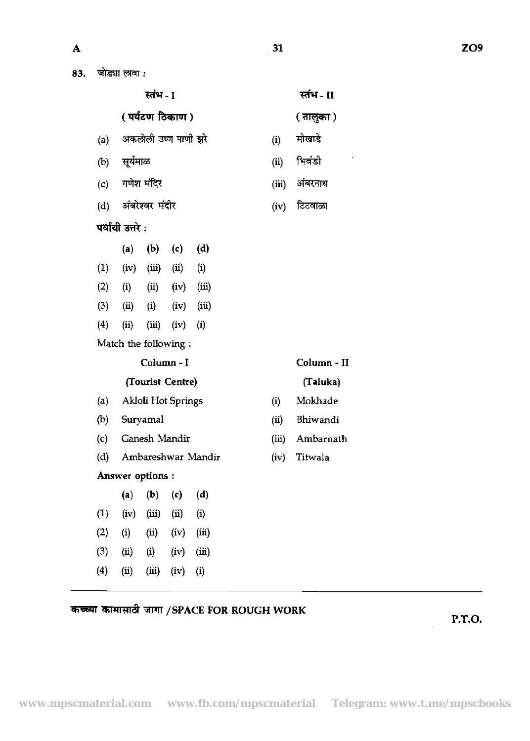| जोड्या लावा : |  |
|---------------|--|
|               |  |

|     |                   |       |                                                                                     |                                                                                                        |                                                                                                                                                  |       | स्तंभ - II  |
|-----|-------------------|-------|-------------------------------------------------------------------------------------|--------------------------------------------------------------------------------------------------------|--------------------------------------------------------------------------------------------------------------------------------------------------|-------|-------------|
|     |                   |       |                                                                                     |                                                                                                        |                                                                                                                                                  |       | ( तालुका )  |
| (a) |                   |       |                                                                                     |                                                                                                        |                                                                                                                                                  | (i)   | मोखाडे      |
|     |                   |       |                                                                                     |                                                                                                        |                                                                                                                                                  | (ii)  | भिवंडी      |
| (c) |                   |       |                                                                                     |                                                                                                        |                                                                                                                                                  | (iii) | अंबरनाथ     |
| (d) |                   |       |                                                                                     |                                                                                                        |                                                                                                                                                  | (iv)  | टिटवाळा     |
|     |                   |       |                                                                                     |                                                                                                        |                                                                                                                                                  |       |             |
|     | (a)               |       | (c)                                                                                 | (d)                                                                                                    |                                                                                                                                                  |       |             |
| (1) | (iv)              |       | (ii)                                                                                | (i)                                                                                                    |                                                                                                                                                  |       |             |
|     | (i)               |       |                                                                                     | (iii)                                                                                                  |                                                                                                                                                  |       |             |
| (3) |                   | (i)   |                                                                                     | (iii)                                                                                                  |                                                                                                                                                  |       |             |
| (4) | (ii)              | (iii) | (iv)                                                                                | (i)                                                                                                    |                                                                                                                                                  |       |             |
|     |                   |       |                                                                                     |                                                                                                        |                                                                                                                                                  |       |             |
|     |                   |       |                                                                                     |                                                                                                        |                                                                                                                                                  |       | Column - II |
|     |                   |       |                                                                                     |                                                                                                        |                                                                                                                                                  |       | (Taluka)    |
| (a) |                   |       |                                                                                     |                                                                                                        |                                                                                                                                                  | (i)   | Mokhade     |
| (b) |                   |       |                                                                                     |                                                                                                        |                                                                                                                                                  | (ii)  | Bhiwandi    |
| (c) |                   |       |                                                                                     |                                                                                                        |                                                                                                                                                  | (iii) | Ambarnath   |
| (d) |                   |       |                                                                                     |                                                                                                        |                                                                                                                                                  | (iv)  | Titwala     |
|     |                   |       |                                                                                     |                                                                                                        |                                                                                                                                                  |       |             |
|     | (a)               | (b)   | $\left( c\right)$                                                                   | (d)                                                                                                    |                                                                                                                                                  |       |             |
| (1) | (iv)              | (iii) | (i)                                                                                 | (i)                                                                                                    |                                                                                                                                                  |       |             |
| (2) | $\left( i\right)$ | (ii)  | (iv)                                                                                | (iii)                                                                                                  |                                                                                                                                                  |       |             |
| (3) | (ii)              | (i)   | (iv)                                                                                | (iii)                                                                                                  |                                                                                                                                                  |       |             |
| (4) | (ii)              | (iii) | (iv)                                                                                | (i)                                                                                                    |                                                                                                                                                  |       |             |
|     |                   | (2)   | जोड्या लावा :<br>(b) सूर्यमाळ<br>गणेश मंदिर<br>पर्यायी उत्तरे :<br>(ii)<br>Suryamal | स्तंभ - 1<br>अंबरेश्वर मंदीर<br>(b)<br>(iii)<br>(ii)<br>Column - I<br>Ganesh Mandir<br>Answer options: | ( पर्यटण ठिकाण )<br>अकलोली उष्ण पाणी झरे<br>(iv)<br>(iv)<br>Match the following:<br>(Tourist Centre)<br>Akloli Hot Springs<br>Ambareshwar Mandir |       |             |

कच्च्या कामासावी जागा /SPACE FOR ROUGH WORK

## **P.T.O.**

l.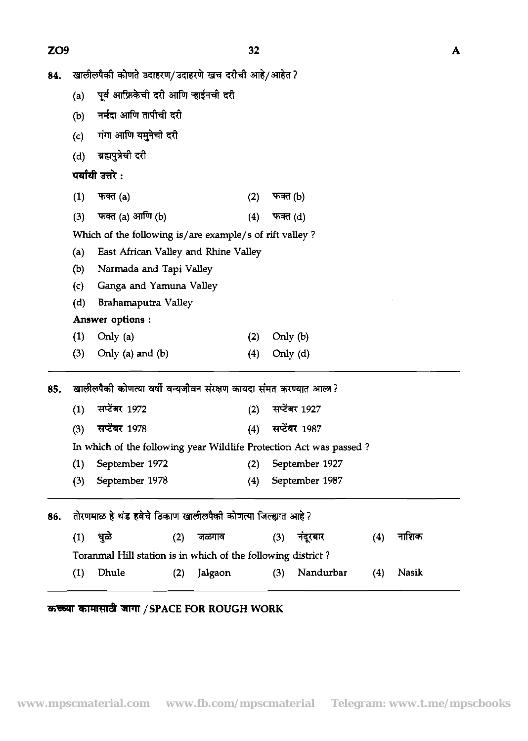ZO<sub>9</sub>

 $\cdot$ 

 $\boldsymbol{\mathsf{A}}$ 

 $\hat{\mathcal{F}}$ 

| 84.    खालीलपैकी कोणते उदाहरण/उदाहरणे खच दरीची आहे/आहेत ?           |                           |
|---------------------------------------------------------------------|---------------------------|
| (a)    पूर्व आफ्रिकेची दरी आणि ऱ्हाईनची दरी                         |                           |
| (b)     नर्मदा आणि तापीची दरी                                       |                           |
| (c)     गंगा आणि यमुनेची दरी                                        |                           |
|                                                                     |                           |
| (d) ब्रह्मपुत्रेची दरी                                              |                           |
| पर्यायी उत्तरे :                                                    |                           |
| $(1)$ फक्त $(a)$                                                    | (2) फक्त (b)              |
| (3) फक्त (a) आणि (b)                                                | (4) फक्त (d)              |
| Which of the following is/are example/s of rift valley?             |                           |
| (a) East African Valley and Rhine Valley                            |                           |
| (b) Narmada and Tapi Valley                                         |                           |
| (c) Ganga and Yamuna Valley                                         |                           |
| (d) Brahamaputra Valley                                             |                           |
| Answer options :                                                    |                           |
| $(1)$ Only $(a)$                                                    | (2) Only (b)              |
| $(3)$ Only $(a)$ and $(b)$                                          | $(4)$ Only $(d)$          |
|                                                                     |                           |
| खालीलपैकी कोणत्या वर्षी वन्यजीवन संरक्षण कायदा संमत करण्यात आला?    |                           |
| (1) सप्टेंबर 1972                                                   | (2) सप्टेंबर 1927         |
| (3) सप्टेंबर 1978                                                   | (4) सप्टेंबर 1987         |
| In which of the following year Wildlife Protection Act was passed?  |                           |
| (1) September 1972 (2) September 1927                               |                           |
| (3) September 1978                                                  | (4) September 1987        |
|                                                                     |                           |
| 86.    तोरणमाळ हे थंड हवेचे ठिकाण खालीलपैकी कोणत्या जिल्ह्यात आहे ? |                           |
|                                                                     |                           |
| (2) जळगाव<br>(1) धुळे                                               | (3) नंदूरबार<br>(4) नाशिक |
| Toranmal Hill station is in which of the following district?        |                           |
| (2) Jalgaon<br>(1) Dhule                                            | (3) Nandurbar (4) Nasik   |
|                                                                     |                           |

# *TREE ARREST IN THE SPACE FOR ROUGH WORK*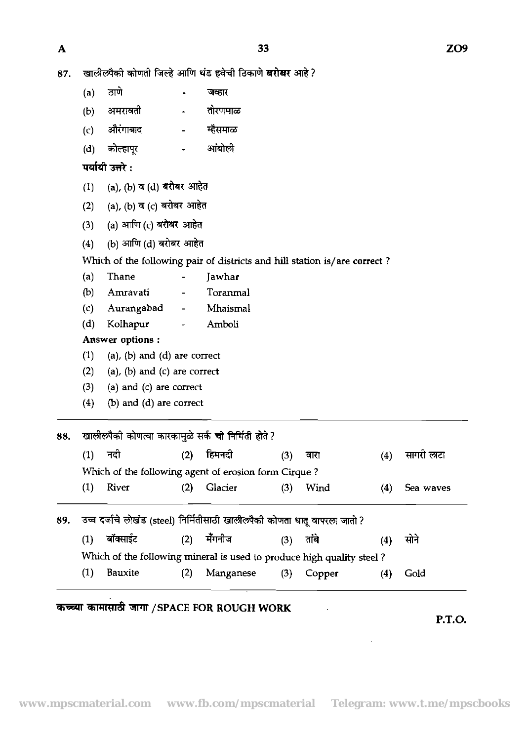- 87. खालीलपैकी कोणती जिल्हे आणि थंड हवेची ठिकाणे **खरोखर** आहे?
- (a) ठाणे <mark>-</mark> जव्हार खालीलपैकी कोणती जिल्हे आणि थंड हवेची ठि<br>(a) - ठाणे - - जव्हार<br>(b) अमरावती - - तोरणमाळ<br>(c) औरंगाबाद - - म्हैसमाळ खालीलपैको कोणती जिल्हे आणि थंड हवेची f<br>(a) - ठाणे - - - जव्हार<br>(b) अमरावती - - नोरणमाळ<br>(c) औरंगाबाद - - म्हैसमाळ<br>(d) कोल्हापूर - - आंबोली (a) ठाणे - जव्हार<br>(b) अमरावती - तोरणमाळ<br>(c) औरंगाबाद - म्हैसमाळ<br>(d) कोल्हापूर - आंबोली<br>पर्यायी उत्तरे :
	-
	-
	- (d) कोल्हापूर - आंबोत<br><mark>पर्यायी उत्तरे :</mark><br>(1) (a), (b) व (d) बरोबर आहेत<br><sup>(2)</sup> (o) (b) व (o) बरोबर आहेत

- 
- पर्यायी उत्तरे :<br>(1) (a)*,* (b) व (d) बरोबर आहेत<br>(2) (a), (b) व (c) बरोबर आहेत<br><sup>(3)</sup> (a) अर्गाम (c) बरोबर आहेत (1) (a), (b) व (d) बरोबर आहेत<br>(2) (a), (b) व (c) बरोबर आहेत<br>(3) (a) आणि (c) बरोबर आहेत<br>(4) (b) अर्गणि (d) लगेलर आहेत (2) (a), (b) व (c) बरोबर आहेत<br>(3) (a) आणि (c) बरोबर आहेत<br>(4) (b) आणि (d) बरोबर आहेत
- 
- 

Which of the following pair of districts and hill station is/are correct ?

- (a) Thane Jawhar
- (b) Amravati Toranmal
- (c) Aurangabad Mhaismal
- (d) Kolhapur Amboli

Answer options :

- $(1)$  (a),  $(b)$  and  $(d)$  are correct
- $(2)$  (a),  $(b)$  and  $(c)$  are correct
- (3) (a) and (c) are correct
- $(4)$  (b) and  $(d)$  are correct

————————————————————<br>88. खालीलपैकी कोणत्या कारकामुळे (1) \* (2) fhI.4 (3) mJ (4) **4** Fnl

| $\mathbf{1}$ | $\frac{1}{2}$                                        | $\mathbf{U}$ | $\mathbf{r}$ and $\mathbf{r}$ |
|--------------|------------------------------------------------------|--------------|-------------------------------|
|              | Which of the following agent of erosion form Cirque? |              |                               |
| $(1)$ River  | $(2)$ Glacier                                        | $(3)$ Wind   | $(4)$ Sea waves               |

89. उच्च दर्जाचे लोखंड (steel) निर्मितीसाठी खालीलपैकी कोणता धातु वापरला जातो ? (1) नदा (2) हिमनदा (3) वारा (4) सागरा रु<br>Which of the following agent of erosion form Cirque ?<br>(1) River (2) Glacier (3) Wind (4) Sea way<br>wind the following the sea ward of the following mineral is used to produce high q Which of the following mineral is used to produce high quality steel ? (1) Bauxite (2) Manganese (3) Copper (4) Gold

## कच्च्या कामासाठी जागा /SPACE FOR ROUGH WORK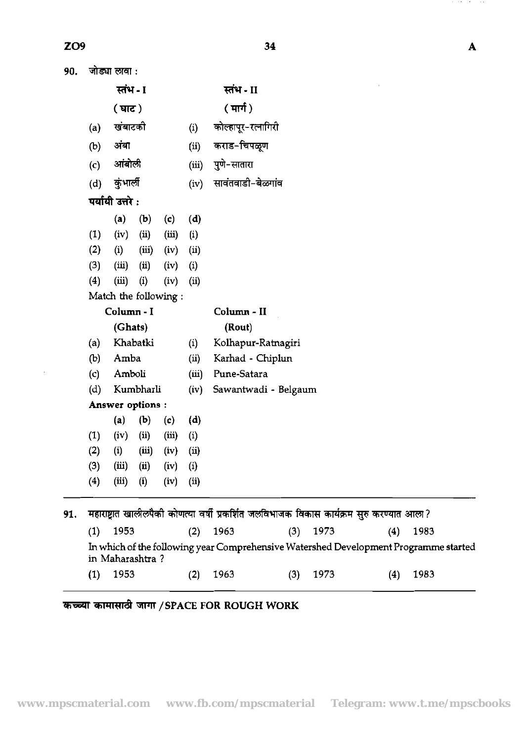$90.$  जोड्या लावा :

in Maharashtra ?

*कच्च्या कामासाठी जागा / SPACE FOR ROUGH WORK* 

|     |     | स्तंभ - I            |           |       |       | स्तंभ - II                                                                                |
|-----|-----|----------------------|-----------|-------|-------|-------------------------------------------------------------------------------------------|
|     |     | (घाट)                |           |       |       | ( मार्ग )                                                                                 |
|     | (a) | खंबाटकी              |           |       | (i)   | कोल्हापूर-रत्नागिरी                                                                       |
|     | (b) | अंबा                 |           |       | (ii)  | कराड-चिपळूण                                                                               |
|     | (c) | आंबोली               |           |       | (iii) | पुणे-सातारा                                                                               |
|     | (d) | कुंभार्ली            |           |       | (iv)  | सावंतवाडी-बेळगांव                                                                         |
|     |     | पर्यायी उत्तरे :     |           |       |       |                                                                                           |
|     |     | (a)                  | (b)       | (c)   | (d)   |                                                                                           |
|     | (1) | (iv)                 | (ii)      | (iii) | (i)   |                                                                                           |
|     | (2) | (i)                  | (iii)     | (iv)  | (ii)  |                                                                                           |
|     | (3) | (iii)                | (ii)      | (iv)  | (i)   |                                                                                           |
|     | (4) | (iii)                | (i)       | (iv)  | (ii)  |                                                                                           |
|     |     | Match the following: |           |       |       |                                                                                           |
|     |     | Column - I           |           |       |       | Column - II                                                                               |
|     |     | (Ghats)              |           |       |       | (Rout)                                                                                    |
|     | (a) |                      | Khabatki  |       | (i)   | Kolhapur-Ratnagiri                                                                        |
|     | (b) | Amba                 |           |       | (ii)  | Karhad - Chiplun                                                                          |
|     | (c) | Amboli               |           |       | (iii) | Pune-Satara                                                                               |
|     | (d) |                      | Kumbharli |       | (iv)  | Sawantwadi - Belgaum                                                                      |
|     |     | Answer options :     |           |       |       |                                                                                           |
|     |     | (a)                  | (b)       | (c)   | (d)   |                                                                                           |
|     | (1) | (iv)                 | (ii)      | (iii) | (i)   |                                                                                           |
|     | (2) | (i)                  | (iii)     | (iv)  | (ii)  |                                                                                           |
|     | (3) | (iii)                | (i)       | (iv)  | (i)   |                                                                                           |
|     | (4) | (iii)                | (i)       | (iv)  | (ii)  |                                                                                           |
| 91. |     |                      |           |       |       | महाराष्ट्रात खालीलपैकी कोणत्या वर्षी प्रकर्शित जलविभाजक विकास कार्यक्रम सुरु करण्यात आला? |
|     | (1) | 1953                 |           |       | (2)   | 1963<br>1973<br>1983<br>(3)<br>(4)                                                        |
|     |     |                      |           |       |       | In which of the following year Comprehensive Watershed Development Programme started      |

34

 $\overline{\mathbf{A}}$ 

 $\alpha$  , and  $\alpha$  $\sim$  10  $\sigma$ 

(1) 1953 (2) 1963 (3) 1973 (4) 1983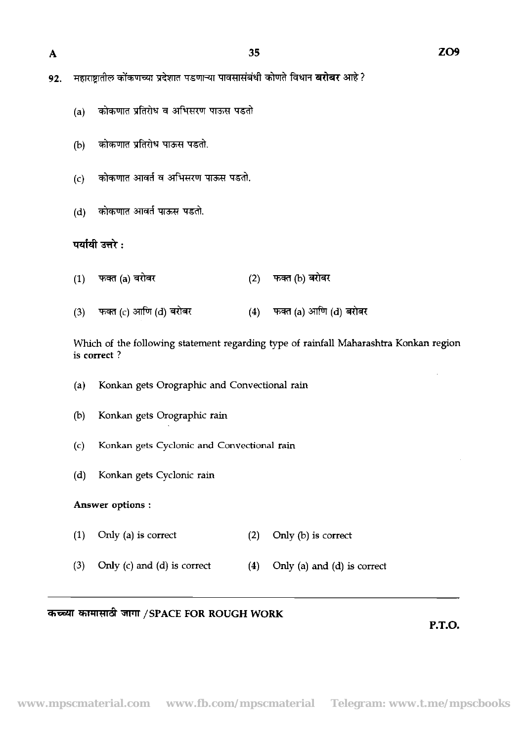$\mathbf{A}$ 

- महाराष्ट्रातील कोंकणच्या प्रदेशात पडणाऱ्या पावसासंबंधी कोणते विधान **बरोबर** आहे ? 92.
	- (a) कोकणात प्रतिरोध व अभिसरण पाऊस पडतो
	- (b) कोकणात प्रतिरोध पाऊस पडतो.
	- $(c)$  कोकणात आवर्त व अभिसरण पाऊस पडतो.
	- (d) कोकणात आवर्त पाऊस पडतो.

### पर्यायी उत्तरे :

- फक्त (a) बरोबर (2) फक्त (b) बरोबर  $(1)$
- फक्त (a) आणि (d) बरोबर फक्त (c) आणि (d) बरोबर  $(4)$  $(3)$

Which of the following statement regarding type of rainfall Maharashtra Konkan region is correct ?

- (a) Konkan gets Orographic and Convectional rain
- (b) Konkan gets Orographic rain
- (c) Konkan gets Cyclonic and Convectional rain
- (d) Konkan gets Cyclonic rain

#### Answer options :

- (1) Only (a) is correct  $(2)$  Only (b) is correct
- (3) Only (c) and (d) is correct  $(4)$  Only (a) and (d) is correct

### कच्च्या कामासाठी जागा /SPACE FOR ROUGH WORK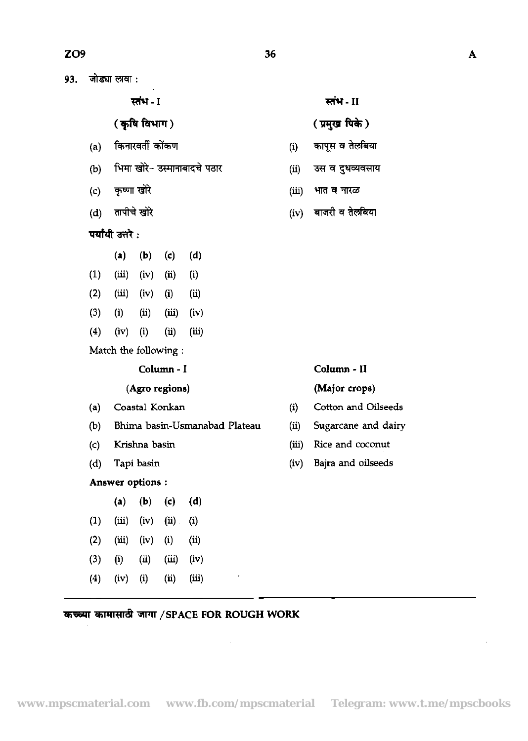**(कृषि विभाग)** 

- **स्तंभ I<br>( कृषि विभाग )**<br>(a) किनारवर्ती कोंकण
- (b) भिमा खोरे- उस्मानाबादचे पठार
- (c) कृष्णा खोरे
- (d) तापीचे खोरे<br>**पर्यांयी उत्तरे :**
- - (a) (b) (c) (d)
- $(1)$   $(iii)$   $(iv)$   $(ii)$   $(i)$
- (2) (iii) (iv) (i) (ii)
- (3) (i) **(ii)** (iii) (iv)
- (4) (iv) (i) (ii) (iii)

Match the following :

#### (Agro regions) (Major crops)

- 
- (b) **Bhima** basin-Usmanabad Plateau (ii) Sugarcane and dairy
- 
- 

### Answer options :

- (a) (b) (c) (d)  $(1)$   $(iii)$   $(iv)$   $(ii)$   $(i)$  $(2)$   $(iii)$   $(iv)$   $(i)$   $(ii)$ (3) (i) (ii) (iii) (iv)
- (4) (iv) (i) (ii) (iii)
- ( प्रमुख पिके)
- **स्तंभ II<br>( प्रमुख पिके )**<br>(i) कापूस व तेलबिया<br>(ii) उस व दुधव्यवसाय
- (ii) उस व दुधव्यवसाय
- (iii) **misw**

36

(iv) बाजरी व तेलबिया

#### Column - I Column - **I1**

- (a) Coastal Konkan (i) Cotton **and** Oilseeds
	-
- (c) Krishna basin (iii) Rice and coconut
- (d) Tapi basin (iv) Bajra and oilseeds

 $\bar{z}$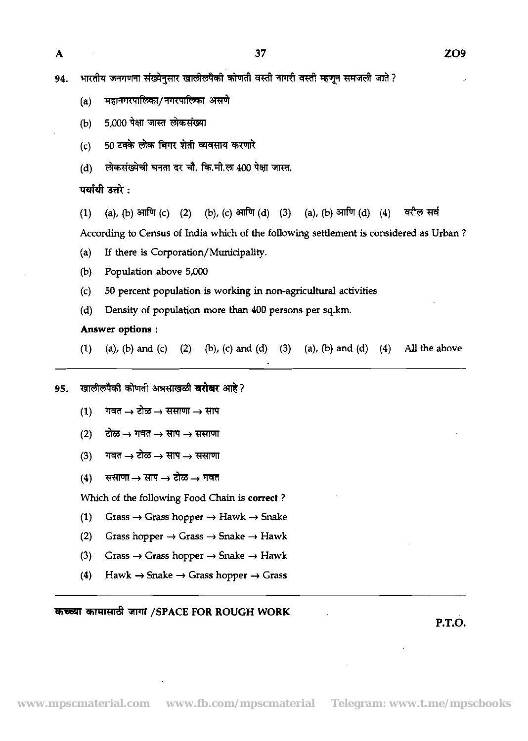भारतीय जनगणना संख्येनुसार खालीलपैको कोणती वस्ती नागरी वस्ती म्हणून समजली जाते ? 94.

- महानगरपालिका/नगरपालिका असणे  $(a)$
- 5,000 पेक्षा जास्त लोकसंख्या  $(b)$
- 50 टक्के लोक बिगर शेती व्यवसाय करणारे  $(c)$
- 

(d) लोकसंख्येची घनता दर चौ. कि.मी.ला 400 पेक्षा जास्त.<br>**पर्यायी उत्तरे :**<br>(1) (a), (b) आणि (c) (2) (b), (c) आणि (d) (3) (a), (b) आणि (d) (4) करील सर्व

According to Census of India which of the following settlement is considered as Urban ?

- **(a)** If there is **Corporation/Munidpaliiy.**
- (b) Population above 5,000
- (c) 50 percent population is working in non-agricultural activities
- (d) Density of population more **than** 400 persons per sq.km.

#### **Answer options** :

- (1) (a), (b) and (c) (2) (b), (c) and (d) (3) (a), (b) and (d) (4) All the above
- 95. *खालीलपैकी कोणती अन्नसाखळी खरोखर आहे* ?
	- $(1)$ गवत  $\rightarrow$  टोळ  $\rightarrow$  ससाणा  $\rightarrow$  साप
	- $(2)$  and  $\rightarrow$  **1146**  $\rightarrow$  **HIV**  $\rightarrow$  **HHIVII**
	- $(3)$  *mad*  $\rightarrow$  clos  $\rightarrow$  <del>HIV</del>  $\rightarrow$  HHIVII
	- $(4)$  ससाणा  $\rightarrow$  साप  $\rightarrow$  टोळ  $\rightarrow$  गवत

Which of the following Food Chain is **correct** ?

- (1) Grass  $\rightarrow$  Grass hopper  $\rightarrow$  Hawk  $\rightarrow$  Snake
- (2) Grass hopper  $\rightarrow$  Grass  $\rightarrow$  Snake  $\rightarrow$  Hawk
- (3) Grass  $\rightarrow$  Grass hopper  $\rightarrow$  Snake  $\rightarrow$  Hawk
- (4) Hawk  $\rightarrow$  Snake  $\rightarrow$  Grass hopper  $\rightarrow$  Grass

#### **WWld /SPACE FOR ROUGH WORK**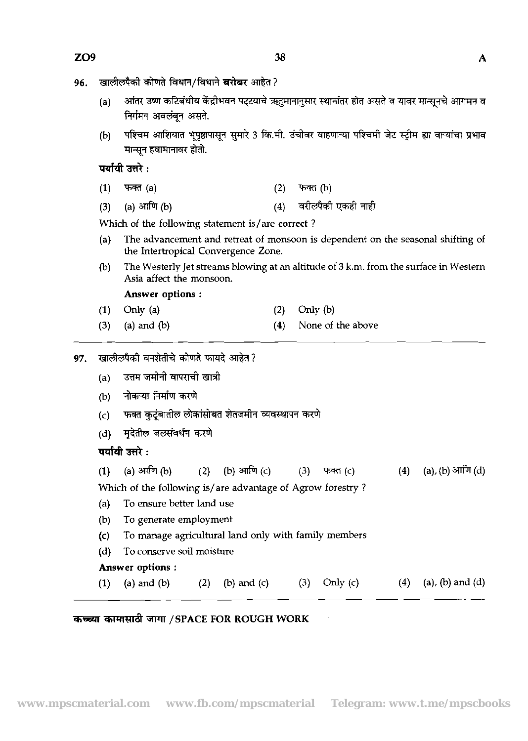- खालीलपैकी कोणते विधान/विधाने बरोबर आहेत ? 96.
	- (a) अंतर उष्ण कटिबंधीय केंद्रीभवन पट्टयाचे ऋतुमानानुसार स्थानांतर होत असते व यावर मान्सनचे आगमन व निर्गमन अवलंबन असते.
	- पश्चिम आशियात भूपृष्ठापासून सुमारे 3 कि.मी. उंचीवर वाहणाऱ्या पश्चिमी जेट स्ट्रीम ह्या वाऱ्यांचा प्रभाव  $(b)$ मान्सन हवामानावर होतो.

पर्यायी उत्तरे :

- 
- (1) रखत (a)<br>(3) (a) <mark>आणि (b) (4) वरीलपैको एकः</mark><br>)

Which of the following statement is/are correct ?

- (a) The advancement and retreat of monsoon is dependent on the seasonal shifting of the Intertropical Convergence Zone.
- (b) The Westerly Jet streams blowing at an altitude of 3 **k.m.** from the surface in Western Asia affect the monsoon.

Answer options :

- **(1)** Only (a) (2) *Only* (b)
- (3) (a) and (b)  $(4)$  None of the above

## खालीलपैकी वनशेतीचे कोणते फायदे आहेत?<br>(a) = उत्तम जमीनी वापराची खात्री 97.

- 
- 
- 
- 

| (a) | उत्तम जमानी वापराची खात्री                                 |  |  |  |            |     |                         |  |  |  |  |
|-----|------------------------------------------------------------|--|--|--|------------|-----|-------------------------|--|--|--|--|
| (b) | नोकऱ्या निर्माण करणे                                       |  |  |  |            |     |                         |  |  |  |  |
| (c) | फक्त कुटुंबातील लोकांसोबत शेतजमीन व्यवस्थापन करणे          |  |  |  |            |     |                         |  |  |  |  |
| (d) | मृदेतील जलसंवर्धन करणे                                     |  |  |  |            |     |                         |  |  |  |  |
|     | पर्यायी उत्तरे :                                           |  |  |  |            |     |                         |  |  |  |  |
|     | (1) (a) आणि (b) (2) (b) आणि (c) (3) फक्त (c)               |  |  |  |            |     | (4) (a), (b) आणि (d)    |  |  |  |  |
|     | Which of the following is/are advantage of Agrow forestry? |  |  |  |            |     |                         |  |  |  |  |
| (a) | To ensure better land use                                  |  |  |  |            |     |                         |  |  |  |  |
| (b) | To generate employment                                     |  |  |  |            |     |                         |  |  |  |  |
| (c) | To manage agricultural land only with family members       |  |  |  |            |     |                         |  |  |  |  |
| (d) | To conserve soil moisture                                  |  |  |  |            |     |                         |  |  |  |  |
|     | <b>Answer options:</b>                                     |  |  |  |            |     |                         |  |  |  |  |
|     | (1) (a) and (b) (2) (b) and (c) (3)                        |  |  |  | Only $(c)$ | (4) | $(a)$ , $(b)$ and $(d)$ |  |  |  |  |

## **5WlT /SPACE FOR ROUGH WORK**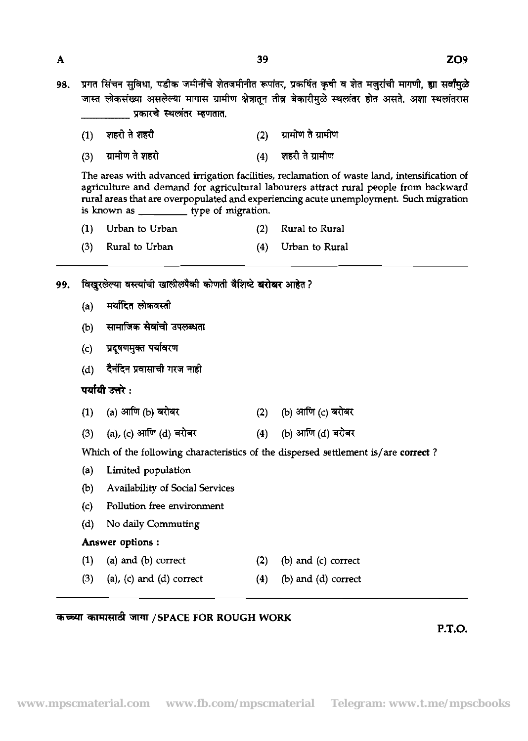प्रगत सिंचन सुविधा, पडीक जमीनींचे शेतजमीनीत रूपांतर, प्रकर्षित कृषी व शेत मजुरांची मागणी, ह्या सर्वांमुळे 98. जास्त लोकसंख्या असलेल्या मागास ग्रामीण क्षेत्रातून तीव्र बेकारीमुळे स्थलांतर होत असते. अशा स्थलांतरास प्रकारचे स्थलांतर म्हणतात.

39

शहरी ते शहरी ग्रामीण ते ग्रामीण  $(1)$  $(2)$ शहरी ते ग्रामीण  $(3)$ ग्रामीण ते शहरी  $(4)$ 

The areas with advanced irrigation facilities, reclamation of waste land, intensification of agriculture and demand for agricultural labourers attract rural people from backward rural areas that are overpopulated and experiencing acute unemployment. **Such** migration is known as \_\_\_\_\_\_\_\_\_\_\_ type of migration.

| (1) Urban to Urban   | (2) Rural to Rural |
|----------------------|--------------------|
| $(3)$ Rural to Urban | (4) Urban to Rural |

- विखरलेल्या वस्त्यांची खालीलपैकी कोणती वैशिष्टे बरोबर आहेत ? 99.
	- (a) मर्यादित लोकवस्ती
	- (b) सामाजिक सेवांची उपलब्धता
	- प्रदूषणमुक्त पर्यावरण  $(c)$
	- (d) दैनंदिन प्रवासाची गरज नाही

पर्यायी उत्तरे :

- (a) आणि (b) बरोबर (b) आणि (c) बरोबर  $(1)$  $(2)$
- (a), (c) आणि (d) बरोबर (b) आणि (d) बरोबर  $(3)$  $(4)$

Which of the following characteristics of the dispersed settlement is/are correct?

- (a) Limited population
- (b) Availability of Social Services
- (c) Pollution free environment
- (d) No daily Commuting

## Answer options :

- (1) (a) and (b) correct  $(2)$  (b) and (c) correct
- (3) (a), (c) and (d) correct  $(4)$  (b) and (d) correct

## कच्च्या कामासाठी जागा /SPACE FOR ROUGH WORK

P.T.O.

 $\mathbf{A}$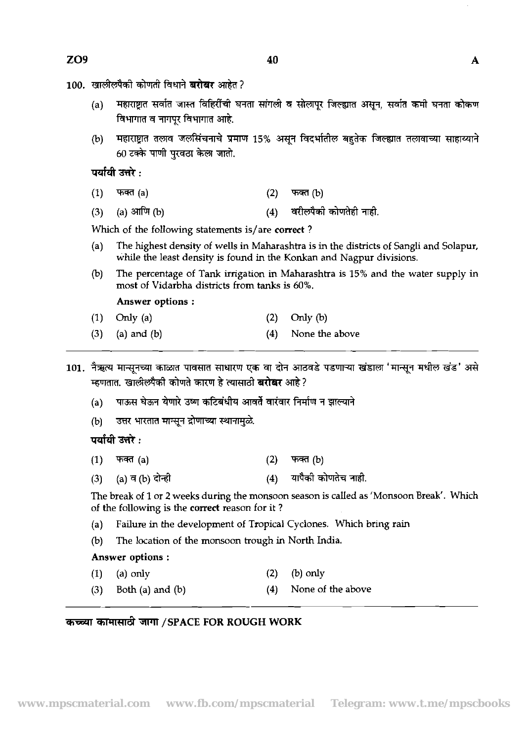- <u>100. खालीलपैकी कोणती विधाने **बरोखर** आहेत</u> ?
	- महाराष्ट्रात सर्वात जास्त विहिरींची घनता सांगली व सोलापुर जिल्ह्यात असून, सर्वात कमी घनता कोकण  $(a)$ विभागात व नागपुर विभागात आहे.
	- महाराष्ट्रात तलाव जलसिंचनाचे प्रमाण 15% असून विदर्भातील बहुतेक जिल्ह्यात तलावाच्या साहाय्याने  $(b)$ 60 टक्के पाणी परवठा केला जातो.

पर्यायी उत्तरे :

- $(1)$  $\text{Tr}(\mathbf{a})$  $(2)$  $\pi$ क्त (b)
- (a) आणि  $(b)$ वरीलपैको कोणतेही नाही.  $(3)$  $(4)$

Which of the following statements is/are correct ?

- (a) The highest density of wells in Maharashtra is in the districts of Sangli and Solapur, while the least density is found in the Konkan and Nagpur divisions.
- @) The percentage of Tank irrigation in Maharashtra is 15% and the water supply in most of Vidarbha districts from tanks is *6096.*

Answer options :

- (1) Only (a)  $(2)$  Only (b)
- **(3)** (a) and (b) (4) None the above
- 101. नैऋत्य मान्सुनच्या काळात पावसात साधारण एक वा दोन आठवडे पडणाऱ्या खंडाला 'मान्सुन मधील खंड' असे म्हणतात. खालीलपैकी कोणते कारण हे त्यासाठी **बरोबर** आहे?
	- (a) पाऊस घेऊन येणारे उष्ण कटिबंधीय आवर्ते वारंवार निर्माण न झाल्याने
	- उत्तर भारतात मान्सून द्रोणाच्या स्थानामुळे.  $(b)$

पर्यायी उत्तरे :

- $(1)$ फक्त $(a)$  $(2)$ फक्त $(b)$
- यापैकी कोणतेच नाही. (a) व (b) दोन्हो  $(4)$  $(3)$

The break of **1** or 2 weeks during the monsoon season is called as 'Monsoon Break'. Which of the following is the correct reason for it ?

- (a) Failure in the development of Tropical Cyclones. Which bring rain
- @) The location of the monsoon trough in North India.

### Answer options :

- (1) (a) only (2) (b) only
- (3) Both (a) and (b)  $(4)$  None of the above

## **5TWd /SPACE FOR ROUGH WORK**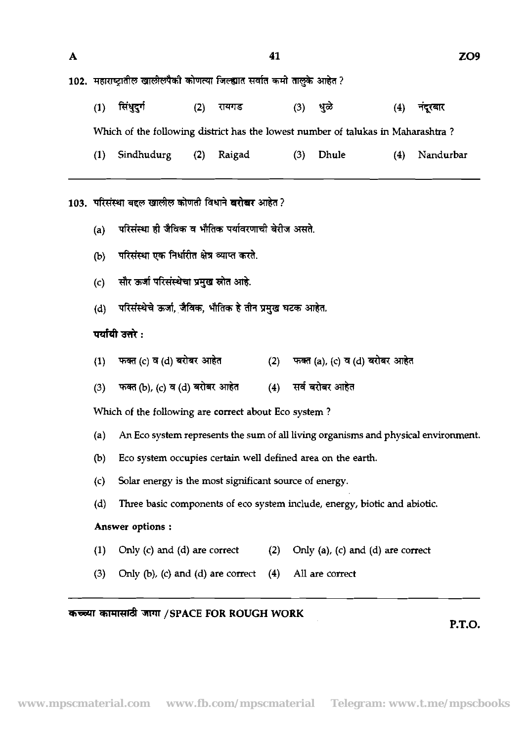| A |                                                           |                                                                                        |     |        | 41  |          |                                   |     | ZO9       |  |  |
|---|-----------------------------------------------------------|----------------------------------------------------------------------------------------|-----|--------|-----|----------|-----------------------------------|-----|-----------|--|--|
|   |                                                           | 102.  महाराष्ट्रातील खालीलपैकी कोणत्या जिल्ह्यात सर्वात कमो तालुके आहेत ?              |     |        |     |          |                                   |     |           |  |  |
|   | (1)                                                       | सिंधुदुर्ग                                                                             | (2) | रायगड  |     | (3) धुळे |                                   | (4) | नंदूरबार  |  |  |
|   |                                                           | Which of the following district has the lowest number of talukas in Maharashtra?       |     |        |     |          |                                   |     |           |  |  |
|   | (1)                                                       | Sindhudurg                                                                             | (2) | Raigad |     | (3)      | Dhule                             | (4) | Nandurbar |  |  |
|   |                                                           | 103. परिसंस्था बद्दल खालील कोणती विधाने <b>बरोबर</b> आहेत ?                            |     |        |     |          |                                   |     |           |  |  |
|   | परिसंस्था ही जैविक व भौतिक पर्यावरणाची बेरीज असते.<br>(a) |                                                                                        |     |        |     |          |                                   |     |           |  |  |
|   | परिसंस्था एक निर्धारीत क्षेत्र व्याप्त करते.<br>(b)       |                                                                                        |     |        |     |          |                                   |     |           |  |  |
|   | सौर ऊर्जा परिसंस्थेचा प्रमुख स्रोत आहे.<br>(c)            |                                                                                        |     |        |     |          |                                   |     |           |  |  |
|   | (d)                                                       | परिसंस्थेचे ऊर्जा, जैविक, भौतिक हे तीन प्रमुख घटक आहेत.                                |     |        |     |          |                                   |     |           |  |  |
|   |                                                           | पर्यायी उत्तरे :                                                                       |     |        |     |          |                                   |     |           |  |  |
|   | (1)                                                       | फक्त (c) व (d) बरोबर आहेत                                                              |     |        | (2) |          | फक्त (a), (c) व (d) बरोबर आहेत    |     |           |  |  |
|   | (3)                                                       | फक्त (b), (c) व (d) बरोबर आहेत                                                         |     |        |     |          | (4) सर्व बरोबर आहेत               |     |           |  |  |
|   |                                                           | Which of the following are correct about Eco system?                                   |     |        |     |          |                                   |     |           |  |  |
|   |                                                           | (a) An Eco system represents the sum of all living organisms and physical environment. |     |        |     |          |                                   |     |           |  |  |
|   | (b)                                                       | Eco system occupies certain well defined area on the earth.                            |     |        |     |          |                                   |     |           |  |  |
|   | (c)                                                       | Solar energy is the most significant source of energy.                                 |     |        |     |          |                                   |     |           |  |  |
|   | (d)                                                       | Three basic components of eco system include, energy, biotic and abiotic.              |     |        |     |          |                                   |     |           |  |  |
|   |                                                           | Answer options:                                                                        |     |        |     |          |                                   |     |           |  |  |
|   | (1)                                                       | Only (c) and (d) are correct                                                           |     |        | (2) |          | Only (a), (c) and (d) are correct |     |           |  |  |
|   | (3)                                                       | Only $(b)$ , $(c)$ and $(d)$ are correct                                               |     |        | (4) |          | All are correct                   |     |           |  |  |

# *क* च्च्या कामासाठी जागा /SPACE FOR ROUGH WORK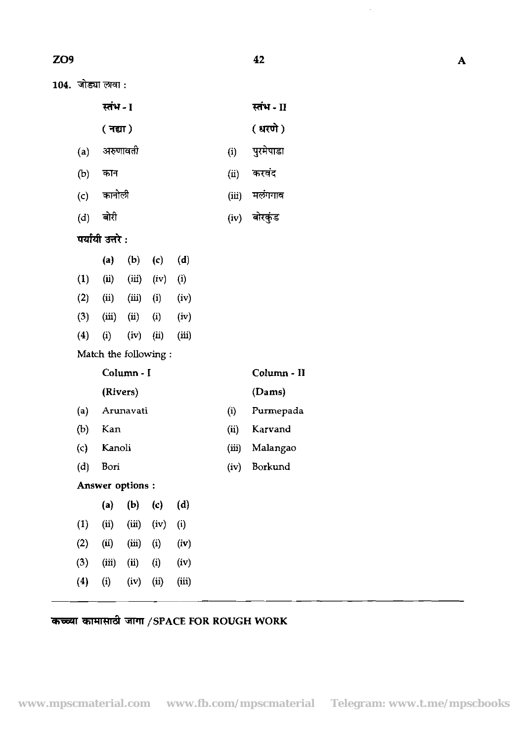|     |                  |       | 42           |
|-----|------------------|-------|--------------|
|     | जोड्या लावा :    |       |              |
|     | स्तंभ - I        |       | स्तंभ - II   |
|     | ( नद्या)         |       | (धरणे)       |
| (a) | अरुणावती         | (i)   | पुरमेपाडा    |
| (b) | कान              | (ii)  | करवंद        |
| (c) | कानोली           | (iii) | मलंगगाव      |
| (d) | बोरी             |       | (iv) बोरकुंड |
|     | पर्यायी उत्तरे : |       |              |

|                    | (a)               | (b)   | (c)               | (d)                        |  |
|--------------------|-------------------|-------|-------------------|----------------------------|--|
| $\bf{(1)}$         | $\bf (ii)$        | (iii) | (iv)              | $\left( \mathrm{i}\right)$ |  |
| (2)                | $\rm (ii)$        | (iii) | $\bf (i)$         | (iv)                       |  |
| (3)                | (iii)             | (ii)  | $\left( i\right)$ | (iv)                       |  |
| $\boldsymbol{(4)}$ | $\left( i\right)$ | (iv)  | (ii)              | (iii)                      |  |
|                    |                   |       |                   |                            |  |

Match the following :

Column - I

## Column - **I1**

#### (Rivers) (Dams)

- (a) Arunavati (i) Purmepada
- (b) Kan (ii) Karvand
- (c) Kanoli (iii) Malangao
- (d) Bori (iv) Borkund

## Answer options :

|                   | $\bf(a)$   | (b)             | (c)      | (d)   |  |
|-------------------|------------|-----------------|----------|-------|--|
| $\left(1\right)$  | $\rm (ii)$ | (iii)           | (iv)     | (i)   |  |
| (2)               | (ii)       | (iii)           | $\rm(i)$ | (iv)  |  |
| (3)               | (iii)      | $\mathbf{(ii)}$ | $\rm(i)$ | (iv)  |  |
| $\left( 4\right)$ | $\rm (i)$  | (iv)            | (ii)     | (iii) |  |

# *कच्च्या कामासाठी जागा / SPACE FOR ROUGH WORK*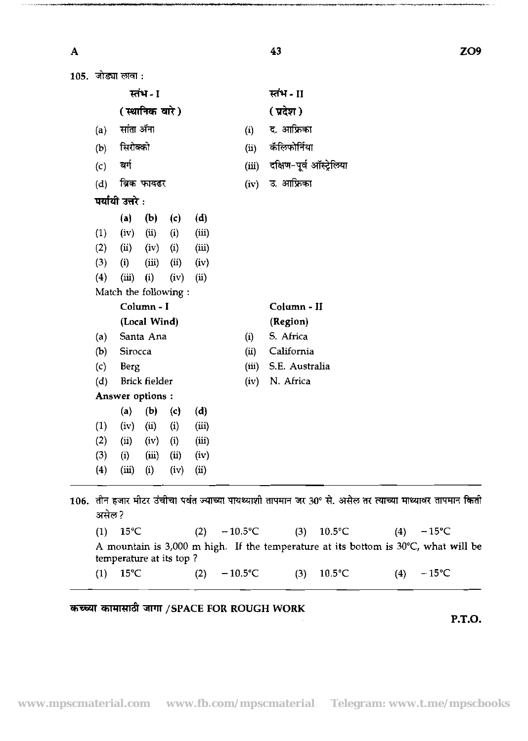$\overline{\mathbf{A}}$ 

.<br>Terminale programma

ZO<sub>9</sub>

|            | 105. जोड्या लावा :    |                      |                |              |       |                          |  |  |
|------------|-----------------------|----------------------|----------------|--------------|-------|--------------------------|--|--|
|            |                       | स्तंभ - I            |                |              |       | स्तंभ - II               |  |  |
|            |                       | (स्थानिक वारे)       |                |              |       | (प्रदेश)                 |  |  |
| (a)        | सांता ॲना             |                      |                |              | (i)   | द. आफ्रिका               |  |  |
| (b)        | सिरोक्को              |                      |                |              | (ii)  | कॅलिफोर्निया             |  |  |
| (c)        | ঝা                    |                      |                |              | (iii) | दक्षिण-पूर्व ऑस्ट्रेलिया |  |  |
| (d)        |                       | ब्रिक फायढर          |                |              | (iv)  | उ. आफ्रिका               |  |  |
|            | पर्यायी उत्तरे :      |                      |                |              |       |                          |  |  |
|            | (a)                   | (b)                  |                | (d)          |       |                          |  |  |
| (1)        | (iv)                  | (ii)                 | (c)<br>(i)     | (iii)        |       |                          |  |  |
| (2)        | (ii)                  | (iv)                 | (i)            | (iii)        |       |                          |  |  |
| (3)        | (i)                   | (iii)                | $\overline{u}$ | (iv)         |       |                          |  |  |
| (4)        | (iii)                 | (i)                  | (iv)           | (ii)         |       |                          |  |  |
|            | Match the following : |                      |                |              |       |                          |  |  |
|            |                       | Column - I           |                |              |       | Column - II              |  |  |
|            |                       | (Local Wind)         |                |              |       | (Region)                 |  |  |
| (a)        |                       | Santa Ana            |                |              | (i)   | S. Africa                |  |  |
| (b)        | Sirocca               |                      |                |              | (ii)  | California               |  |  |
| (c)        | Berg                  |                      |                |              | (iii) | S.E. Australia           |  |  |
| (d)        |                       | <b>Brick fielder</b> |                |              | (iv)  | N. Africa                |  |  |
|            | Answer options :      |                      |                |              |       |                          |  |  |
|            | (a)                   | (b)                  | (c)            | (d)          |       |                          |  |  |
| (1)        | (iv)                  | (ii)                 | (i)            | (iii)        |       |                          |  |  |
| (2)        | (ii)                  | (iv)                 | (i)            | (iii)        |       |                          |  |  |
| (3)<br>(4) | (i)<br>(iii)          | (iii)<br>(i)         | (ii)<br>(iv)   | (iv)<br>(ii) |       |                          |  |  |

# कच्च्या कामासाठी जागा /SPACE FOR ROUGH WORK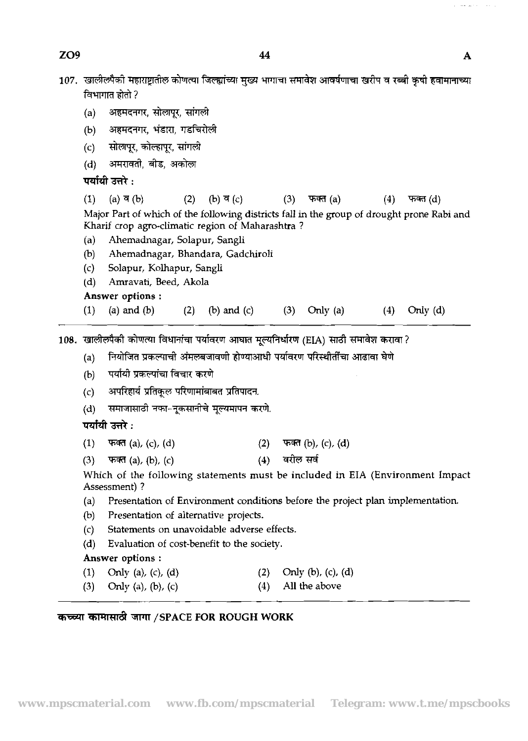ZO<sub>9</sub>

- 107. खालीलपैकी महाराष्ट्रातील कोणत्या जिल्ह्यांच्या मुख्य भागाचा समावेश आवर्षणाचा खरीप व रब्बी कृषी हवामानाच्या विभागात होतो ?
	- अहमदनगर, सोलापूर, सांगली  $(a)$
	- अहमदनगर, भंडारा, गडचिरोली  $(b)$
	-
	-

|     | . <i>.</i>                                                                                                                                     |     |                                   |     |             |                   |            |  |
|-----|------------------------------------------------------------------------------------------------------------------------------------------------|-----|-----------------------------------|-----|-------------|-------------------|------------|--|
| (d) | अमरावती, बीड, अकोला                                                                                                                            |     |                                   |     |             |                   |            |  |
|     | पर्यायी उत्तरे :                                                                                                                               |     |                                   |     |             |                   |            |  |
| (1) | (a) <b>ব</b> (b)                                                                                                                               | (2) | (b) व (c)                         | (3) | फक्त (a)    | (4)               | फक्त (d)   |  |
|     | Major Part of which of the following districts fall in the group of drought prone Rabi and<br>Kharif crop agro-climatic region of Maharashtra? |     |                                   |     |             |                   |            |  |
| (a) | Ahemadnagar, Solapur, Sangli                                                                                                                   |     |                                   |     |             |                   |            |  |
| (b) |                                                                                                                                                |     | Ahemadnagar, Bhandara, Gadchiroli |     |             |                   |            |  |
| (c) | Solapur, Kolhapur, Sangli                                                                                                                      |     |                                   |     |             |                   |            |  |
| (d) | Amravati, Beed, Akola                                                                                                                          |     |                                   |     |             |                   |            |  |
|     | Answer options:                                                                                                                                |     |                                   |     |             |                   |            |  |
| (1) | (a) and $(b)$                                                                                                                                  | (2) | $(b)$ and $(c)$                   | (3) | Orily $(a)$ | $\left( 4\right)$ | Only $(d)$ |  |
|     |                                                                                                                                                |     |                                   |     |             |                   |            |  |
|     | .  खालीलपैकी कोणत्या विधानांचा पर्यावरण आघात मूल्यनिर्धारण (EIA) साठी समावेश करावा ?                                                           |     |                                   |     |             |                   |            |  |

108.

- (a) नियोजित प्रकल्पाची अंमलबजावणी होण्याआधी पर्यावरण परिस्थीतींचा आढावा घेणे<br>(b) पर्यायी प्रकल्पांचा विचार करणे<br>(c) अपरिहार्य प्रतिकूल परिणामांबाबत प्रतिपादन.
- 
- अपरिहार्य प्रतिकुल परिणामांबाबत प्रतिपादन.
- (d) समाजार<br>**पर्यायी उत्तरे :**

- (c) रसारहर प्राप्तपूर समाप्तमा अभावनाथ<br>(d) समाजासाठी नफा-नूकसानीचे मूल्यमापन करणे.<br>**पर्यायी उत्तरे :**<br>(1) फक्त (a), (c), (d) - - - (4) व्यील सर्व<br>(3) फक्त (a), (b), (c) - - - (4) व्यील सर्व
- 

**(1) फक्त (a), (c), (d)** (2) फक्त (b), (c), (d)<br>(3) फक्त (a), (b), (c) (4) (4) बरील सर्व<br>Which of the following statements must be included in EIA (Environment Impact) Assessment) ?

- (a) Presentation of Environment conditions before the project plan implementation.
- (b) Presentation of alternative projects.
- (c) Statements on unavoidable adverse effects.
- (d) Evaluation of cost-benefit to the society.

### Answer **options** :

- (1) Only (a), (c), (d) (2) Only (b), (c), (d) (3) Only (a), (b), (c) (4) (4) All the above
- Only (a), (b), (c)
- 

### कच्च्या कामासाठी जागा /SPACE FOR ROUGH WORK

A

where  $\omega$  is  $\omega$  . Then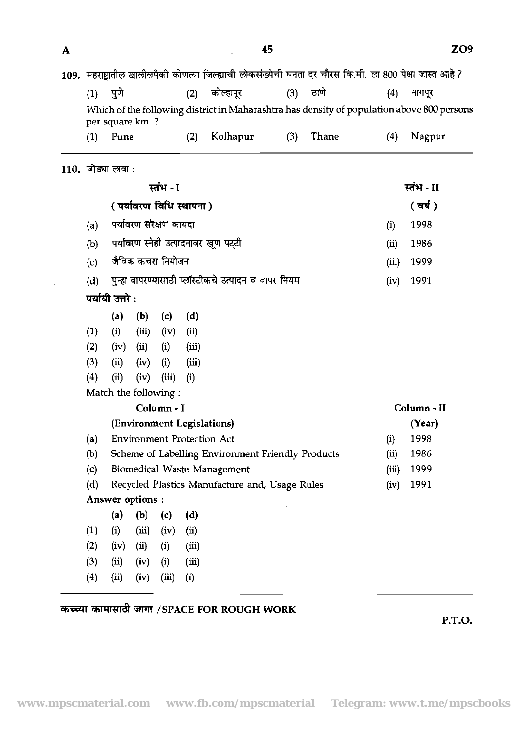| A |     |                   |                  |                           |       |                                                                                                           | 45  |       |       | ZO <sub>9</sub>                                                                            |  |  |
|---|-----|-------------------|------------------|---------------------------|-------|-----------------------------------------------------------------------------------------------------------|-----|-------|-------|--------------------------------------------------------------------------------------------|--|--|
|   |     |                   |                  |                           |       | 109. महराष्ट्रातील खालीलपैकी कोणत्या जिल्ह्याची लोकसंख्येची घनता दर चौरस कि.मी. ला 800 पेक्षा जास्त आहे ? |     |       |       |                                                                                            |  |  |
|   | (1) | पुणे              |                  |                           | (2)   | कोल्हापुर                                                                                                 | (3) | ठाणे  | (4)   | नागपूर                                                                                     |  |  |
|   |     |                   | per square km.?  |                           |       |                                                                                                           |     |       |       | Which of the following district in Maharashtra has density of population above 800 persons |  |  |
|   | (1) | Pune              |                  |                           | (2)   | Kolhapur                                                                                                  | (3) | Thane | (4)   | Nagpur                                                                                     |  |  |
|   |     | 110. जोड्या लावा: |                  |                           |       |                                                                                                           |     |       |       |                                                                                            |  |  |
|   |     |                   |                  | स्तंभ - I                 |       |                                                                                                           |     |       |       | स्तंभ - II                                                                                 |  |  |
|   |     |                   |                  | ( पर्यावरण विधि स्थापना ) |       |                                                                                                           |     |       |       | (वर्ष)                                                                                     |  |  |
|   | (a) |                   |                  | पर्यावरण संरक्षण कायदा    |       |                                                                                                           |     |       | (i)   | 1998                                                                                       |  |  |
|   | (b) |                   |                  |                           |       | पर्यावरण स्नेही उत्पादनावर खूण पट्टी                                                                      |     |       | (ii)  | 1986                                                                                       |  |  |
|   | (c) |                   |                  | जैविक कचरा नियोजन         |       |                                                                                                           |     |       | (iii) | 1999                                                                                       |  |  |
|   | (d) |                   |                  |                           |       | पुन्हा वापरण्यासाठी प्लॉस्टीकचे उत्पादन व वापर नियम                                                       |     |       | (iv)  | 1991                                                                                       |  |  |
|   |     | पर्यायी उत्तरे :  |                  |                           |       |                                                                                                           |     |       |       |                                                                                            |  |  |
|   |     | (a)               | (b)              | (c)                       | (d)   |                                                                                                           |     |       |       |                                                                                            |  |  |
|   | (1) | (i)               | (iii)            | (iv)                      | (ii)  |                                                                                                           |     |       |       |                                                                                            |  |  |
|   | (2) | (iv)              | (ii)             | (i)                       | (iii) |                                                                                                           |     |       |       |                                                                                            |  |  |
|   | (3) | (ii)              | (iv)             | (i)                       | (iii) |                                                                                                           |     |       |       |                                                                                            |  |  |
|   | (4) | (ii)              | (iv)             | (iii)                     | (i)   |                                                                                                           |     |       |       |                                                                                            |  |  |
|   |     |                   |                  | Match the following:      |       |                                                                                                           |     |       |       |                                                                                            |  |  |
|   |     |                   |                  | Column - I                |       |                                                                                                           |     |       |       | Column - II                                                                                |  |  |
|   |     |                   |                  |                           |       | (Environment Legislations)                                                                                |     |       |       | (Year)                                                                                     |  |  |
|   | (a) |                   |                  |                           |       | <b>Environment Protection Act</b>                                                                         |     |       | (i)   | 1998                                                                                       |  |  |
|   | (b) |                   |                  |                           |       | Scheme of Labelling Environment Friendly Products                                                         |     |       | (i)   | 1986                                                                                       |  |  |
|   | (c) |                   |                  |                           |       | <b>Biomedical Waste Management</b>                                                                        |     |       | (iii) | 1999                                                                                       |  |  |
|   | (d) |                   |                  |                           |       | Recycled Plastics Manufacture and, Usage Rules                                                            |     |       | (iv)  | 1991                                                                                       |  |  |
|   |     |                   | Answer options : |                           |       |                                                                                                           |     |       |       |                                                                                            |  |  |
|   |     | (a)               | (b)              | (c)                       | (d)   |                                                                                                           |     |       |       |                                                                                            |  |  |
|   | (1) | (i)               | (iii)            | (iv)                      | (ii)  |                                                                                                           |     |       |       |                                                                                            |  |  |
|   | (2) | (iv)              | (i)              | (i)                       | (iii) |                                                                                                           |     |       |       |                                                                                            |  |  |
|   | (3) | (ii)              | (iv)             | (i)                       | (iii) |                                                                                                           |     |       |       |                                                                                            |  |  |
|   | (4) | (i)               | (iv)             | (iii)                     | (i)   |                                                                                                           |     |       |       |                                                                                            |  |  |

# कच्च्या कामासाठी जागा /SPACE FOR ROUGH WORK

P.T.O.

ZO<sub>9</sub>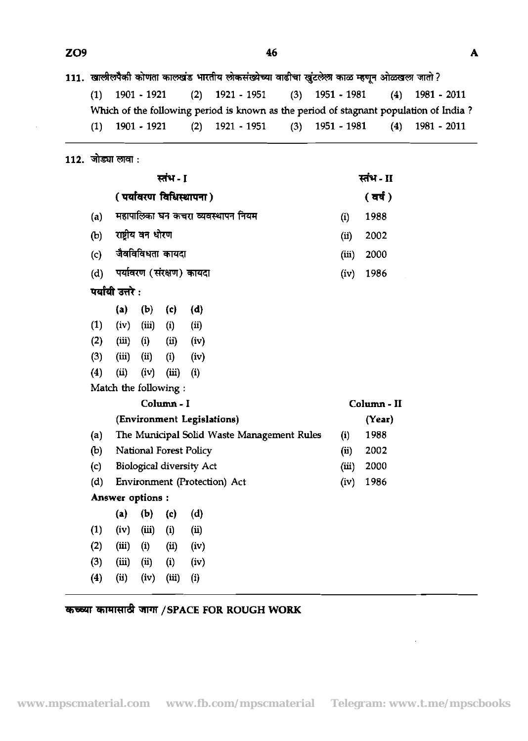111. खालीलपैकी कोणता कालखंड भारतीय लोकसंख्येच्या वाढीचा खुंटलेला काळ म्हणून ओळखला जातो ?

| $(1)$ 1901 - 1921 $(2)$ 1921 - 1951                                                   |  | $(3)$ 1951 - 1981 $(4)$ 1981 - 2011 |  |
|---------------------------------------------------------------------------------------|--|-------------------------------------|--|
| Which of the following period is known as the period of stagnant population of India? |  |                                     |  |
| $(1)$ 1901 - 1921 $(2)$ 1921 - 1951                                                   |  | $(3)$ 1951 - 1981 $(4)$ 1981 - 2011 |  |

## 112. जोड्या लावा :

|     |                      |                   | स्तंभ - I         |                                            |       | स्तंभ - II  |
|-----|----------------------|-------------------|-------------------|--------------------------------------------|-------|-------------|
|     |                      |                   |                   | (पर्यावरण विधिस्थापना)                     |       | (वर्ष)      |
| (a) |                      |                   |                   | महापालिका घन कचरा व्यवस्थापन नियम          | (i)   | 1988        |
| (b) |                      | राष्ट्रीय वन धोरण |                   |                                            | (ii)  | 2002        |
| (c) |                      |                   | जैवविविधता कायदा  |                                            | (iii) | 2000        |
| (d) |                      |                   |                   | पर्यावरण (संरक्षण) कायदा                   | (iv)  | 1986        |
|     | पर्यायी उत्तरे :     |                   |                   |                                            |       |             |
|     | (a)                  | (b)               | (c)               | (d)                                        |       |             |
| (1) | (iv)                 | (iii)             | (i)               | (ii)                                       |       |             |
| (2) | (iii)                | (i)               | (ii)              | (iv)                                       |       |             |
| (3) | (iii)                | (ii)              | (i)               | (iv)                                       |       |             |
| (4) | (ii)                 | (iv)              | (iii)             | (i)                                        |       |             |
|     | Match the following: |                   |                   |                                            |       |             |
|     |                      |                   | Column - I        |                                            |       | Column - II |
|     |                      |                   |                   | (Environment Legislations)                 |       | (Year)      |
| (a) |                      |                   |                   | The Municipal Solid Waste Management Rules | (i)   | 1988        |
| (b) |                      |                   |                   | National Forest Policy                     | (ii)  | 2002        |
| (c) |                      |                   |                   | <b>Biological diversity Act</b>            | (iii) | 2000        |
| (d) |                      |                   |                   | Environment (Protection) Act               | (iv)  | 1986        |
|     | Answer options :     |                   |                   |                                            |       |             |
|     | (a)                  | (b)               | (c)               | (d)                                        |       |             |
| (1) | (iv)                 | (iii)             | $\left( i\right)$ | (i)                                        |       |             |
| (2) | (iii)                | (i)               | (ii)              | (iv)                                       |       |             |
| (3) | (iii)                | (i)               | (i)               | (iv)                                       |       |             |
| (4) | (ii)                 | (iv)              | (iii)             | (i)                                        |       |             |

# *कच्च्या कामासाठी जागा / SPACE FOR ROUGH WORK*

 $\sim$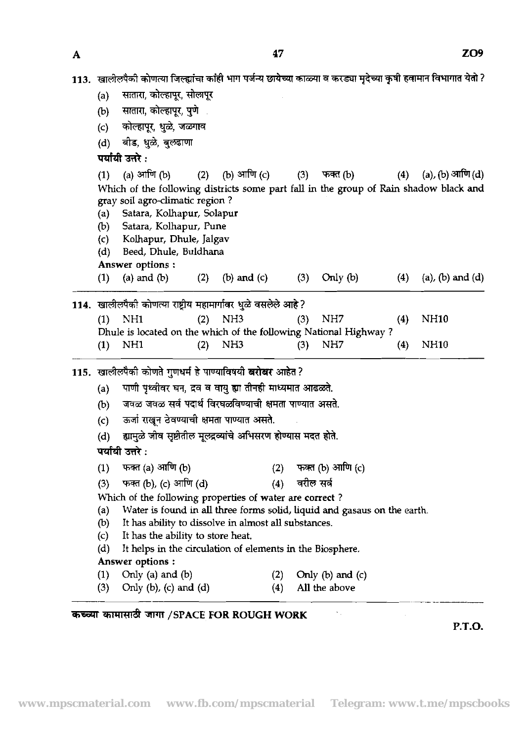$\mathbf{A}$ 

| A | 47                                                                                                                                                                                                                                                                     |                                              | <b>ZUY</b> |
|---|------------------------------------------------------------------------------------------------------------------------------------------------------------------------------------------------------------------------------------------------------------------------|----------------------------------------------|------------|
|   | 113. खालीलपैकी कोणत्या जिल्ह्यांचा कांही भाग पर्जन्य छायेच्या काळ्या व करड्या मृदेच्या कृषी हवामान विभागात येतो ?                                                                                                                                                      |                                              |            |
|   | सातारा, कोल्हापूर, सोलापूर<br>(a)                                                                                                                                                                                                                                      |                                              |            |
|   | सातारा, कोल्हापूर, पुणे<br>(b)                                                                                                                                                                                                                                         |                                              |            |
|   | कोल्हापूर, धुळे, जळगाव<br>(c)                                                                                                                                                                                                                                          |                                              |            |
|   | बीड, धुळे, बुलढाणा<br>(d)                                                                                                                                                                                                                                              |                                              |            |
|   | पर्यायी उत्तरे :                                                                                                                                                                                                                                                       |                                              |            |
|   | (a) आणि (b)<br>(2) (b) आणि (c)<br>फक्त (b)<br>(3)                                                                                                                                                                                                                      | (a), $(b)$ आणि $(d)$<br>(4)                  |            |
|   | (1)<br>Which of the following districts some part fall in the group of Rain shadow black and<br>gray soil agro-climatic region?<br>Satara, Kolhapur, Solapur<br>(a)<br>Satara, Kolhapur, Pune<br>(b)<br>Kolhapur, Dhule, Jalgav<br>(c)<br>Beed, Dhule, Buldhana<br>(d) |                                              |            |
|   | Answer options:                                                                                                                                                                                                                                                        |                                              |            |
|   | (a) and $(b)$<br>(b) and $(c)$<br>Only $(b)$<br>(2)<br>$\left(1\right)$<br>(3)                                                                                                                                                                                         | $(a)$ , $(b)$ and $(d)$<br>$\left( 4\right)$ |            |
|   | 114. खालीलपैकी कोणत्या राष्ट्रीय महामार्गावर धुळे वसलेले आहे?                                                                                                                                                                                                          |                                              |            |
|   | NH <sub>1</sub><br>$(2)$ NH3<br>NH7<br>(1)<br>(3)                                                                                                                                                                                                                      | <b>NH10</b><br>(4)                           |            |
|   | Dhule is located on the which of the following National Highway?                                                                                                                                                                                                       |                                              |            |
|   | NH <sub>3</sub><br>NH7<br>NH1<br>(2)<br>(1)<br>(3)                                                                                                                                                                                                                     | <b>NH10</b><br>(4)                           |            |
|   | 115. खालीलपैकी कोणते गुणधर्म हे पाण्याविषयी बरोबर आहेत ?                                                                                                                                                                                                               |                                              |            |
|   | पाणी पृथ्वीवर घन, द्रव व वायु ह्या तीनही माध्यमात आढळते.<br>(a)                                                                                                                                                                                                        |                                              |            |
|   | जवळ जवळ सर्व पदार्थ विरघळविण्याची क्षमता पाण्यात असते.<br>(b)                                                                                                                                                                                                          |                                              |            |
|   | ऊर्जा राखून ठेवण्याची क्षमता पाण्यात असते.<br>(c)                                                                                                                                                                                                                      |                                              |            |
|   | ह्यामुळे जीव सृष्टीतील मूलद्रव्यांचे अभिसरण होण्यास मदत होते.<br>(d)                                                                                                                                                                                                   |                                              |            |
|   | पर्यायी उत्तरे :                                                                                                                                                                                                                                                       |                                              |            |
|   | फक्त (a) आणि (b)<br>फक्त (b) आणि (c)<br>(2)                                                                                                                                                                                                                            |                                              |            |
|   | (1)<br>फक्त (b), (c) आणि (d)<br>वरील सर्व<br>(4)                                                                                                                                                                                                                       |                                              |            |
|   | (3)<br>Which of the following properties of water are correct?                                                                                                                                                                                                         |                                              |            |
|   | Water is found in all three forms solid, liquid and gasaus on the earth.<br>(a)                                                                                                                                                                                        |                                              |            |
|   | It has ability to dissolve in almost all substances.<br>(b)                                                                                                                                                                                                            |                                              |            |
|   | It has the ability to store heat.<br>(c)                                                                                                                                                                                                                               |                                              |            |
|   | It helps in the circulation of elements in the Biosphere.<br>(d)                                                                                                                                                                                                       |                                              |            |
|   | Answer options:                                                                                                                                                                                                                                                        |                                              |            |
|   | Only (a) and $(b)$<br>Only $(b)$ and $(c)$<br>(2)<br>(1)<br>Only $(b)$ , $(c)$ and $(d)$<br>(3)<br>All the above<br>(4)                                                                                                                                                |                                              |            |
|   |                                                                                                                                                                                                                                                                        |                                              |            |

# **कच्च्या कामासाठी जागा /SPACE FOR ROUGH WORK**

P.T.O.

 $\bar{\mathcal{A}}$ 

 $\sim 8\%$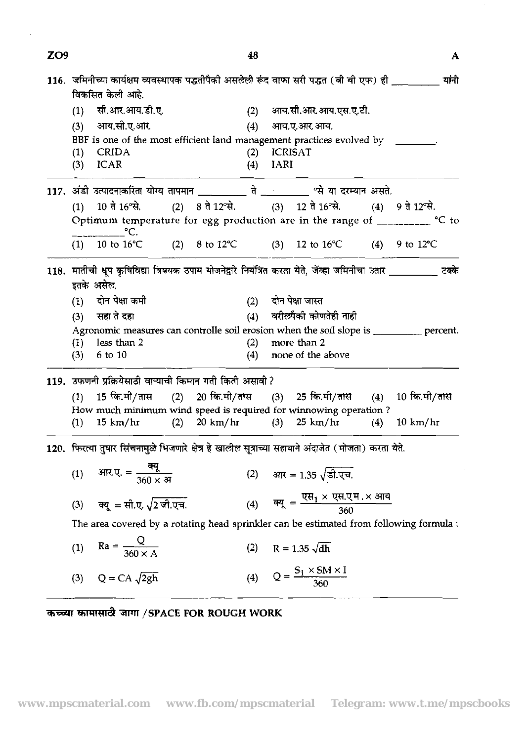| ZO <sub>9</sub> |     |                                                                                                                                                                                                                                                                                                |                | 48  |               |                                                                                                 |                | А     |
|-----------------|-----|------------------------------------------------------------------------------------------------------------------------------------------------------------------------------------------------------------------------------------------------------------------------------------------------|----------------|-----|---------------|-------------------------------------------------------------------------------------------------|----------------|-------|
|                 |     | 116. जमिनीच्या कार्यक्षम व्यवस्थापक पद्धतीपैको असलेली रूंद वाफा सरी पद्धत (बी बी एफ) ही __________<br>विकसित केली आहे.                                                                                                                                                                         |                |     |               |                                                                                                 |                | यांनी |
|                 | (1) | सी.आर.आय.डी.ए.                                                                                                                                                                                                                                                                                 |                |     |               | (2) आय.सी.आर.आय.एस.ए.टी.                                                                        |                |       |
|                 | (3) | आय.सी.ए.आर                                                                                                                                                                                                                                                                                     |                |     |               | (4) आय.ए.आर.आय.                                                                                 |                |       |
|                 |     | BBF is one of the most efficient land management practices evolved by ________.                                                                                                                                                                                                                |                |     |               |                                                                                                 |                |       |
|                 |     | $(1)$ CRIDA                                                                                                                                                                                                                                                                                    |                |     | $(2)$ ICRISAT |                                                                                                 |                |       |
|                 | (3) | <b>ICAR</b>                                                                                                                                                                                                                                                                                    |                | (4) | <b>IARI</b>   |                                                                                                 |                |       |
|                 |     | 117. अंडी उत्पादनाकरिता योग्य तापमान __________ ते _________ "से या दरम्यान असते.                                                                                                                                                                                                              |                |     |               |                                                                                                 |                |       |
|                 |     | (1) 10 ते 16 थे. (2) 8 ते 12 थे. (3) 12 ते 16 थे. (4) 9 ते 12 थे.                                                                                                                                                                                                                              |                |     |               |                                                                                                 |                |       |
|                 |     | Optimum temperature for egg production are in the range of $\frac{1}{2}$ $\frac{1}{2}$ $\frac{1}{2}$ $\frac{1}{2}$ $\frac{1}{2}$ $\frac{1}{2}$ $\frac{1}{2}$ $\frac{1}{2}$ $\frac{1}{2}$ $\frac{1}{2}$ $\frac{1}{2}$ $\frac{1}{2}$ $\frac{1}{2}$ $\frac{1}{2}$ $\frac{1}{2}$ $\frac{1}{2}$ $\$ |                |     |               |                                                                                                 |                |       |
|                 |     | $^{\circ}$ C.<br>$(1)$ 10 to 16 <sup>o</sup> C                                                                                                                                                                                                                                                 |                |     |               | (2) 8 to 12°C (3) 12 to 16°C (4) 9 to 12°C                                                      |                |       |
|                 |     |                                                                                                                                                                                                                                                                                                |                |     |               |                                                                                                 |                |       |
|                 |     | 118. मातीची धूप कृषिविद्या विषयक उपाय योजनेद्वारे नियंत्रित करता येते, जेंव्हा जमिनीचा उतार __________ टक्के                                                                                                                                                                                   |                |     |               |                                                                                                 |                |       |
|                 |     | इतके असेल,                                                                                                                                                                                                                                                                                     |                |     |               |                                                                                                 |                |       |
|                 | (1) | दोन पेक्षा कमी                                                                                                                                                                                                                                                                                 |                |     |               | (2) दोन पेक्षा जास्त                                                                            |                |       |
|                 | (3) | सहा ते दहा                                                                                                                                                                                                                                                                                     |                |     |               | (4) वरीलपैकी कोणतेही नाही                                                                       |                |       |
|                 |     | Agronomic measures can controlle soil erosion when the soil slope is __________ percent.                                                                                                                                                                                                       |                |     |               |                                                                                                 |                |       |
|                 | (1) | less than 2                                                                                                                                                                                                                                                                                    |                | (2) |               | more than 2                                                                                     |                |       |
|                 | (3) | $6$ to $10$                                                                                                                                                                                                                                                                                    |                | (4) |               | none of the above                                                                               |                |       |
|                 |     | 119. उफणनी प्रक्रियेसाठी वाऱ्याची किमान गती किती असावी ?                                                                                                                                                                                                                                       |                |     |               |                                                                                                 |                |       |
|                 |     | (1) 15 कि.मी/तास (2) 20 कि.मी/तास (3) 25 कि.मी/तास (4) 10 कि.मी/तास                                                                                                                                                                                                                            |                |     |               |                                                                                                 |                |       |
|                 |     | How much minimum wind speed is required for winnowing operation?                                                                                                                                                                                                                               |                |     |               |                                                                                                 |                |       |
|                 | (1) | $15 \text{ km/hr}$                                                                                                                                                                                                                                                                             | $(2)$ 20 km/hr |     |               | $(3)$ 25 km/hr                                                                                  | $(4)$ 10 km/hr |       |
|                 |     | 120. फिरत्या तुषार सिंचनामुळे भिजणारे क्षेत्र हे खालील सूत्राच्या सहायाने अंदाजेत (मोजता) करता येते.                                                                                                                                                                                           |                |     |               |                                                                                                 |                |       |
|                 |     |                                                                                                                                                                                                                                                                                                |                |     |               |                                                                                                 |                |       |
|                 | (1) | आर.ए. = <del>त्यू</del><br>360 × अ                                                                                                                                                                                                                                                             |                |     |               | (2) आर = 1.35 $\sqrt{3}$ . एच.                                                                  |                |       |
|                 | (3) | व्यू = सी.ए. $\sqrt{2}$ जी.एच.                                                                                                                                                                                                                                                                 |                |     |               | (4) $\overline{sq} = \frac{\overline{q} + x \overline{q} + \overline{q} + x \overline{q}}{360}$ |                |       |
|                 |     | The area covered by a rotating head sprinkler can be estimated from following formula :                                                                                                                                                                                                        |                |     |               |                                                                                                 |                |       |
|                 | (1) | $Ra = \frac{Q}{360 \times A}$                                                                                                                                                                                                                                                                  |                | (2) |               | $R = 1.35 \sqrt{dh}$                                                                            |                |       |
|                 | (3) | $Q = CA \sqrt{2gh}$                                                                                                                                                                                                                                                                            |                | (4) |               | $Q = \frac{S_1 \times SM \times I}{360}$                                                        |                |       |

**कच्च्या कामासाठी जागा /SPACE FOR ROUGH WORK**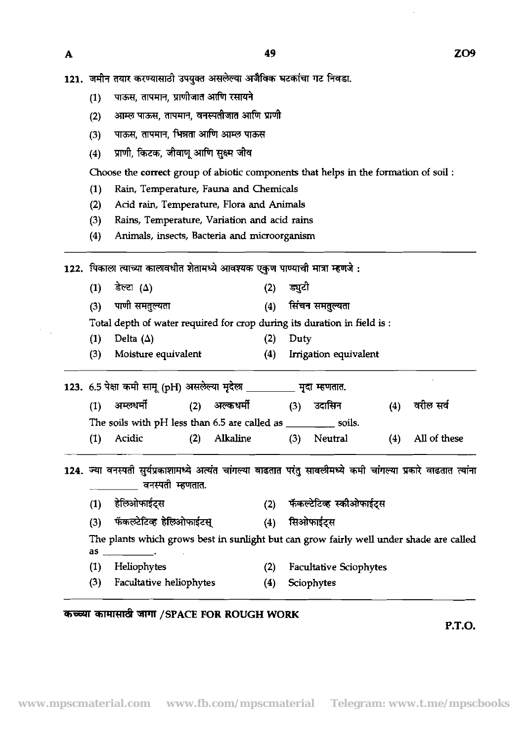$\mathbf{A}$ 

- 121. जमीन तयार करण्यासाठी उपयुक्त असलेल्या अजैविक घटकांचा गट निवडा.
	- पाऊस, तापमान, प्राणीजात आणि रसायने  $(1)$
	- आम्ल पाऊस, तापमान, वनस्पतीजात आणि प्राणी  $(2)$
	- पाऊस, तापमान, भिन्नता आणि आम्ल पाऊस  $(3)$
	- प्राणी, किटक, जीवाणु आणि सुक्ष्म जीव  $(4)$

Choose the correct group of abiotic components that helps in the formation of soil :

- **(1)** Rain, Temperature, Fauna and Chemicals
- **(2)** Add rain, Temperature, Flora and Animals
- **(3) Rains,** Temperature, Variation and acid rains

**(4)** Animals, insects, Bacteria and microorganism

122. पिकाला त्याच्या कालावधीत शेतामध्ये आवश्यक एकुण पाण्याची मात्रा म्हणजे :

 $(1)$ डेल्टा ( $\Delta$ ) ड्यूटो  $(2)$ पाणी समतुल्यता सिंचन समतुल्यता  $(4)$  $(3)$ 

Total depth of water required for crop during its duration in field is :

- **(1)** Delta **(A) (2)** Duty
- **(3)** Moisture equivalent **(4)** Inigation equivalent

123. 6.5 पेक्षा कमी सामू (pH) असलेल्या मुदेल \_\_\_\_\_\_\_\_\_ मृदा म्हणतात. (3) Moisture equivalent (4) Irrigation equivalent<br>
6.5 पेक्षा कमी सामू (pH) असलेल्या मृदेला <u>प्रदास्त प</u>दा म्हणतात.<br>
(1) अम्लथर्मी (2) अल्कथर्मी (3) उदासिन (4) वरील सर्व<br>
The soils with pH less than 6.5 are called as \_\_\_\_ The soils with pH less than  $6.5$  are called as soils. **(1)** Acidic **(2)** Alkaline **(3)** Neutral **(4)** All of these **(1)** - **(2)** - \*\*

124. ज्या वनस्पती सुर्यप्रकाशामध्ये अत्यंत चांगल्या वाढतात परंतु सावलीमध्ये कमी चांगल्या प्रकारे वाढतात त्यांना<br>\_\_\_\_\_\_\_\_\_\_\_\_\_\_ वनस्पती म्हणतात. The sons with pri less than 6.5 are caned as<br>
(1) Acidic (2) Alkaline (3)<br> **THE SONS WITH PRICE (2) Alkaline (3)**<br>
THE THE READ MOVE TO THE READ MUST ARRY (2) फेंकर<br>
(3) फेंकलटेटिव्ह हेलिओफाईटस् (4) सिओ<br>
The plants which

- 
- 

The plants which grows best in sunlight but can grow fairly well under shade are called as

- (1) Heliophytes **(2)** Facultative Sciophytes
- **(3)** Facultative heliophytes **(4)** Sciophytes
- 

## rfirm **/SPACE FOR ROUGH WORK**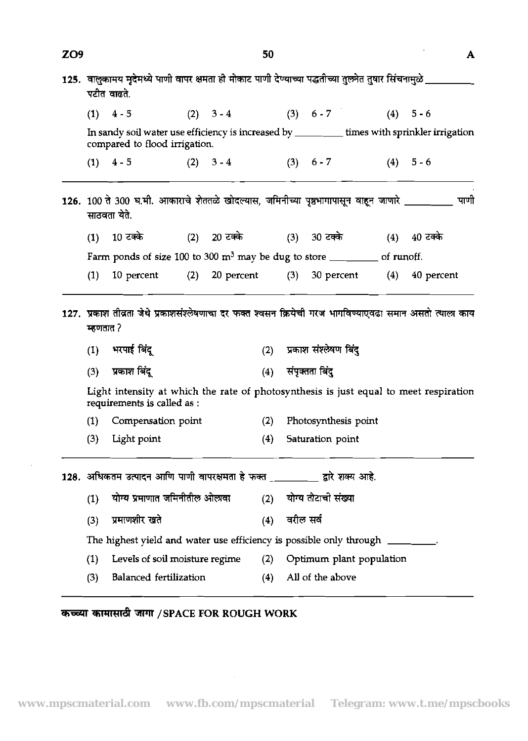| ZO <sub>9</sub> |                  |                                                                                                                            |     |             | 50  |           |                                        |                                          | A    |
|-----------------|------------------|----------------------------------------------------------------------------------------------------------------------------|-----|-------------|-----|-----------|----------------------------------------|------------------------------------------|------|
|                 |                  | 125.  वालुकामय मृदेमध्ये पाणी वापर क्षमता ही मोकाट पाणी देण्याच्या पद्धतीच्या तुलनेत तुषार सिंचनामुळे ___<br>पटीत वाढते.   |     |             |     |           |                                        |                                          |      |
|                 |                  | $(1)$ 4 - 5                                                                                                                |     |             |     |           | (2) $3-4$ (3) $6-7$                    | $(4) 5 - 6$                              |      |
|                 |                  | In sandy soil water use efficiency is increased by ______ times with sprinkler irrigation<br>compared to flood irrigation. |     |             |     |           |                                        |                                          |      |
|                 |                  | $(1)$ 4 - 5                                                                                                                |     | $(2) 3 - 4$ |     |           | $(3) 6-7 (4) 5-6$                      |                                          |      |
|                 |                  | 126. 100 ते 300 घ.मी. आकाराचे शेततळे खोदल्यास, जमिनीच्या पृष्ठभागापासून वाहून जाणारे ________<br>साठवता येते.              |     |             |     |           |                                        |                                          | पाणी |
|                 |                  | (1) 10 टक्के                                                                                                               |     |             |     |           | (2) 20 टक्के (3) 30 टक्के (4) 40 टक्के |                                          |      |
|                 |                  | Farm ponds of size 100 to 300 $m^3$ may be dug to store ____________ of runoff.                                            |     |             |     |           |                                        |                                          |      |
|                 |                  |                                                                                                                            |     |             |     |           |                                        | 20 percent (3) 30 percent (4) 40 percent |      |
|                 | (1)<br>म्हणतात ? | 10 percent<br>127. प्रकाश तीव्रता जेथे प्रकाशसंश्लेषणाचा दर फक्त श्वसन क्रियेची गरज भागविण्याएवढा समान असतो त्याला काय     | (2) |             |     |           |                                        |                                          |      |
|                 |                  | (1) भरपाई बिंदू                                                                                                            |     |             | (2) |           | प्रकाश संश्लेषण बिंदु                  |                                          |      |
|                 | (3)              | प्रकाश बिंदू                                                                                                               |     |             | (4) |           | संपृक्तता बिंदु                        |                                          |      |
|                 |                  | Light intensity at which the rate of photosynthesis is just equal to meet respiration<br>requirements is called as :       |     |             |     |           |                                        |                                          |      |
|                 | (1)              | Compensation point                                                                                                         |     |             | (2) |           | Photosynthesis point                   |                                          |      |
|                 | (3)              | Light point                                                                                                                |     |             | (4) |           | Saturation point                       |                                          |      |
|                 |                  | 128. अधिकतम उत्पादन आणि पाणी वापरक्षमता हे फक्त ________ द्वारे शक्य आहे.                                                  |     |             |     |           |                                        |                                          |      |
|                 | (1)              | योग्य प्रमाणात जमिनीतील ओलावा                                                                                              |     |             | (2) |           | योग्य तोटाची संख्या                    |                                          |      |
|                 | (3)              | प्रमाणशीर खते                                                                                                              |     |             | (4) | वरील सर्व |                                        |                                          |      |
|                 |                  | The highest yield and water use efficiency is possible only through ________.                                              |     |             |     |           |                                        |                                          |      |
|                 | (1)              | Levels of soil moisture regime                                                                                             |     |             | (2) |           | Optimum plant population               |                                          |      |

कच्च्या कामासाठी जागा / SPACE FOR ROUGH WORK

 $\sim 10^{-11}$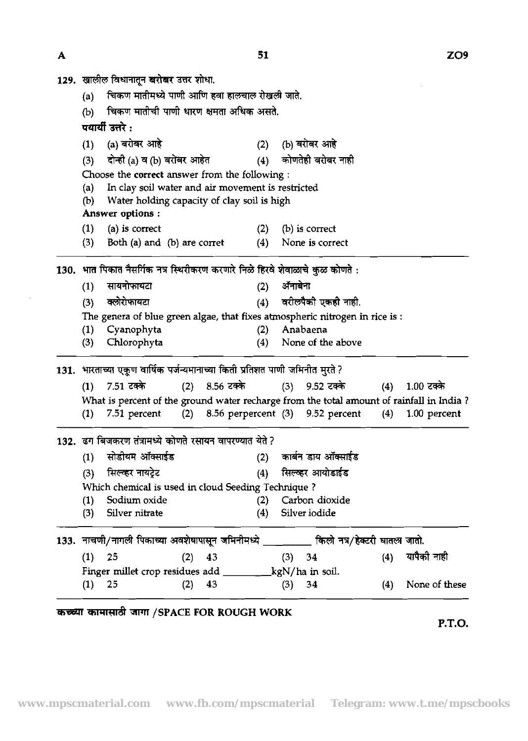$ZO9$ 

| (a)      |                                                           |                                                                                                                  |     |                                                                                                                                                                                                            |                                                                                                                                                                                                                                 |                                                                                                                                                                                                                                                                                                                                                                                                                                                                                                                                                                                                                     |                                                                                                                                                                                                                          |  |  |  |  |
|----------|-----------------------------------------------------------|------------------------------------------------------------------------------------------------------------------|-----|------------------------------------------------------------------------------------------------------------------------------------------------------------------------------------------------------------|---------------------------------------------------------------------------------------------------------------------------------------------------------------------------------------------------------------------------------|---------------------------------------------------------------------------------------------------------------------------------------------------------------------------------------------------------------------------------------------------------------------------------------------------------------------------------------------------------------------------------------------------------------------------------------------------------------------------------------------------------------------------------------------------------------------------------------------------------------------|--------------------------------------------------------------------------------------------------------------------------------------------------------------------------------------------------------------------------|--|--|--|--|
| (b)      |                                                           |                                                                                                                  |     |                                                                                                                                                                                                            |                                                                                                                                                                                                                                 |                                                                                                                                                                                                                                                                                                                                                                                                                                                                                                                                                                                                                     |                                                                                                                                                                                                                          |  |  |  |  |
|          |                                                           |                                                                                                                  |     |                                                                                                                                                                                                            |                                                                                                                                                                                                                                 |                                                                                                                                                                                                                                                                                                                                                                                                                                                                                                                                                                                                                     |                                                                                                                                                                                                                          |  |  |  |  |
| (1)      | (a) बरोबर आहे                                             |                                                                                                                  |     |                                                                                                                                                                                                            |                                                                                                                                                                                                                                 |                                                                                                                                                                                                                                                                                                                                                                                                                                                                                                                                                                                                                     |                                                                                                                                                                                                                          |  |  |  |  |
|          |                                                           |                                                                                                                  |     |                                                                                                                                                                                                            |                                                                                                                                                                                                                                 |                                                                                                                                                                                                                                                                                                                                                                                                                                                                                                                                                                                                                     |                                                                                                                                                                                                                          |  |  |  |  |
|          |                                                           |                                                                                                                  |     |                                                                                                                                                                                                            |                                                                                                                                                                                                                                 |                                                                                                                                                                                                                                                                                                                                                                                                                                                                                                                                                                                                                     |                                                                                                                                                                                                                          |  |  |  |  |
| (a)      |                                                           |                                                                                                                  |     |                                                                                                                                                                                                            |                                                                                                                                                                                                                                 |                                                                                                                                                                                                                                                                                                                                                                                                                                                                                                                                                                                                                     |                                                                                                                                                                                                                          |  |  |  |  |
| (b)      |                                                           |                                                                                                                  |     |                                                                                                                                                                                                            |                                                                                                                                                                                                                                 |                                                                                                                                                                                                                                                                                                                                                                                                                                                                                                                                                                                                                     |                                                                                                                                                                                                                          |  |  |  |  |
|          |                                                           |                                                                                                                  |     |                                                                                                                                                                                                            |                                                                                                                                                                                                                                 |                                                                                                                                                                                                                                                                                                                                                                                                                                                                                                                                                                                                                     |                                                                                                                                                                                                                          |  |  |  |  |
| (1)      | (a) is correct                                            |                                                                                                                  | (2) |                                                                                                                                                                                                            |                                                                                                                                                                                                                                 |                                                                                                                                                                                                                                                                                                                                                                                                                                                                                                                                                                                                                     |                                                                                                                                                                                                                          |  |  |  |  |
| (3)      |                                                           |                                                                                                                  | (4) |                                                                                                                                                                                                            |                                                                                                                                                                                                                                 |                                                                                                                                                                                                                                                                                                                                                                                                                                                                                                                                                                                                                     |                                                                                                                                                                                                                          |  |  |  |  |
|          |                                                           |                                                                                                                  |     |                                                                                                                                                                                                            |                                                                                                                                                                                                                                 |                                                                                                                                                                                                                                                                                                                                                                                                                                                                                                                                                                                                                     |                                                                                                                                                                                                                          |  |  |  |  |
|          |                                                           |                                                                                                                  |     |                                                                                                                                                                                                            |                                                                                                                                                                                                                                 |                                                                                                                                                                                                                                                                                                                                                                                                                                                                                                                                                                                                                     |                                                                                                                                                                                                                          |  |  |  |  |
|          |                                                           |                                                                                                                  |     |                                                                                                                                                                                                            |                                                                                                                                                                                                                                 |                                                                                                                                                                                                                                                                                                                                                                                                                                                                                                                                                                                                                     |                                                                                                                                                                                                                          |  |  |  |  |
|          |                                                           |                                                                                                                  |     |                                                                                                                                                                                                            |                                                                                                                                                                                                                                 |                                                                                                                                                                                                                                                                                                                                                                                                                                                                                                                                                                                                                     |                                                                                                                                                                                                                          |  |  |  |  |
|          |                                                           |                                                                                                                  |     |                                                                                                                                                                                                            |                                                                                                                                                                                                                                 |                                                                                                                                                                                                                                                                                                                                                                                                                                                                                                                                                                                                                     |                                                                                                                                                                                                                          |  |  |  |  |
|          |                                                           |                                                                                                                  |     |                                                                                                                                                                                                            |                                                                                                                                                                                                                                 |                                                                                                                                                                                                                                                                                                                                                                                                                                                                                                                                                                                                                     |                                                                                                                                                                                                                          |  |  |  |  |
|          |                                                           |                                                                                                                  |     |                                                                                                                                                                                                            |                                                                                                                                                                                                                                 |                                                                                                                                                                                                                                                                                                                                                                                                                                                                                                                                                                                                                     |                                                                                                                                                                                                                          |  |  |  |  |
|          |                                                           |                                                                                                                  |     |                                                                                                                                                                                                            |                                                                                                                                                                                                                                 |                                                                                                                                                                                                                                                                                                                                                                                                                                                                                                                                                                                                                     |                                                                                                                                                                                                                          |  |  |  |  |
|          | 7.51 टक्के                                                |                                                                                                                  |     |                                                                                                                                                                                                            |                                                                                                                                                                                                                                 |                                                                                                                                                                                                                                                                                                                                                                                                                                                                                                                                                                                                                     | 1.00 टक्के                                                                                                                                                                                                               |  |  |  |  |
|          |                                                           |                                                                                                                  |     |                                                                                                                                                                                                            |                                                                                                                                                                                                                                 |                                                                                                                                                                                                                                                                                                                                                                                                                                                                                                                                                                                                                     |                                                                                                                                                                                                                          |  |  |  |  |
| (1)      | 7.51 percent                                              |                                                                                                                  |     |                                                                                                                                                                                                            |                                                                                                                                                                                                                                 | (4)                                                                                                                                                                                                                                                                                                                                                                                                                                                                                                                                                                                                                 | 1.00 percent                                                                                                                                                                                                             |  |  |  |  |
|          |                                                           |                                                                                                                  |     |                                                                                                                                                                                                            |                                                                                                                                                                                                                                 |                                                                                                                                                                                                                                                                                                                                                                                                                                                                                                                                                                                                                     |                                                                                                                                                                                                                          |  |  |  |  |
|          |                                                           |                                                                                                                  |     |                                                                                                                                                                                                            |                                                                                                                                                                                                                                 |                                                                                                                                                                                                                                                                                                                                                                                                                                                                                                                                                                                                                     |                                                                                                                                                                                                                          |  |  |  |  |
| (1)      |                                                           |                                                                                                                  | (2) |                                                                                                                                                                                                            |                                                                                                                                                                                                                                 |                                                                                                                                                                                                                                                                                                                                                                                                                                                                                                                                                                                                                     |                                                                                                                                                                                                                          |  |  |  |  |
| (3)      | सिल्व्हर नायट्रेट                                         |                                                                                                                  |     |                                                                                                                                                                                                            |                                                                                                                                                                                                                                 |                                                                                                                                                                                                                                                                                                                                                                                                                                                                                                                                                                                                                     |                                                                                                                                                                                                                          |  |  |  |  |
|          |                                                           |                                                                                                                  |     |                                                                                                                                                                                                            |                                                                                                                                                                                                                                 |                                                                                                                                                                                                                                                                                                                                                                                                                                                                                                                                                                                                                     |                                                                                                                                                                                                                          |  |  |  |  |
| (1)      | Sodium oxide                                              |                                                                                                                  |     |                                                                                                                                                                                                            |                                                                                                                                                                                                                                 |                                                                                                                                                                                                                                                                                                                                                                                                                                                                                                                                                                                                                     |                                                                                                                                                                                                                          |  |  |  |  |
| (3)      | Silver nitrate                                            |                                                                                                                  | (4) |                                                                                                                                                                                                            |                                                                                                                                                                                                                                 |                                                                                                                                                                                                                                                                                                                                                                                                                                                                                                                                                                                                                     |                                                                                                                                                                                                                          |  |  |  |  |
|          |                                                           |                                                                                                                  |     |                                                                                                                                                                                                            |                                                                                                                                                                                                                                 |                                                                                                                                                                                                                                                                                                                                                                                                                                                                                                                                                                                                                     |                                                                                                                                                                                                                          |  |  |  |  |
|          |                                                           |                                                                                                                  |     |                                                                                                                                                                                                            |                                                                                                                                                                                                                                 |                                                                                                                                                                                                                                                                                                                                                                                                                                                                                                                                                                                                                     |                                                                                                                                                                                                                          |  |  |  |  |
|          |                                                           | $(2)$ 43                                                                                                         |     |                                                                                                                                                                                                            | $(3)$ 34                                                                                                                                                                                                                        |                                                                                                                                                                                                                                                                                                                                                                                                                                                                                                                                                                                                                     | (4) यापैकी नाही                                                                                                                                                                                                          |  |  |  |  |
| $(1)$ 25 |                                                           |                                                                                                                  |     |                                                                                                                                                                                                            |                                                                                                                                                                                                                                 |                                                                                                                                                                                                                                                                                                                                                                                                                                                                                                                                                                                                                     |                                                                                                                                                                                                                          |  |  |  |  |
| $(1)$ 25 | Finger millet crop residues add __________kgN/ha in soil. | $(2)$ 43                                                                                                         |     |                                                                                                                                                                                                            | $(3)$ 34                                                                                                                                                                                                                        | (4)                                                                                                                                                                                                                                                                                                                                                                                                                                                                                                                                                                                                                 | None of these                                                                                                                                                                                                            |  |  |  |  |
|          | (3)<br>(1)<br>(3)<br>(1)<br>(3)<br>(1)                    | पयार्यी उत्तरे :<br>Answer options :<br>सायनोफायटा<br>क्लोरोफायटा<br>Cyanophyta<br>Chlorophyta<br>सोडीयम ऑक्साईड |     | 129. खालील विधानातून बरोबर उत्तर शोधा.<br>दोन्ही (a) व (b) बरोबर आहेत<br>Both (a) and (b) are corret<br>(2)<br>(4)<br>(2)<br>(4)<br>$(2)$ 8.56 टक्के<br>133. नाचणी/नागली पिकाच्या अवशेषापासून जमिनीमध्ये _ | चिकण मातीची पाणी धारण क्षमता अधिक असते.<br>(2)<br>(4)<br>Choose the correct answer from the following :<br>Water holding capacity of clay soil is high<br>132. ढग बिजकरण तंत्रामध्ये कोणते रसायन वापरण्यात येते ?<br>(4)<br>(2) | चिकण मातीमध्ये पाणी आणि हवा हालचाल रोखली जाते.<br>(b) बरोबर आहे<br>कोणतेही बरोबर नाही<br>In clay soil water and air movement is restricted<br>(b) is correct<br>None is correct<br>130. भात पिकात नैसर्गिक नत्र स्थिरीकरण करणारे निळे हिरवे शेवाळाचे कुळ कोणते :<br>ॲनाबेना<br>वरीलपैकी एकही नाही.<br>Anabaena<br>None of the above<br>131. भारताच्या एकूण वार्षिक पर्जन्यमानाच्या किती प्रतिशत पाणी जमिनीत मुरते ?<br>(3) 9.52 टक्के<br>$(2)$ 8.56 perpercent $(3)$ 9.52 percent<br>काबन डाय ऑक्साइंड<br>सिल्व्हर आयोडाईड<br>Which chemical is used in cloud Seeding Technique?<br>Carbon dioxide<br>Silver iodide | The genera of blue green algae, that fixes atmospheric nitrogen in rice is:<br>(4)<br>What is percent of the ground water recharge from the total amount of rainfall in India?<br>________ किलो नत्र/हेक्टरी घातला जातो. |  |  |  |  |

 $51$ 

 $\mathbf{A}$ 

 $\bar{z}$ 

कच्च्या कामासाठी जागा /SPACE FOR ROUGH WORK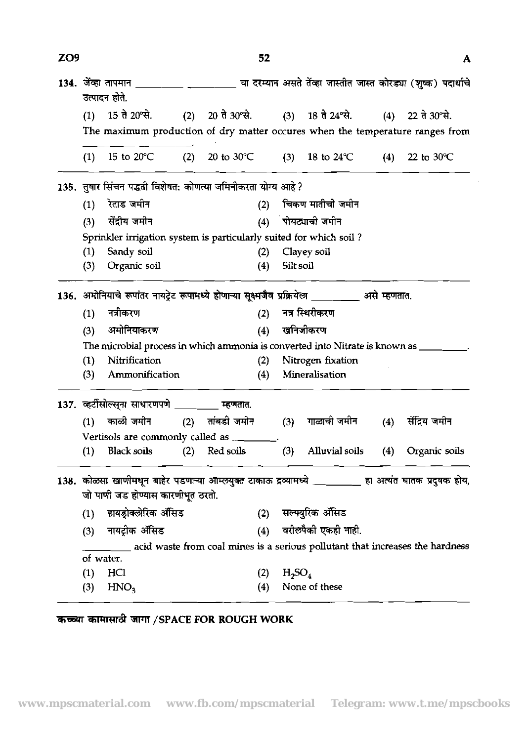| ZO <sub>9</sub> |     |                                                                    |     | 52                   |           |                                                                                                      |     | A                    |
|-----------------|-----|--------------------------------------------------------------------|-----|----------------------|-----------|------------------------------------------------------------------------------------------------------|-----|----------------------|
|                 |     | उत्पादन होते.                                                      |     |                      |           |                                                                                                      |     |                      |
|                 | (1) | 15 ते 20°से.                                                       |     | (2) 20 ते 30 से.     |           | $(3)$ 18 ते 24 °से.                                                                                  |     | $(4)$ 22 ते 30 से.   |
|                 |     |                                                                    |     |                      |           | The maximum production of dry matter occures when the temperature ranges from                        |     |                      |
|                 | (1) | 15 to $20^{\circ}$ C                                               | (2) | 20 to $30^{\circ}$ C | (3)       | 18 to $24^{\circ}$ C                                                                                 | (4) | 22 to $30^{\circ}$ C |
|                 |     | 135. तुषार सिंचन पद्धती विशेषत: कोणत्या जमिनीकरता योग्य आहे?       |     |                      |           |                                                                                                      |     |                      |
|                 | (1) | रेताड जमीन                                                         |     | (2)                  |           | चिकण मातीची जमीन                                                                                     |     |                      |
|                 | (3) | सेंदीय जमीन                                                        |     | (4)                  |           | पोयट्याची जमीन                                                                                       |     |                      |
|                 |     | Sprinkler irrigation system is particularly suited for which soil? |     |                      |           |                                                                                                      |     |                      |
|                 | (1) | Sandy soil                                                         |     | (2)                  |           | Clayey soil                                                                                          |     |                      |
|                 | (3) | Organic soil                                                       |     | (4)                  | Silt soil |                                                                                                      |     |                      |
|                 |     |                                                                    |     |                      |           | 136. अमोनियाचे रूपांतर नायट्रेट रूपामध्ये होणाऱ्या सूक्ष्मजैव प्रक्रियेला _________ असे म्हणतात.     |     |                      |
|                 | (1) | नत्रीकरण                                                           |     | (2)                  |           | नत्र स्थिरीकरण                                                                                       |     |                      |
|                 | (3) | अमोनियाकरण                                                         |     | (4)                  |           | खनिजीकरण                                                                                             |     |                      |
|                 |     |                                                                    |     |                      |           | The microbial process in which ammonia is converted into Nitrate is known as ________.               |     |                      |
|                 | (1) | Nitrification                                                      |     | (2)                  |           | Nitrogen fixation                                                                                    |     |                      |
|                 | (3) | Ammonification                                                     |     | (4)                  |           | Mineralisation                                                                                       |     |                      |
|                 |     | 137. व्हर्टीसोल्सुना साधारणपणे <u>____</u> ____                    |     | म्हणतात.             |           |                                                                                                      |     |                      |
|                 | (1) | काळी जमीन                                                          | (2) | तांबडी जमीन          | (3)       | गाळाची जमीन                                                                                          | (4) | सेंद्रिय जमीन        |
|                 |     | Vertisols are commonly called as ________.                         |     |                      |           |                                                                                                      |     |                      |
|                 | (1) | <b>Black soils</b>                                                 | (2) | Red soils            | (3)       | Alluvial soils                                                                                       | (4) | Organic soils        |
|                 |     |                                                                    |     |                      |           | 138. कोळसा खाणीमधून बाहेर पडणाऱ्या आम्लयुक्त टाकाऊ द्रव्यामध्ये ________ हा अत्यंत घातक प्रदुषक होय, |     |                      |
|                 |     | जो पाणी जड होण्यास कारणीभूत ठरतो.                                  |     |                      |           |                                                                                                      |     |                      |
|                 | (1) | हायड्रोक्लेरिक ॲंसिड                                               |     |                      |           | (2) सल्फ्युरिक ॲंसिड                                                                                 |     |                      |
|                 | (3) | नायट्रीक ॲसिड                                                      |     | (4)                  |           | वरीलपैकी एकही नाही.                                                                                  |     |                      |
|                 |     |                                                                    |     |                      |           | acid waste from coal mines is a serious pollutant that increases the hardness                        |     |                      |
|                 |     | of water.                                                          |     |                      |           |                                                                                                      |     |                      |
|                 | (1) | HCI                                                                |     | (2)                  | $H_2SO_4$ |                                                                                                      |     |                      |
|                 | (3) | HNO <sub>3</sub>                                                   |     | (4)                  |           | None of these                                                                                        |     |                      |

**Xl'Wd** jrmr **/SPACE FOR ROUGH WORK**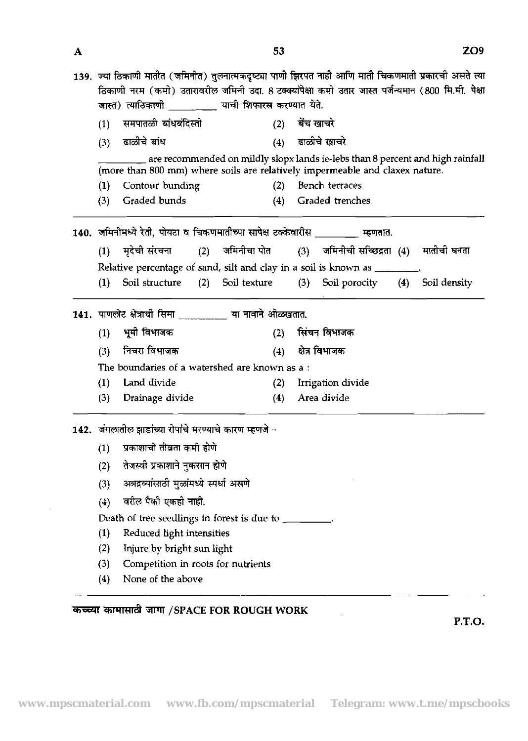|                  |                                                                |                  | 139. ज्या ठिकाणी मातीत (जमिनीत) तुलनात्मकदृष्ट्या पाणी झिरपत नाही आणि माती चिकणमाती प्रकारची असते त्या                                                         |                  |
|------------------|----------------------------------------------------------------|------------------|----------------------------------------------------------------------------------------------------------------------------------------------------------------|------------------|
|                  |                                                                |                  | ठिकाणी नरम (कमी) उतारावरील जमिनी उदा. 8 टक्क्यांपेक्षा कमी उतार जास्त पर्जन्यमान (800 मि.मी. पेक्षा                                                            |                  |
|                  | जास्त) त्याठिकाणी           याची शिफारस करण्यात येते.          |                  |                                                                                                                                                                |                  |
| (1)              | समपातळी बांधबंदिस्ती                                           | (2)              | बेंच खाचरे                                                                                                                                                     |                  |
| (3)              | ढाळीचे बांध                                                    | (4)              | ढाळीचे खाचरे                                                                                                                                                   |                  |
|                  |                                                                |                  | are recommended on mildly slopx lands ie-lebs than 8 percent and high rainfall<br>(more than 800 mm) where soils are relatively impermeable and claxex nature. |                  |
| (1)              | Contour bunding                                                | (2)              | Bench terraces                                                                                                                                                 |                  |
| (3)              | Graded bunds                                                   | (4)              | Graded trenches                                                                                                                                                |                  |
|                  | 140.  जमिनीमध्ये रेती, पोयटा व चिकणमातीच्या सापेक्ष टक्केवारीस |                  | म्हणतात.                                                                                                                                                       |                  |
| (1)              | मृदेची संरचना                                                  | (2) जमिनीचा पोत  | (3) जमिनीची सच्छिद्रता (4) मातीची घनता                                                                                                                         |                  |
|                  |                                                                |                  | Relative percentage of sand, silt and clay in a soil is known as ________.                                                                                     |                  |
| (1)              | Soil structure                                                 | (2) Soil texture | (3) Soil porocity                                                                                                                                              | (4) Soil density |
|                  |                                                                |                  |                                                                                                                                                                |                  |
|                  | 141. पाणलोट क्षेत्राची सिमा ________ या नावाने ओळखतात.         |                  |                                                                                                                                                                |                  |
| (1)              | भूमी विभाजक                                                    | (2)              | सिंचन विभाजक                                                                                                                                                   |                  |
| (3)              | निचरा विभाजक                                                   | (4)              | क्षेत्र विभाजक                                                                                                                                                 |                  |
|                  | The boundaries of a watershed are known as a:                  |                  |                                                                                                                                                                |                  |
| (1)              | Land divide                                                    | (2)              | Irrigation divide                                                                                                                                              |                  |
| (3)              | Drainage divide                                                | (4)              | Area divide                                                                                                                                                    |                  |
|                  | 142. जंगलातील झाडांच्या रोपांचे मरण्याचे कारण म्हणजे -         |                  |                                                                                                                                                                |                  |
| (1)              | प्रकाशाची तीव्रता कमी होणे                                     |                  |                                                                                                                                                                |                  |
| (2)              | तेजस्वी प्रकाशाने नुकसान होणे                                  |                  |                                                                                                                                                                |                  |
|                  | अत्रद्रव्यांसाठी मुळांमध्ये स्पर्धा असणे                       |                  |                                                                                                                                                                |                  |
| (3)              | वरील पैकी एकही नाही.                                           |                  |                                                                                                                                                                |                  |
| (4)              |                                                                |                  |                                                                                                                                                                |                  |
|                  | Death of tree seedlings in forest is due to _________.         |                  |                                                                                                                                                                |                  |
| $\left(1\right)$ | Reduced light intensities                                      |                  |                                                                                                                                                                |                  |
| (2)              | Injure by bright sun light                                     |                  |                                                                                                                                                                |                  |
| (3)              | Competition in roots for nutrients                             |                  |                                                                                                                                                                |                  |

%lWd TPll **/SPACE FOR ROUGH WORK** 

**P.T.O.** 

 $\sim$ 

 $\overline{\mathbf{A}}$ 

 $\mathcal{L}$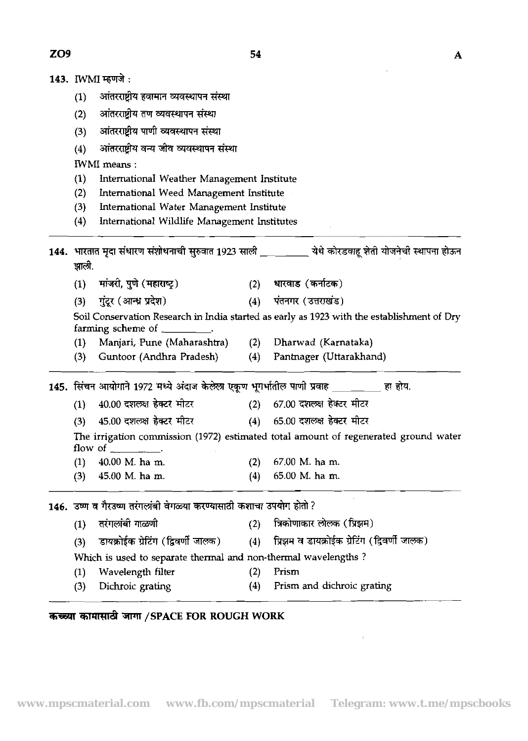- 143. IWMI म्हणजे:
	- आंतरराष्ट्रीय हवामान व्यवस्थापन संस्था  $(1)$
	- आंतरराष्ट्रीय तण व्यवस्थापन संस्था  $(2)$
	- आंतरराष्ट्रीय पाणी व्यवस्थापन संस्था  $(3)$
	- (4) अांतरराष्ट्रीय वन्य जीव व्यवस्थापन संस्था

IWMI means :

- (1) International Weather Management Institute
- (2) International Weed Management institute
- **(3)** International Water Management Institute
- (4) International Wildlife Management institutes

| (4)   | International Wildlife Management Institutes                                             |     |                                                                                                       |
|-------|------------------------------------------------------------------------------------------|-----|-------------------------------------------------------------------------------------------------------|
| झाली. |                                                                                          |     | 144. भारतात मृदा संधारण संशोधनाची सुरुवात 1923 साली _________ येथे कोरडवाहू शेती योजनेची स्थापना होऊन |
| (1)   | मांजरी, पुणे (महाराष्ट्र)                                                                |     | (2) धारवाड (कर्नाटक)                                                                                  |
| (3)   | गुंटूर (आन्ध्र प्रदेश)                                                                   |     | (4) पंतनगर (उत्तराखंड)                                                                                |
|       | farming scheme of _________.                                                             |     | Soil Conservation Research in India started as early as 1923 with the establishment of Dry            |
| (1)   | Manjari, Pune (Maharashtra)                                                              |     | (2) Dharwad (Karnataka)                                                                               |
| (3)   | Guntoor (Andhra Pradesh)                                                                 |     | (4) Pantnager (Uttarakhand)                                                                           |
|       | 145. सिंचन आयोगाने 1972 मध्ये अंदाज केलेला एकूण भूगर्भातील पाणी प्रवाह _________ हा होय. |     |                                                                                                       |
| (1)   | 40.00 दशलक्ष हेक्टर मीटर                                                                 |     | (2) - 67.00 दशलक्ष हेक्टर मीटर                                                                        |
| (3)   | 45.00 दशलक्ष हेक्टर मीटर                                                                 |     | (4) 65.00 दशलक्ष हेक्टर मीटर                                                                          |
|       | flow of $\qquad$ .                                                                       |     | The irrigation commission (1972) estimated total amount of regenerated ground water                   |
| (1)   | 40.00 M. ha m.                                                                           |     | $(2)$ 67.00 M. ha m.                                                                                  |
| (3)   | 45.00 M. ha m.                                                                           | (4) | 65.00 M. ha m.                                                                                        |
|       | 146. उष्ण व गैरउष्ण तरंगलांबी वेगळ्या करण्यासाठी कशाचा उपयोग होतो ?                      |     |                                                                                                       |
| (1)   | तरंगलांबी गाळणी                                                                          | (2) | ंत्रिकोणाकार लोलक (प्रिझम)                                                                            |
| (3)   |                                                                                          |     | डायक्रोईक ग्रेटिंग (द्विवर्णी जालक) (4) प्रिझम व डायक्रोईक ग्रेटिंग (द्विवर्णी जालक)                  |
|       | Which is used to separate thermal and non-thermal wavelengths?                           |     |                                                                                                       |
| (1)   | Wavelength filter                                                                        | (2) | Prism                                                                                                 |
| (3)   | Dichroic grating                                                                         | (4) | Prism and dichroic grating                                                                            |

## **TE5T 5l'W&** 3FlT **/SPACE FOR ROUGH WORK**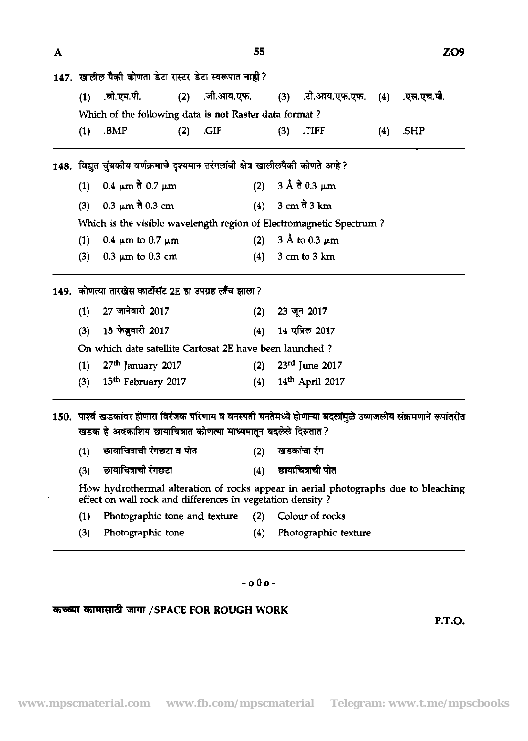| A | 55                                                     |                                                                                  |     |      |                              |     |                                                               | ZO9 |      |
|---|--------------------------------------------------------|----------------------------------------------------------------------------------|-----|------|------------------------------|-----|---------------------------------------------------------------|-----|------|
|   | 147. खालील पैकी कोणता डेटा रास्टर डेटा स्वरूपात नाही ? |                                                                                  |     |      |                              |     |                                                               |     |      |
|   |                                                        |                                                                                  |     |      |                              |     | (1) .बी.एम.पी. (2) जी.आय.एफ. (3) .टी.आय.एफ.एफ. (4) .एस.एच.पी. |     |      |
|   | Which of the following data is not Raster data format? |                                                                                  |     |      |                              |     |                                                               |     |      |
|   | (1)                                                    | .BMP                                                                             | (2) | .GIF |                              | (3) | .TIFF                                                         | (4) | .SHP |
|   |                                                        | 148. विद्युत चुंबकीय वर्णक्रमाचे दृश्यमान तरंगलांबी क्षेत्र खालीलपैकी कोणते आहे? |     |      |                              |     |                                                               |     |      |
|   | (1) 0.4 μm $\frac{3}{2}$ 0.7 μm                        |                                                                                  |     |      | (2) 3 Å ते 0.3 μm            |     |                                                               |     |      |
|   | (3)                                                    | $0.3 \mu m$ ते 0.3 cm                                                            |     |      |                              |     | (4) $3 \text{ cm} \, \hat{d} \, 3 \text{ km}$                 |     |      |
|   |                                                        | Which is the visible wavelength region of Electromagnetic Spectrum?              |     |      |                              |     |                                                               |     |      |
|   | 0.4 $\mu$ m to 0.7 $\mu$ m<br>(1)                      |                                                                                  |     | (2)  | $3 \text{ Å}$ to 0.3 $\mu$ m |     |                                                               |     |      |
|   | (3)                                                    | $0.3 \mu m$ to 0.3 cm                                                            |     |      | (4)                          |     | $3 \text{ cm}$ to $3 \text{ km}$                              |     |      |
|   |                                                        | 149. कोणत्या तारखेस कार्टोसॅट 2E हा उपग्रह लौंच झाला ?                           |     |      |                              |     |                                                               |     |      |

|     | $(1)$ 27 जानेवारी 2017                                  |     | $(2)$ 23 जून 2017       |
|-----|---------------------------------------------------------|-----|-------------------------|
|     | (3) 15 फेब्रुवारी 2017                                  |     | (4) 14 एप्रिल 2017      |
|     | On which date satellite Cartosat 2E have been launched? |     |                         |
|     | (1) $27th$ January 2017                                 |     | (2) $23^{rd}$ June 2017 |
| (3) | 15 <sup>th</sup> February 2017                          | (4) | 14th April 2017         |

150. पार्श्व खडकांवर होणारा विरंजक परिणाम व वनस्पती घनतेमध्ये होणान्या बदलांमुळे उष्णजलीय संक्रमणाने रूपांतरीत खडक हे अवकाशिय छायाचित्रात कोणत्या माध्यमातून बदलेले दिसतात ?

| (1)     छायाचित्राची रंगछटा व पोत | (2) खडकांचा रंग |
|-----------------------------------|-----------------|
|                                   |                 |

|     | छायाचित्राची रंगछटा | छायाचित्राची पोत |
|-----|---------------------|------------------|
| (3) |                     |                  |

How hydrothermal alteration of rocks appear in aerial photographs due to bleaching effect on wall rock and differences in vegetation density?

- (1) Photographic tone and texture (2) Colour of rocks
- (3) Photographic tone (4) Photographic texture

## **-000-**

## **jrmr /SPACE FOR ROUGH WORK**